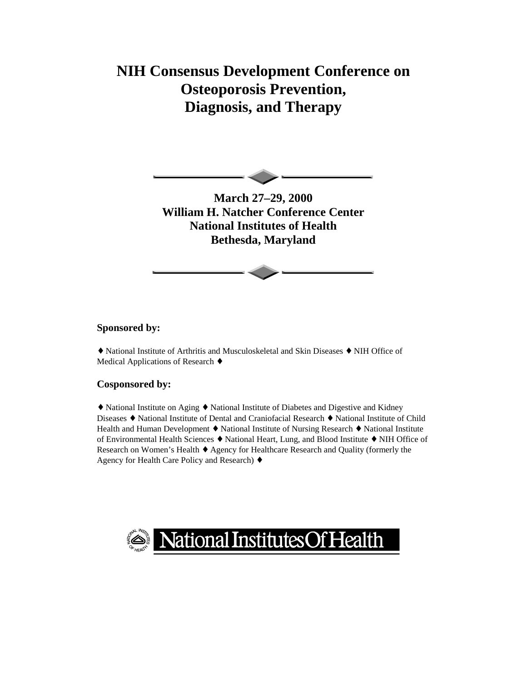# **NIH Consensus Development Conference on Osteoporosis Prevention, Diagnosis, and Therapy**



**March 27–29, 2000 William H. Natcher Conference Center National Institutes of Health Bethesda, Maryland** 

#### **Sponsored by:**

♦ National Institute of Arthritis and Musculoskeletal and Skin Diseases ♦ NIH Office of Medical Applications of Research ♦

#### **Cosponsored by:**

♦ National Institute on Aging ♦ National Institute of Diabetes and Digestive and Kidney Diseases ♦ National Institute of Dental and Craniofacial Research ♦ National Institute of Child Health and Human Development ♦ National Institute of Nursing Research ♦ National Institute of Environmental Health Sciences ♦ National Heart, Lung, and Blood Institute ♦ NIH Office of Research on Women's Health ♦ Agency for Healthcare Research and Quality (formerly the Agency for Health Care Policy and Research) ♦

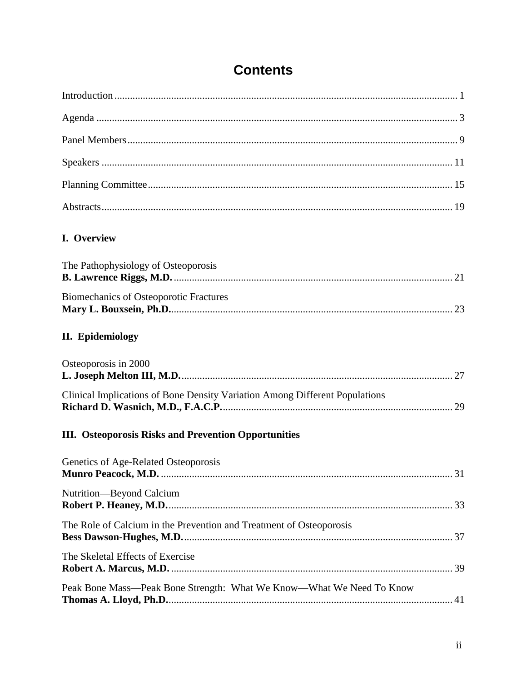# **Contents**

| I. Overview                                                                 |
|-----------------------------------------------------------------------------|
| The Pathophysiology of Osteoporosis                                         |
| <b>Biomechanics of Osteoporotic Fractures</b>                               |
| <b>II.</b> Epidemiology                                                     |
| Osteoporosis in 2000                                                        |
| Clinical Implications of Bone Density Variation Among Different Populations |
| <b>III.</b> Osteoporosis Risks and Prevention Opportunities                 |
| Genetics of Age-Related Osteoporosis<br>31                                  |
| Nutrition—Beyond Calcium                                                    |
| The Role of Calcium in the Prevention and Treatment of Osteoporosis         |
| The Skeletal Effects of Exercise                                            |
| Peak Bone Mass-Peak Bone Strength: What We Know-What We Need To Know        |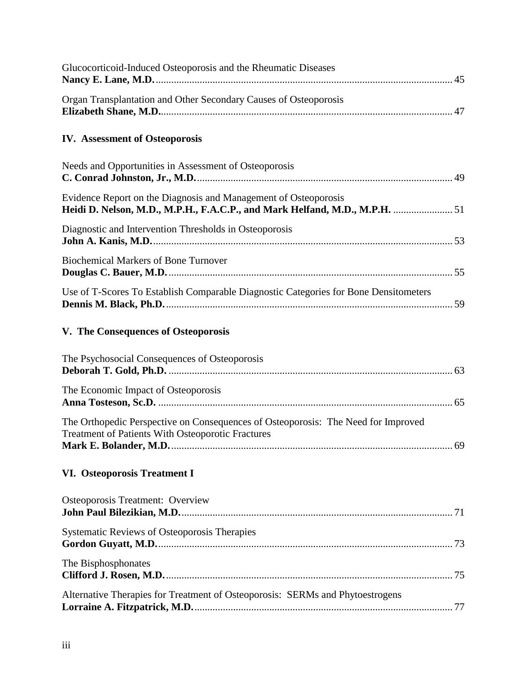| Glucocorticoid-Induced Osteoporosis and the Rheumatic Diseases                                                                                 |
|------------------------------------------------------------------------------------------------------------------------------------------------|
| Organ Transplantation and Other Secondary Causes of Osteoporosis                                                                               |
| <b>IV. Assessment of Osteoporosis</b>                                                                                                          |
| Needs and Opportunities in Assessment of Osteoporosis                                                                                          |
| Evidence Report on the Diagnosis and Management of Osteoporosis<br>Heidi D. Nelson, M.D., M.P.H., F.A.C.P., and Mark Helfand, M.D., M.P.H.  51 |
| Diagnostic and Intervention Thresholds in Osteoporosis                                                                                         |
| <b>Biochemical Markers of Bone Turnover</b>                                                                                                    |
| Use of T-Scores To Establish Comparable Diagnostic Categories for Bone Densitometers                                                           |
| V. The Consequences of Osteoporosis                                                                                                            |
| The Psychosocial Consequences of Osteoporosis                                                                                                  |
| The Economic Impact of Osteoporosis                                                                                                            |
| The Orthopedic Perspective on Consequences of Osteoporosis: The Need for Improved<br><b>Treatment of Patients With Osteoporotic Fractures</b>  |
| VI. Osteoporosis Treatment I                                                                                                                   |
| Osteoporosis Treatment: Overview                                                                                                               |
| Systematic Reviews of Osteoporosis Therapies                                                                                                   |
| The Bisphosphonates                                                                                                                            |
| Alternative Therapies for Treatment of Osteoporosis: SERMs and Phytoestrogens                                                                  |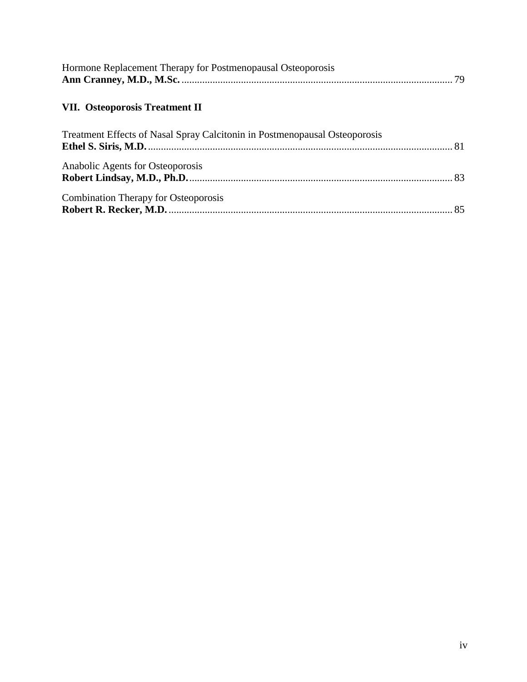| Hormone Replacement Therapy for Postmenopausal Osteoporosis |  |
|-------------------------------------------------------------|--|
|                                                             |  |

### **[VII. Osteoporosis Treatment II](#page-10-0)**

| Treatment Effects of Nasal Spray Calcitonin in Postmenopausal Osteoporosis |  |
|----------------------------------------------------------------------------|--|
| Anabolic Agents for Osteoporosis                                           |  |
| <b>Combination Therapy for Osteoporosis</b>                                |  |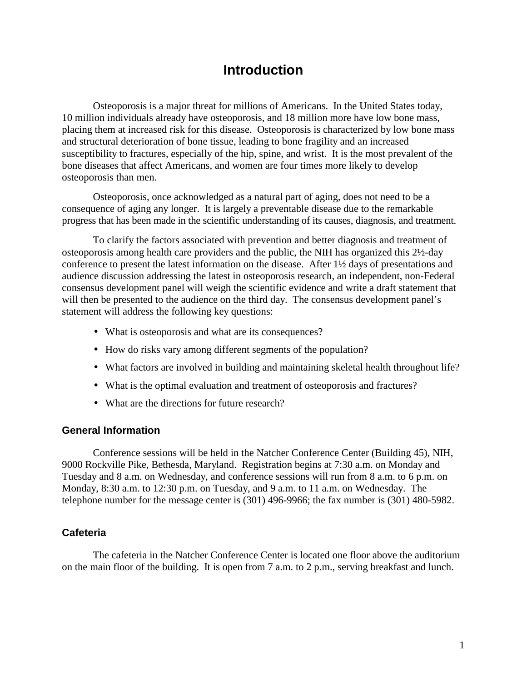### **Introduction**

Osteoporosis is a major threat for millions of Americans. In the United States today, 10 million individuals already have osteoporosis, and 18 million more have low bone mass, placing them at increased risk for this disease. Osteoporosis is characterized by low bone mass and structural deterioration of bone tissue, leading to bone fragility and an increased susceptibility to fractures, especially of the hip, spine, and wrist. It is the most prevalent of the bone diseases that affect Americans, and women are four times more likely to develop osteoporosis than men.

Osteoporosis, once acknowledged as a natural part of aging, does not need to be a consequence of aging any longer. It is largely a preventable disease due to the remarkable progress that has been made in the scientific understanding of its causes, diagnosis, and treatment.

To clarify the factors associated with prevention and better diagnosis and treatment of osteoporosis among health care providers and the public, the NIH has organized this 2½-day conference to present the latest information on the disease. After 1½ days of presentations and audience discussion addressing the latest in osteoporosis research, an independent, non-Federal consensus development panel will weigh the scientific evidence and write a draft statement that will then be presented to the audience on the third day. The consensus development panel's statement will address the following key questions:

- What is osteoporosis and what are its consequences?
- How do risks vary among different segments of the population?
- What factors are involved in building and maintaining skeletal health throughout life?
- What is the optimal evaluation and treatment of osteoporosis and fractures?
- What are the directions for future research?

#### **General Information**

Conference sessions will be held in the Natcher Conference Center (Building 45), NIH, 9000 Rockville Pike, Bethesda, Maryland. Registration begins at 7:30 a.m. on Monday and Tuesday and 8 a.m. on Wednesday, and conference sessions will run from 8 a.m. to 6 p.m. on Monday, 8:30 a.m. to 12:30 p.m. on Tuesday, and 9 a.m. to 11 a.m. on Wednesday. The telephone number for the message center is (301) 496-9966; the fax number is (301) 480-5982.

#### **Cafeteria**

The cafeteria in the Natcher Conference Center is located one floor above the auditorium on the main floor of the building. It is open from 7 a.m. to 2 p.m., serving breakfast and lunch.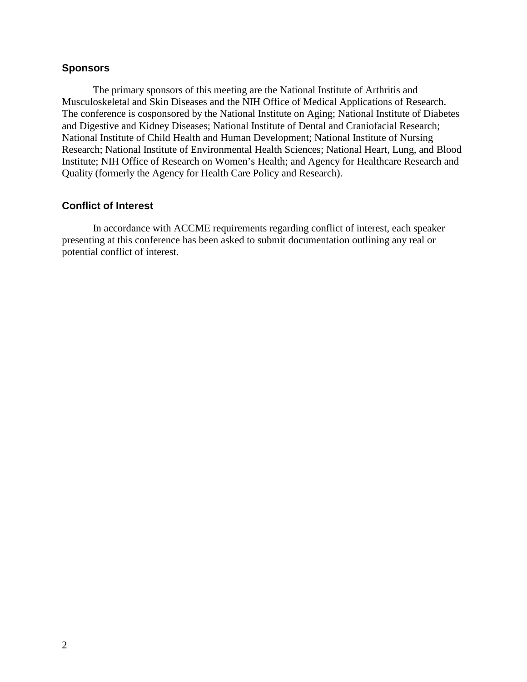#### **Sponsors**

 Quality (formerly the Agency for Health Care Policy and Research). The primary sponsors of this meeting are the National Institute of Arthritis and Musculoskeletal and Skin Diseases and the NIH Office of Medical Applications of Research. The conference is cosponsored by the National Institute on Aging; National Institute of Diabetes and Digestive and Kidney Diseases; National Institute of Dental and Craniofacial Research; National Institute of Child Health and Human Development; National Institute of Nursing Research; National Institute of Environmental Health Sciences; National Heart, Lung, and Blood Institute; NIH Office of Research on Women's Health; and Agency for Healthcare Research and

#### **Conflict of Interest**

In accordance with ACCME requirements regarding conflict of interest, each speaker presenting at this conference has been asked to submit documentation outlining any real or potential conflict of interest.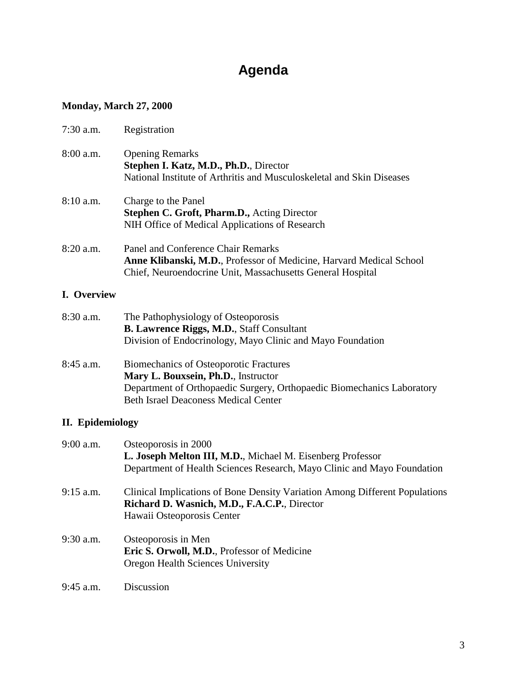# **Agenda**

### **Monday, March 27, 2000**

| $7:30$ a.m. | Registration                                                                                                                                                                                                  |
|-------------|---------------------------------------------------------------------------------------------------------------------------------------------------------------------------------------------------------------|
| $8:00$ a.m. | <b>Opening Remarks</b><br>Stephen I. Katz, M.D., Ph.D., Director<br>National Institute of Arthritis and Musculoskeletal and Skin Diseases                                                                     |
| $8:10$ a.m. | Charge to the Panel<br><b>Stephen C. Groft, Pharm.D., Acting Director</b><br>NIH Office of Medical Applications of Research                                                                                   |
| 8:20 a.m.   | Panel and Conference Chair Remarks<br><b>Anne Klibanski, M.D.</b> , Professor of Medicine, Harvard Medical School<br>Chief, Neuroendocrine Unit, Massachusetts General Hospital                               |
| I. Overview |                                                                                                                                                                                                               |
| 8:30 a.m.   | The Pathophysiology of Osteoporosis<br><b>B. Lawrence Riggs, M.D., Staff Consultant</b><br>Division of Endocrinology, Mayo Clinic and Mayo Foundation                                                         |
| 8:45 a.m.   | <b>Biomechanics of Osteoporotic Fractures</b><br>Mary L. Bouxsein, Ph.D., Instructor<br>Department of Orthopaedic Surgery, Orthopaedic Biomechanics Laboratory<br><b>Beth Israel Deaconess Medical Center</b> |

### **II. Epidemiology**

| $9:00$ a.m. | Osteoporosis in 2000                                                                                                        |
|-------------|-----------------------------------------------------------------------------------------------------------------------------|
|             | L. Joseph Melton III, M.D., Michael M. Eisenberg Professor                                                                  |
|             | Department of Health Sciences Research, Mayo Clinic and Mayo Foundation                                                     |
| $9:15$ a.m. | Clinical Implications of Bone Density Variation Among Different Populations<br>Richard D. Wasnich, M.D., F.A.C.P., Director |
|             | Hawaii Osteoporosis Center                                                                                                  |
| $9:30$ a.m. | Osteoporosis in Men                                                                                                         |
|             | Eric S. Orwoll, M.D., Professor of Medicine                                                                                 |
|             | Oregon Health Sciences University                                                                                           |
| $9:45$ a.m. | Discussion                                                                                                                  |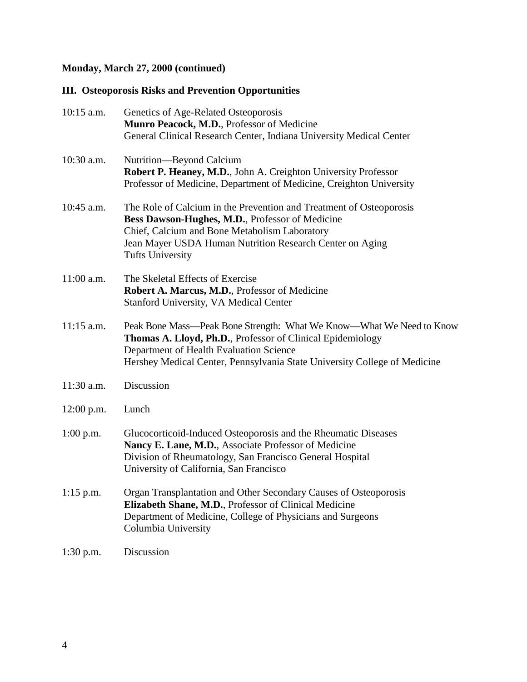### **Monday, March 27, 2000 (continued)**

### **III. Osteoporosis Risks and Prevention Opportunities**

| 10:15 a.m.   | Genetics of Age-Related Osteoporosis<br>Munro Peacock, M.D., Professor of Medicine<br>General Clinical Research Center, Indiana University Medical Center                                                                                                      |  |
|--------------|----------------------------------------------------------------------------------------------------------------------------------------------------------------------------------------------------------------------------------------------------------------|--|
| 10:30 a.m.   | Nutrition-Beyond Calcium<br>Robert P. Heaney, M.D., John A. Creighton University Professor<br>Professor of Medicine, Department of Medicine, Creighton University                                                                                              |  |
| 10:45 a.m.   | The Role of Calcium in the Prevention and Treatment of Osteoporosis<br>Bess Dawson-Hughes, M.D., Professor of Medicine<br>Chief, Calcium and Bone Metabolism Laboratory<br>Jean Mayer USDA Human Nutrition Research Center on Aging<br><b>Tufts University</b> |  |
| 11:00 a.m.   | The Skeletal Effects of Exercise<br>Robert A. Marcus, M.D., Professor of Medicine<br><b>Stanford University, VA Medical Center</b>                                                                                                                             |  |
| $11:15$ a.m. | Peak Bone Mass—Peak Bone Strength: What We Know—What We Need to Know<br>Thomas A. Lloyd, Ph.D., Professor of Clinical Epidemiology<br>Department of Health Evaluation Science<br>Hershey Medical Center, Pennsylvania State University College of Medicine     |  |
| 11:30 a.m.   | Discussion                                                                                                                                                                                                                                                     |  |
| 12:00 p.m.   | Lunch                                                                                                                                                                                                                                                          |  |
| $1:00$ p.m.  | Glucocorticoid-Induced Osteoporosis and the Rheumatic Diseases<br>Nancy E. Lane, M.D., Associate Professor of Medicine<br>Division of Rheumatology, San Francisco General Hospital<br>University of California, San Francisco                                  |  |
| $1:15$ p.m.  | Organ Transplantation and Other Secondary Causes of Osteoporosis<br>Elizabeth Shane, M.D., Professor of Clinical Medicine<br>Department of Medicine, College of Physicians and Surgeons<br>Columbia University                                                 |  |
| $1:30$ p.m.  | Discussion                                                                                                                                                                                                                                                     |  |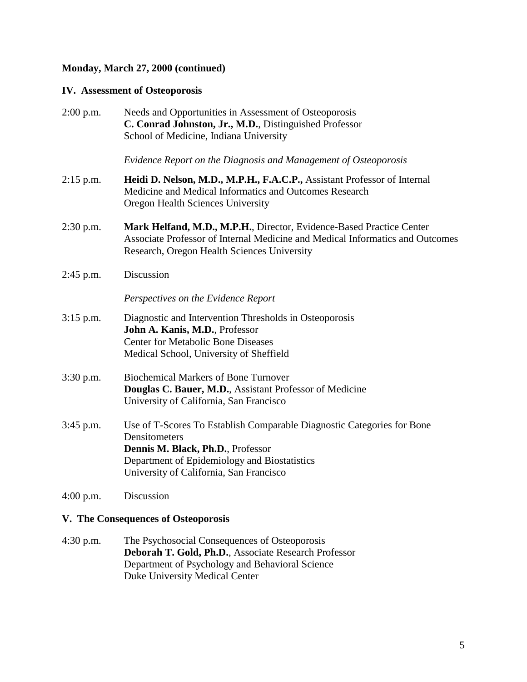#### **Monday, March 27, 2000 (continued)**

#### **IV. Assessment of Osteoporosis**

| $2:00$ p.m. | Needs and Opportunities in Assessment of Osteoporosis<br>C. Conrad Johnston, Jr., M.D., Distinguished Professor<br>School of Medicine, Indiana University                                                               |  |
|-------------|-------------------------------------------------------------------------------------------------------------------------------------------------------------------------------------------------------------------------|--|
|             | Evidence Report on the Diagnosis and Management of Osteoporosis                                                                                                                                                         |  |
| $2:15$ p.m. | Heidi D. Nelson, M.D., M.P.H., F.A.C.P., Assistant Professor of Internal<br>Medicine and Medical Informatics and Outcomes Research<br>Oregon Health Sciences University                                                 |  |
| $2:30$ p.m. | Mark Helfand, M.D., M.P.H., Director, Evidence-Based Practice Center<br>Associate Professor of Internal Medicine and Medical Informatics and Outcomes<br>Research, Oregon Health Sciences University                    |  |
| $2:45$ p.m. | Discussion                                                                                                                                                                                                              |  |
|             | Perspectives on the Evidence Report                                                                                                                                                                                     |  |
| $3:15$ p.m. | Diagnostic and Intervention Thresholds in Osteoporosis<br>John A. Kanis, M.D., Professor<br><b>Center for Metabolic Bone Diseases</b><br>Medical School, University of Sheffield                                        |  |
| 3:30 p.m.   | <b>Biochemical Markers of Bone Turnover</b><br>Douglas C. Bauer, M.D., Assistant Professor of Medicine<br>University of California, San Francisco                                                                       |  |
| 3:45 p.m.   | Use of T-Scores To Establish Comparable Diagnostic Categories for Bone<br>Densitometers<br>Dennis M. Black, Ph.D., Professor<br>Department of Epidemiology and Biostatistics<br>University of California, San Francisco |  |
| $4:00$ p.m. | Discussion                                                                                                                                                                                                              |  |

#### **V. The Consequences of Osteoporosis**

4:30 p.m. The Psychosocial Consequences of Osteoporosis **Deborah T. Gold, Ph.D.**, Associate Research Professor Department of Psychology and Behavioral Science Duke University Medical Center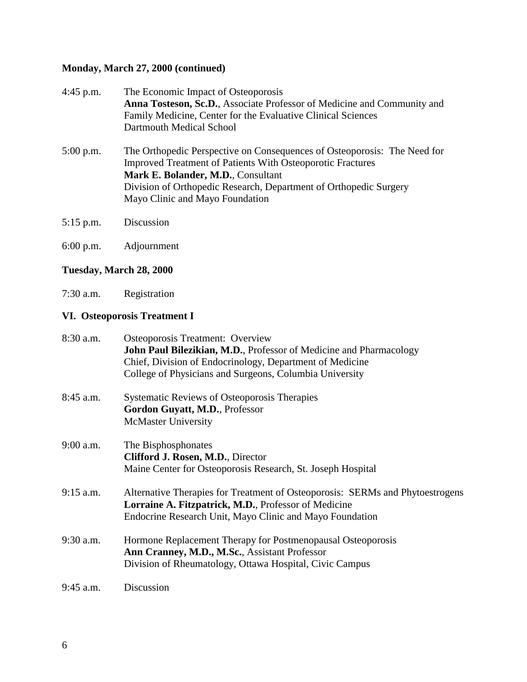### **Monday, March 27, 2000 (continued)**

| $4:45$ p.m. | The Economic Impact of Osteoporosis                                      |  |
|-------------|--------------------------------------------------------------------------|--|
|             | Anna Tosteson, Sc.D., Associate Professor of Medicine and Community and  |  |
|             | Family Medicine, Center for the Evaluative Clinical Sciences             |  |
|             | Dartmouth Medical School                                                 |  |
| $5:00$ p.m. | The Orthopedic Perspective on Consequences of Osteoporosis: The Need for |  |
|             | <b>Improved Treatment of Patients With Osteoporotic Fractures</b>        |  |
|             | Mark E. Bolander, M.D., Consultant                                       |  |
|             | Division of Orthopedic Research, Department of Orthopedic Surgery        |  |
|             | Mayo Clinic and Mayo Foundation                                          |  |
|             |                                                                          |  |

5:15 p.m. Discussion

6:00 p.m. Adjournment

### **Tuesday, March 28, 2000**

7:30 a.m. Registration

#### **VI. Osteoporosis Treatment I**

| $8:30$ a.m. | <b>Osteoporosis Treatment: Overview</b><br>John Paul Bilezikian, M.D., Professor of Medicine and Pharmacology<br>Chief, Division of Endocrinology, Department of Medicine |
|-------------|---------------------------------------------------------------------------------------------------------------------------------------------------------------------------|
|             | College of Physicians and Surgeons, Columbia University                                                                                                                   |
| $8:45$ a.m. | <b>Systematic Reviews of Osteoporosis Therapies</b><br>Gordon Guyatt, M.D., Professor                                                                                     |
|             | <b>McMaster University</b>                                                                                                                                                |
| $9:00$ a.m. | The Bisphosphonates<br>Clifford J. Rosen, M.D., Director                                                                                                                  |
|             | Maine Center for Osteoporosis Research, St. Joseph Hospital                                                                                                               |
| $9:15$ a.m. | Alternative Therapies for Treatment of Osteoporosis: SERMs and Phytoestrogens<br>Lorraine A. Fitzpatrick, M.D., Professor of Medicine                                     |
|             | Endocrine Research Unit, Mayo Clinic and Mayo Foundation                                                                                                                  |
| 9:30 a.m.   | Hormone Replacement Therapy for Postmenopausal Osteoporosis<br>Ann Cranney, M.D., M.Sc., Assistant Professor                                                              |
|             | Division of Rheumatology, Ottawa Hospital, Civic Campus                                                                                                                   |
| $9:45$ a.m. | Discussion                                                                                                                                                                |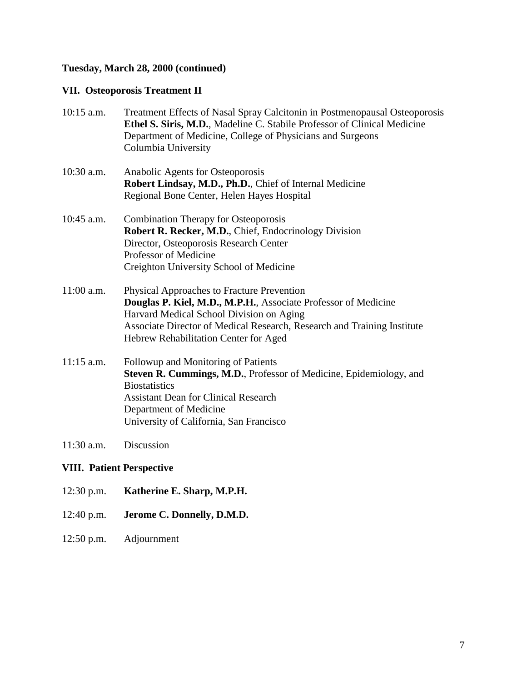### <span id="page-10-0"></span>**Tuesday, March 28, 2000 (continued)**

### **VII. Osteoporosis Treatment II**

| $10:15$ a.m.                     | Treatment Effects of Nasal Spray Calcitonin in Postmenopausal Osteoporosis<br>Ethel S. Siris, M.D., Madeline C. Stabile Professor of Clinical Medicine<br>Department of Medicine, College of Physicians and Surgeons<br>Columbia University                                  |  |
|----------------------------------|------------------------------------------------------------------------------------------------------------------------------------------------------------------------------------------------------------------------------------------------------------------------------|--|
| 10:30 a.m.                       | Anabolic Agents for Osteoporosis<br>Robert Lindsay, M.D., Ph.D., Chief of Internal Medicine<br>Regional Bone Center, Helen Hayes Hospital                                                                                                                                    |  |
| 10:45 a.m.                       | <b>Combination Therapy for Osteoporosis</b><br>Robert R. Recker, M.D., Chief, Endocrinology Division<br>Director, Osteoporosis Research Center<br>Professor of Medicine<br>Creighton University School of Medicine                                                           |  |
| 11:00 a.m.                       | Physical Approaches to Fracture Prevention<br>Douglas P. Kiel, M.D., M.P.H., Associate Professor of Medicine<br>Harvard Medical School Division on Aging<br>Associate Director of Medical Research, Research and Training Institute<br>Hebrew Rehabilitation Center for Aged |  |
| $11:15$ a.m.                     | Followup and Monitoring of Patients<br>Steven R. Cummings, M.D., Professor of Medicine, Epidemiology, and<br><b>Biostatistics</b><br><b>Assistant Dean for Clinical Research</b><br>Department of Medicine<br>University of California, San Francisco                        |  |
| 11:30 a.m.                       | Discussion                                                                                                                                                                                                                                                                   |  |
| <b>VIII. Patient Perspective</b> |                                                                                                                                                                                                                                                                              |  |
| $12:30$ p.m.                     | Katherine E. Sharp, M.P.H.                                                                                                                                                                                                                                                   |  |

- 12:40 p.m. **Jerome C. Donnelly, D.M.D.**
- 12:50 p.m. Adjournment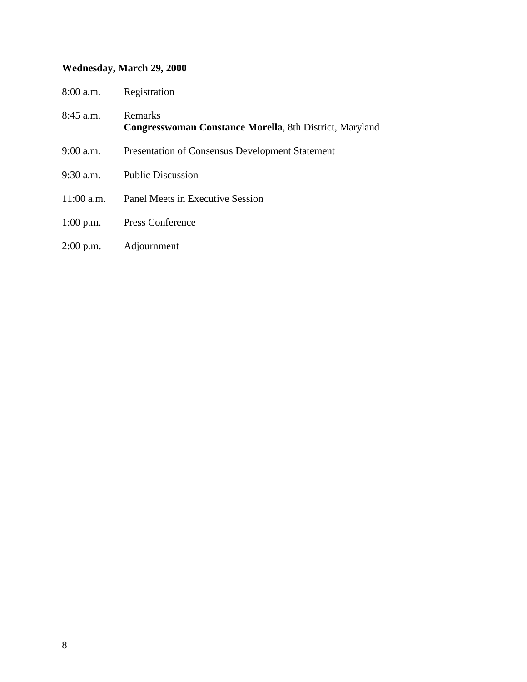#### **Wednesday, March 29, 2000**

| $8:00$ a.m. | Registration |
|-------------|--------------|
|             |              |

- 8:45 a.m. Remarks **Congresswoman Constance Morella**, 8th District, Maryland
- 9:00 a.m. Presentation of Consensus Development Statement
- 9:30 a.m. Public Discussion
- 11:00 a.m. Panel Meets in Executive Session
- 1:00 p.m. Press Conference
- 2:00 p.m. Adjournment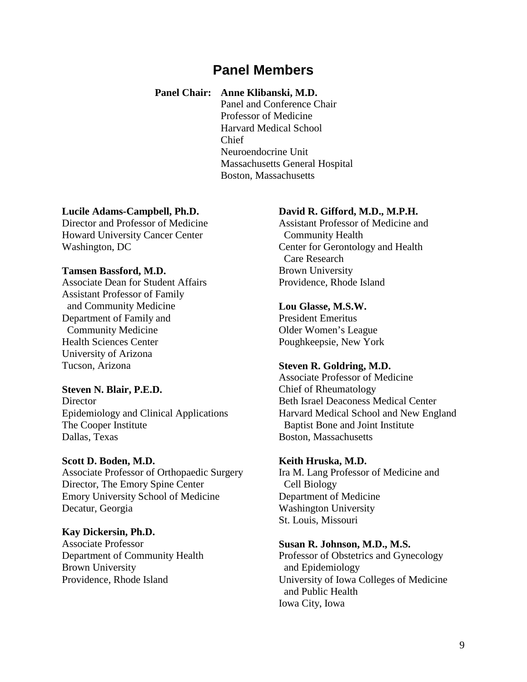### **Panel Members**

#### **Panel Chair: Anne Klibanski, M.D.**

Panel and Conference Chair Professor of Medicine Harvard Medical School Chief Neuroendocrine Unit Massachusetts General Hospital Boston, Massachusetts

#### **Lucile Adams-Campbell, Ph.D.**

Director and Professor of Medicine Howard University Cancer Center Washington, DC

#### **Tamsen Bassford, M.D.**

Associate Dean for Student Affairs Assistant Professor of Family and Community Medicine Department of Family and Community Medicine Health Sciences Center University of Arizona Tucson, Arizona

#### **Steven N. Blair, P.E.D.**

**Director** Epidemiology and Clinical Applications The Cooper Institute Dallas, Texas

#### **Scott D. Boden, M.D.**

Associate Professor of Orthopaedic Surgery Director, The Emory Spine Center Emory University School of Medicine Decatur, Georgia

#### **Kay Dickersin, Ph.D.**

Associate Professor Department of Community Health Brown University Providence, Rhode Island

#### **David R. Gifford, M.D., M.P.H.**

Assistant Professor of Medicine and Community Health Center for Gerontology and Health Care Research Brown University Providence, Rhode Island

#### **Lou Glasse, M.S.W.**

President Emeritus Older Women's League Poughkeepsie, New York

#### **Steven R. Goldring, M.D.**

Associate Professor of Medicine Chief of Rheumatology Beth Israel Deaconess Medical Center Harvard Medical School and New England Baptist Bone and Joint Institute Boston, Massachusetts

#### **Keith Hruska, M.D.**

Ira M. Lang Professor of Medicine and Cell Biology Department of Medicine Washington University St. Louis, Missouri

#### **Susan R. Johnson, M.D., M.S.**

Professor of Obstetrics and Gynecology and Epidemiology University of Iowa Colleges of Medicine and Public Health Iowa City, Iowa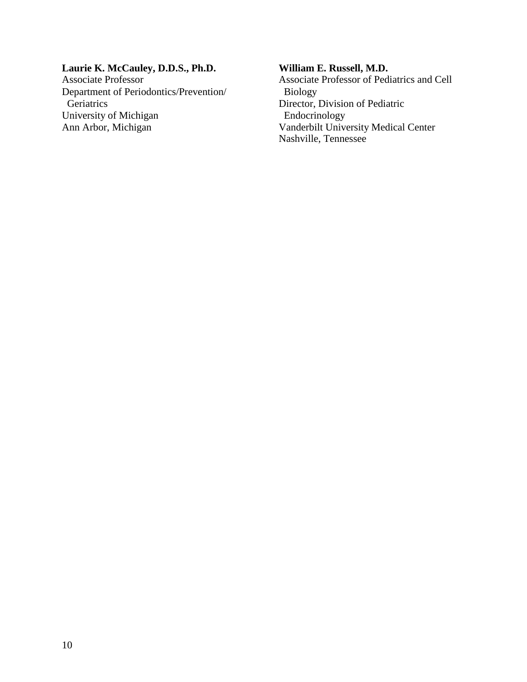### **Laurie K. McCauley, D.D.S., Ph.D.**

Associate Professor Department of Periodontics/Prevention/ **Geriatrics** University of Michigan Ann Arbor, Michigan

#### **William E. Russell, M.D.**

Associate Professor of Pediatrics and Cell Biology Director, Division of Pediatric Endocrinology Vanderbilt University Medical Center Nashville, Tennessee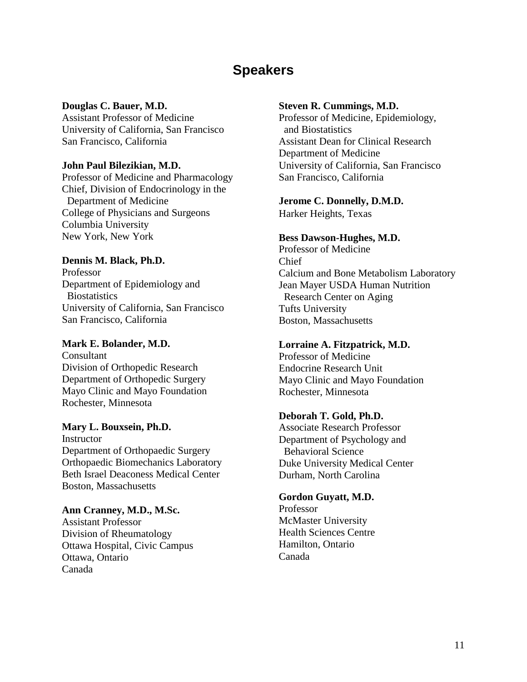## **Speakers**

#### **Douglas C. Bauer, M.D.**

Assistant Professor of Medicine University of California, San Francisco San Francisco, California

#### **John Paul Bilezikian, M.D.**

Professor of Medicine and Pharmacology Chief, Division of Endocrinology in the Department of Medicine College of Physicians and Surgeons Columbia University New York, New York

#### **Dennis M. Black, Ph.D.**

Professor Department of Epidemiology and **Biostatistics** University of California, San Francisco San Francisco, California

#### **Mark E. Bolander, M.D.**

Consultant Division of Orthopedic Research Department of Orthopedic Surgery Mayo Clinic and Mayo Foundation Rochester, Minnesota

#### **Mary L. Bouxsein, Ph.D.**

**Instructor** Department of Orthopaedic Surgery Orthopaedic Biomechanics Laboratory Beth Israel Deaconess Medical Center Boston, Massachusetts

#### **Ann Cranney, M.D., M.Sc.**

Assistant Professor Division of Rheumatology Ottawa Hospital, Civic Campus Ottawa, Ontario Canada

#### **Steven R. Cummings, M.D.**

Professor of Medicine, Epidemiology, and Biostatistics Assistant Dean for Clinical Research Department of Medicine University of California, San Francisco San Francisco, California

#### **Jerome C. Donnelly, D.M.D.**

Harker Heights, Texas

#### **Bess Dawson-Hughes, M.D.**

Professor of Medicine Chief Calcium and Bone Metabolism Laboratory Jean Mayer USDA Human Nutrition Research Center on Aging Tufts University Boston, Massachusetts

#### **Lorraine A. Fitzpatrick, M.D.**

Professor of Medicine Endocrine Research Unit Mayo Clinic and Mayo Foundation Rochester, Minnesota

#### **Deborah T. Gold, Ph.D.**

Associate Research Professor Department of Psychology and Behavioral Science Duke University Medical Center Durham, North Carolina

#### **Gordon Guyatt, M.D.**

Professor McMaster University Health Sciences Centre Hamilton, Ontario Canada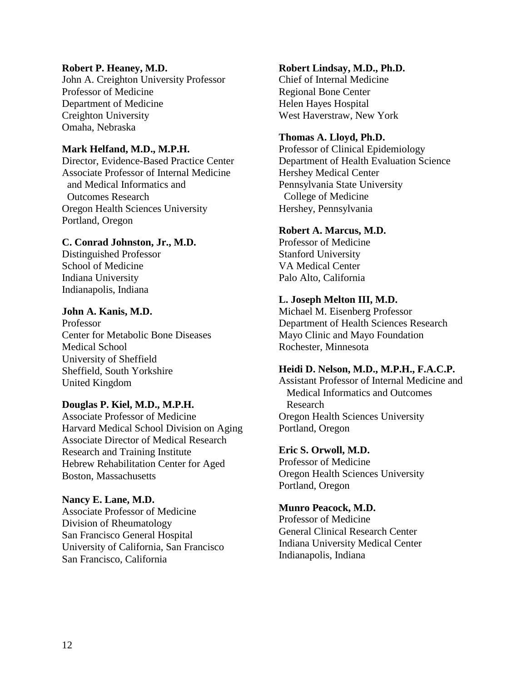#### **Robert P. Heaney, M.D.**

John A. Creighton University Professor Professor of Medicine Department of Medicine Creighton University Omaha, Nebraska

#### **Mark Helfand, M.D., M.P.H.**

Director, Evidence-Based Practice Center Associate Professor of Internal Medicine and Medical Informatics and Outcomes Research Oregon Health Sciences University Portland, Oregon

#### **C. Conrad Johnston, Jr., M.D.**

Distinguished Professor School of Medicine Indiana University Indianapolis, Indiana

#### **John A. Kanis, M.D.**

Professor Center for Metabolic Bone Diseases Medical School University of Sheffield Sheffield, South Yorkshire United Kingdom

#### **Douglas P. Kiel, M.D., M.P.H.**

Associate Professor of Medicine Harvard Medical School Division on Aging Associate Director of Medical Research Research and Training Institute Hebrew Rehabilitation Center for Aged Boston, Massachusetts

#### **Nancy E. Lane, M.D.**  Associate Professor of Medicine Division of Rheumatology San Francisco General Hospital University of California, San Francisco

San Francisco, California

#### **Robert Lindsay, M.D., Ph.D.**

Chief of Internal Medicine Regional Bone Center Helen Hayes Hospital West Haverstraw, New York

#### **Thomas A. Lloyd, Ph.D.**

Professor of Clinical Epidemiology Department of Health Evaluation Science Hershey Medical Center Pennsylvania State University College of Medicine Hershey, Pennsylvania

#### **Robert A. Marcus, M.D.**

Professor of Medicine Stanford University VA Medical Center Palo Alto, California

#### **L. Joseph Melton III, M.D.**

Michael M. Eisenberg Professor Department of Health Sciences Research Mayo Clinic and Mayo Foundation Rochester, Minnesota

#### **Heidi D. Nelson, M.D., M.P.H., F.A.C.P.**

Assistant Professor of Internal Medicine and Medical Informatics and Outcomes Research Oregon Health Sciences University Portland, Oregon

#### **Eric S. Orwoll, M.D.**

Professor of Medicine Oregon Health Sciences University Portland, Oregon

#### **Munro Peacock, M.D.**

Professor of Medicine General Clinical Research Center Indiana University Medical Center Indianapolis, Indiana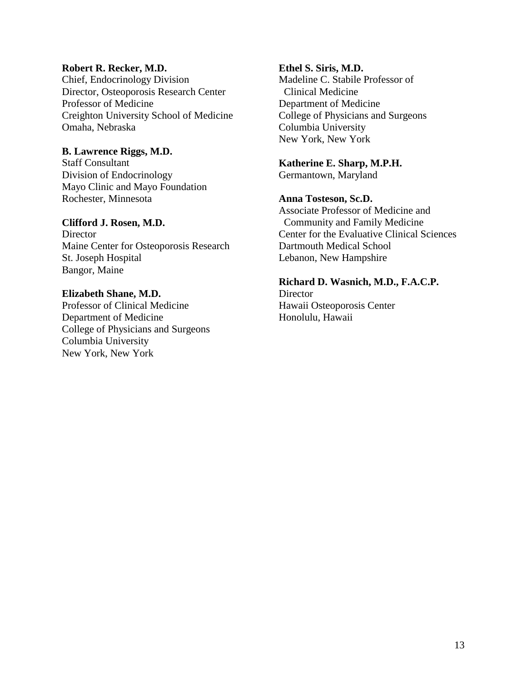#### **Robert R. Recker, M.D.**

Chief, Endocrinology Division Director, Osteoporosis Research Center Professor of Medicine Creighton University School of Medicine Omaha, Nebraska

#### **B. Lawrence Riggs, M.D.**

Staff Consultant Division of Endocrinology Mayo Clinic and Mayo Foundation Rochester, Minnesota

#### **Clifford J. Rosen, M.D.**

**Director** Maine Center for Osteoporosis Research St. Joseph Hospital Bangor, Maine

#### **Elizabeth Shane, M.D.**

Professor of Clinical Medicine Department of Medicine College of Physicians and Surgeons Columbia University New York, New York

#### **Ethel S. Siris, M.D.**

Madeline C. Stabile Professor of Clinical Medicine Department of Medicine College of Physicians and Surgeons Columbia University New York, New York

### **Katherine E. Sharp, M.P.H.**

Germantown, Maryland

#### **Anna Tosteson, Sc.D.**

Associate Professor of Medicine and Community and Family Medicine Center for the Evaluative Clinical Sciences Dartmouth Medical School Lebanon, New Hampshire

#### **Richard D. Wasnich, M.D., F.A.C.P.**

**Director** Hawaii Osteoporosis Center Honolulu, Hawaii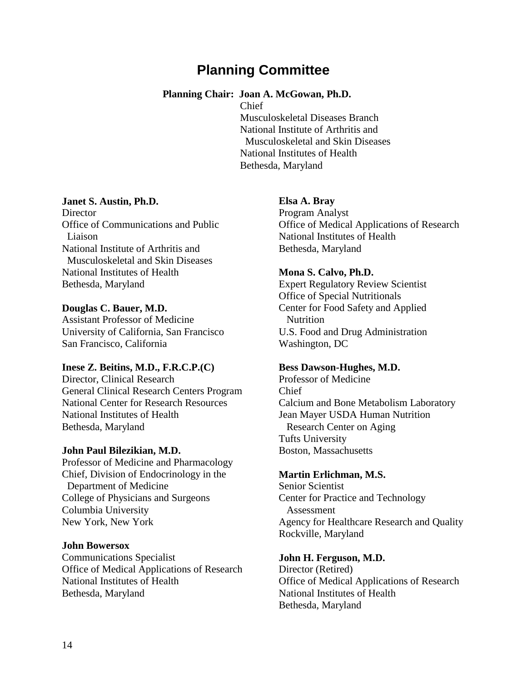## **Planning Committee**

#### **Planning Chair: Joan A. McGowan, Ph.D.**

Chief

Musculoskeletal Diseases Branch National Institute of Arthritis and Musculoskeletal and Skin Diseases National Institutes of Health Bethesda, Maryland

#### **Janet S. Austin, Ph.D.**

**Director** Office of Communications and Public Liaison National Institute of Arthritis and Musculoskeletal and Skin Diseases National Institutes of Health Bethesda, Maryland

#### **Douglas C. Bauer, M.D.**

Assistant Professor of Medicine University of California, San Francisco San Francisco, California

#### **Inese Z. Beitins, M.D., F.R.C.P.(C)**

Director, Clinical Research General Clinical Research Centers Program National Center for Research Resources National Institutes of Health Bethesda, Maryland

#### **John Paul Bilezikian, M.D.**

Professor of Medicine and Pharmacology Chief, Division of Endocrinology in the Department of Medicine College of Physicians and Surgeons Columbia University New York, New York

#### **John Bowersox**

Communications Specialist Office of Medical Applications of Research National Institutes of Health Bethesda, Maryland

#### **Elsa A. Bray**

Program Analyst Office of Medical Applications of Research National Institutes of Health Bethesda, Maryland

#### **Mona S. Calvo, Ph.D.**

Expert Regulatory Review Scientist Office of Special Nutritionals Center for Food Safety and Applied **Nutrition** U.S. Food and Drug Administration Washington, DC

#### **Bess Dawson-Hughes, M.D.**

Professor of Medicine Chief Calcium and Bone Metabolism Laboratory Jean Mayer USDA Human Nutrition Research Center on Aging Tufts University Boston, Massachusetts

#### **Martin Erlichman, M.S.**

Senior Scientist Center for Practice and Technology Assessment Agency for Healthcare Research and Quality Rockville, Maryland

#### **John H. Ferguson, M.D.**

Director (Retired) Office of Medical Applications of Research National Institutes of Health Bethesda, Maryland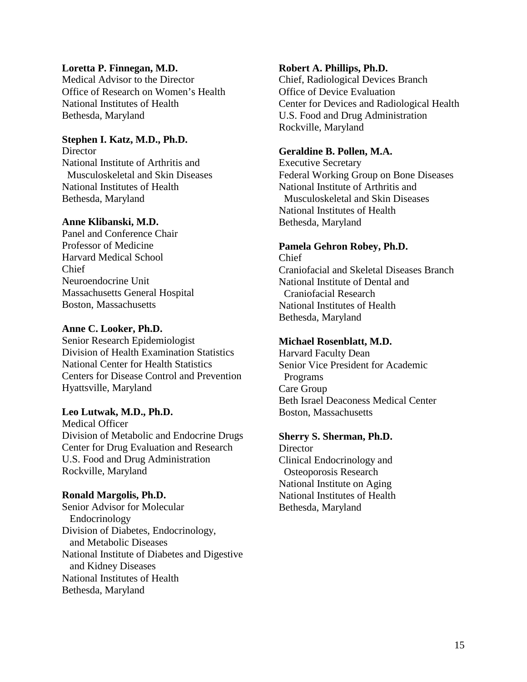#### **Loretta P. Finnegan, M.D.**

Medical Advisor to the Director Office of Research on Women's Health National Institutes of Health Bethesda, Maryland

#### **Stephen I. Katz, M.D., Ph.D.**

**Director** National Institute of Arthritis and Musculoskeletal and Skin Diseases National Institutes of Health Bethesda, Maryland

#### **Anne Klibanski, M.D.**

Panel and Conference Chair Professor of Medicine Harvard Medical School Chief Neuroendocrine Unit Massachusetts General Hospital Boston, Massachusetts

#### **Anne C. Looker, Ph.D.**

Senior Research Epidemiologist Division of Health Examination Statistics National Center for Health Statistics Centers for Disease Control and Prevention Hyattsville, Maryland

#### **Leo Lutwak, M.D., Ph.D.**

Medical Officer Division of Metabolic and Endocrine Drugs Center for Drug Evaluation and Research U.S. Food and Drug Administration Rockville, Maryland

#### **Ronald Margolis, Ph.D.**

 Division of Diabetes, Endocrinology, and Metabolic Diseases Senior Advisor for Molecular Endocrinology National Institute of Diabetes and Digestive and Kidney Diseases National Institutes of Health Bethesda, Maryland

#### **Robert A. Phillips, Ph.D.**

Chief, Radiological Devices Branch Office of Device Evaluation Center for Devices and Radiological Health U.S. Food and Drug Administration Rockville, Maryland

#### **Geraldine B. Pollen, M.A.**

Executive Secretary Federal Working Group on Bone Diseases National Institute of Arthritis and Musculoskeletal and Skin Diseases National Institutes of Health Bethesda, Maryland

#### **Pamela Gehron Robey, Ph.D.**

Chief Craniofacial and Skeletal Diseases Branch National Institute of Dental and Craniofacial Research National Institutes of Health Bethesda, Maryland

#### **Michael Rosenblatt, M.D.**

Harvard Faculty Dean Senior Vice President for Academic Programs Care Group Beth Israel Deaconess Medical Center Boston, Massachusetts

#### **Sherry S. Sherman, Ph.D.**

**Director** Clinical Endocrinology and Osteoporosis Research National Institute on Aging National Institutes of Health Bethesda, Maryland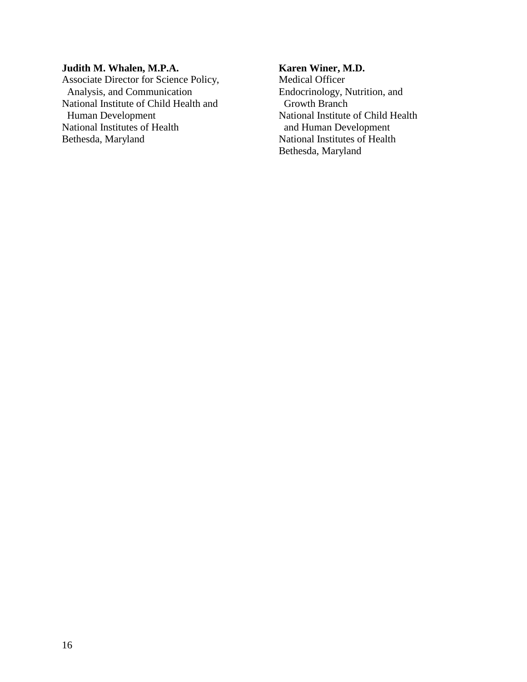#### **Judith M. Whalen, M.P.A.**

 Associate Director for Science Policy, Analysis, and Communication National Institute of Child Health and Human Development National Institutes of Health Bethesda, Maryland

#### **Karen Winer, M.D.**

Medical Officer Endocrinology, Nutrition, and Growth Branch National Institute of Child Health and Human Development National Institutes of Health Bethesda, Maryland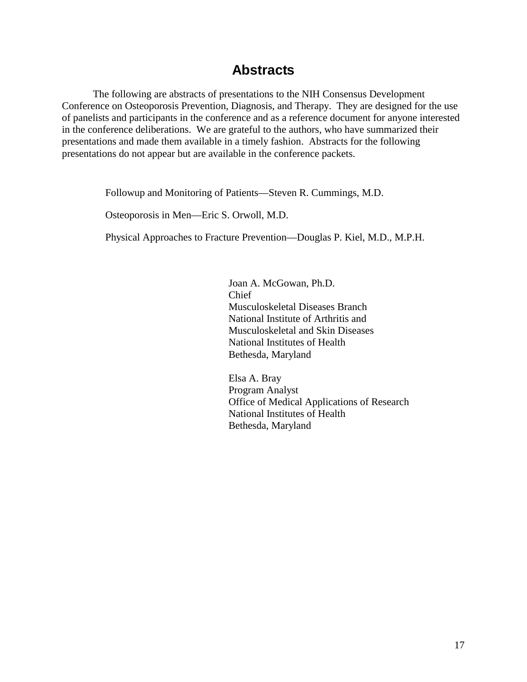### **Abstracts**

The following are abstracts of presentations to the NIH Consensus Development Conference on Osteoporosis Prevention, Diagnosis, and Therapy. They are designed for the use of panelists and participants in the conference and as a reference document for anyone interested in the conference deliberations. We are grateful to the authors, who have summarized their presentations and made them available in a timely fashion. Abstracts for the following presentations do not appear but are available in the conference packets.

Followup and Monitoring of Patients—Steven R. Cummings, M.D.

Osteoporosis in Men—Eric S. Orwoll, M.D.

Physical Approaches to Fracture Prevention—Douglas P. Kiel, M.D., M.P.H.

Joan A. McGowan, Ph.D. Chief Musculoskeletal Diseases Branch National Institute of Arthritis and Musculoskeletal and Skin Diseases National Institutes of Health Bethesda, Maryland

Elsa A. Bray Program Analyst Office of Medical Applications of Research National Institutes of Health Bethesda, Maryland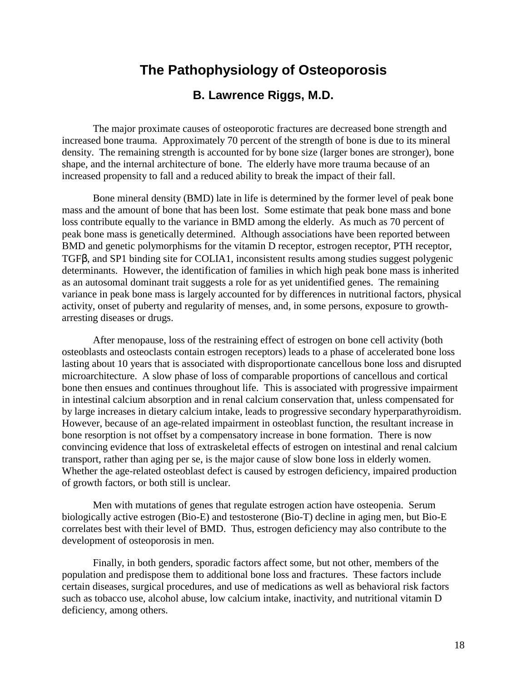### **The Pathophysiology of Osteoporosis**

### **B. Lawrence Riggs, M.D.**

The major proximate causes of osteoporotic fractures are decreased bone strength and increased bone trauma. Approximately 70 percent of the strength of bone is due to its mineral density. The remaining strength is accounted for by bone size (larger bones are stronger), bone shape, and the internal architecture of bone. The elderly have more trauma because of an increased propensity to fall and a reduced ability to break the impact of their fall.

Bone mineral density (BMD) late in life is determined by the former level of peak bone mass and the amount of bone that has been lost. Some estimate that peak bone mass and bone loss contribute equally to the variance in BMD among the elderly. As much as 70 percent of peak bone mass is genetically determined. Although associations have been reported between BMD and genetic polymorphisms for the vitamin D receptor, estrogen receptor, PTH receptor, TGFβ, and SP1 binding site for COLIA1, inconsistent results among studies suggest polygenic determinants. However, the identification of families in which high peak bone mass is inherited as an autosomal dominant trait suggests a role for as yet unidentified genes. The remaining variance in peak bone mass is largely accounted for by differences in nutritional factors, physical activity, onset of puberty and regularity of menses, and, in some persons, exposure to growtharresting diseases or drugs.

After menopause, loss of the restraining effect of estrogen on bone cell activity (both osteoblasts and osteoclasts contain estrogen receptors) leads to a phase of accelerated bone loss lasting about 10 years that is associated with disproportionate cancellous bone loss and disrupted microarchitecture. A slow phase of loss of comparable proportions of cancellous and cortical bone then ensues and continues throughout life. This is associated with progressive impairment in intestinal calcium absorption and in renal calcium conservation that, unless compensated for by large increases in dietary calcium intake, leads to progressive secondary hyperparathyroidism. However, because of an age-related impairment in osteoblast function, the resultant increase in bone resorption is not offset by a compensatory increase in bone formation. There is now convincing evidence that loss of extraskeletal effects of estrogen on intestinal and renal calcium transport, rather than aging per se, is the major cause of slow bone loss in elderly women. Whether the age-related osteoblast defect is caused by estrogen deficiency, impaired production of growth factors, or both still is unclear.

Men with mutations of genes that regulate estrogen action have osteopenia. Serum biologically active estrogen (Bio-E) and testosterone (Bio-T) decline in aging men, but Bio-E correlates best with their level of BMD. Thus, estrogen deficiency may also contribute to the development of osteoporosis in men.

Finally, in both genders, sporadic factors affect some, but not other, members of the population and predispose them to additional bone loss and fractures. These factors include certain diseases, surgical procedures, and use of medications as well as behavioral risk factors such as tobacco use, alcohol abuse, low calcium intake, inactivity, and nutritional vitamin D deficiency, among others.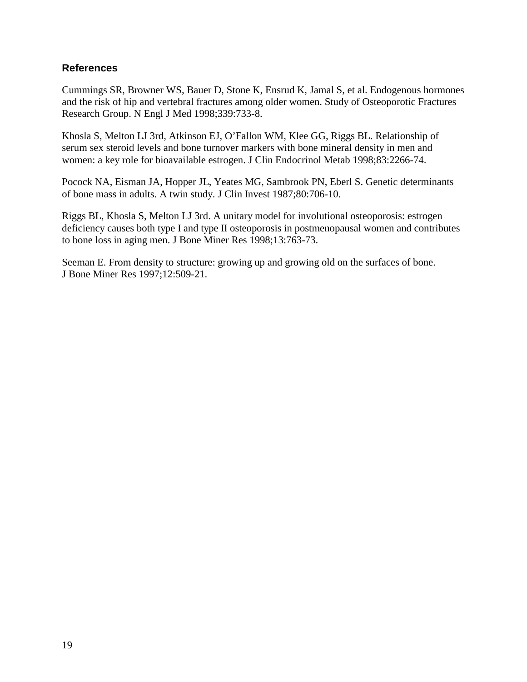#### **References**

Cummings SR, Browner WS, Bauer D, Stone K, Ensrud K, Jamal S, et al. Endogenous hormones and the risk of hip and vertebral fractures among older women. Study of Osteoporotic Fractures Research Group. N Engl J Med 1998;339:733-8.

Khosla S, Melton LJ 3rd, Atkinson EJ, O'Fallon WM, Klee GG, Riggs BL. Relationship of serum sex steroid levels and bone turnover markers with bone mineral density in men and women: a key role for bioavailable estrogen. J Clin Endocrinol Metab 1998;83:2266-74.

Pocock NA, Eisman JA, Hopper JL, Yeates MG, Sambrook PN, Eberl S. Genetic determinants of bone mass in adults. A twin study. J Clin Invest 1987;80:706-10.

Riggs BL, Khosla S, Melton LJ 3rd. A unitary model for involutional osteoporosis: estrogen deficiency causes both type I and type II osteoporosis in postmenopausal women and contributes to bone loss in aging men. J Bone Miner Res 1998;13:763-73.

Seeman E. From density to structure: growing up and growing old on the surfaces of bone. J Bone Miner Res 1997;12:509-21.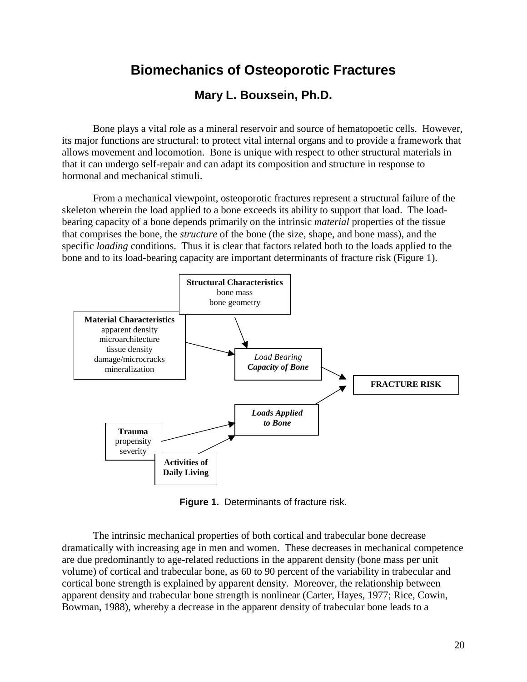## **Biomechanics of Osteoporotic Fractures**

### **Mary L. Bouxsein, Ph.D.**

Bone plays a vital role as a mineral reservoir and source of hematopoetic cells. However, its major functions are structural: to protect vital internal organs and to provide a framework that allows movement and locomotion. Bone is unique with respect to other structural materials in that it can undergo self-repair and can adapt its composition and structure in response to hormonal and mechanical stimuli.

From a mechanical viewpoint, osteoporotic fractures represent a structural failure of the skeleton wherein the load applied to a bone exceeds its ability to support that load. The loadbearing capacity of a bone depends primarily on the intrinsic *material* properties of the tissue that comprises the bone, the *structure* of the bone (the size, shape, and bone mass), and the specific *loading* conditions. Thus it is clear that factors related both to the loads applied to the bone and to its load-bearing capacity are important determinants of fracture risk (Figure 1).



**Figure 1.** Determinants of fracture risk.

The intrinsic mechanical properties of both cortical and trabecular bone decrease dramatically with increasing age in men and women. These decreases in mechanical competence are due predominantly to age-related reductions in the apparent density (bone mass per unit volume) of cortical and trabecular bone, as 60 to 90 percent of the variability in trabecular and cortical bone strength is explained by apparent density. Moreover, the relationship between apparent density and trabecular bone strength is nonlinear (Carter, Hayes, 1977; Rice, Cowin, Bowman, 1988), whereby a decrease in the apparent density of trabecular bone leads to a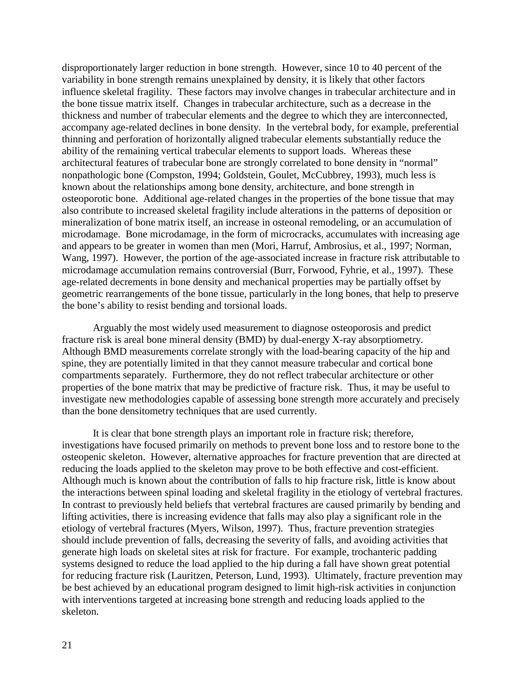disproportionately larger reduction in bone strength. However, since 10 to 40 percent of the variability in bone strength remains unexplained by density, it is likely that other factors influence skeletal fragility. These factors may involve changes in trabecular architecture and in the bone tissue matrix itself. Changes in trabecular architecture, such as a decrease in the thickness and number of trabecular elements and the degree to which they are interconnected, accompany age-related declines in bone density. In the vertebral body, for example, preferential thinning and perforation of horizontally aligned trabecular elements substantially reduce the ability of the remaining vertical trabecular elements to support loads. Whereas these architectural features of trabecular bone are strongly correlated to bone density in "normal" nonpathologic bone (Compston, 1994; Goldstein, Goulet, McCubbrey, 1993), much less is known about the relationships among bone density, architecture, and bone strength in osteoporotic bone. Additional age-related changes in the properties of the bone tissue that may also contribute to increased skeletal fragility include alterations in the patterns of deposition or mineralization of bone matrix itself, an increase in osteonal remodeling, or an accumulation of microdamage. Bone microdamage, in the form of microcracks, accumulates with increasing age and appears to be greater in women than men (Mori, Harruf, Ambrosius, et al., 1997; Norman, Wang, 1997). However, the portion of the age-associated increase in fracture risk attributable to microdamage accumulation remains controversial (Burr, Forwood, Fyhrie, et al., 1997). These age-related decrements in bone density and mechanical properties may be partially offset by geometric rearrangements of the bone tissue, particularly in the long bones, that help to preserve the bone's ability to resist bending and torsional loads.

fracture risk is areal bone mineral density (BMD) by dual-energy X-ray absorptiometry. Arguably the most widely used measurement to diagnose osteoporosis and predict Although BMD measurements correlate strongly with the load-bearing capacity of the hip and spine, they are potentially limited in that they cannot measure trabecular and cortical bone compartments separately. Furthermore, they do not reflect trabecular architecture or other properties of the bone matrix that may be predictive of fracture risk. Thus, it may be useful to investigate new methodologies capable of assessing bone strength more accurately and precisely than the bone densitometry techniques that are used currently.

It is clear that bone strength plays an important role in fracture risk; therefore, investigations have focused primarily on methods to prevent bone loss and to restore bone to the osteopenic skeleton. However, alternative approaches for fracture prevention that are directed at reducing the loads applied to the skeleton may prove to be both effective and cost-efficient. Although much is known about the contribution of falls to hip fracture risk, little is know about the interactions between spinal loading and skeletal fragility in the etiology of vertebral fractures. In contrast to previously held beliefs that vertebral fractures are caused primarily by bending and lifting activities, there is increasing evidence that falls may also play a significant role in the etiology of vertebral fractures (Myers, Wilson, 1997). Thus, fracture prevention strategies should include prevention of falls, decreasing the severity of falls, and avoiding activities that generate high loads on skeletal sites at risk for fracture. For example, trochanteric padding systems designed to reduce the load applied to the hip during a fall have shown great potential for reducing fracture risk (Lauritzen, Peterson, Lund, 1993). Ultimately, fracture prevention may be best achieved by an educational program designed to limit high-risk activities in conjunction with interventions targeted at increasing bone strength and reducing loads applied to the skeleton.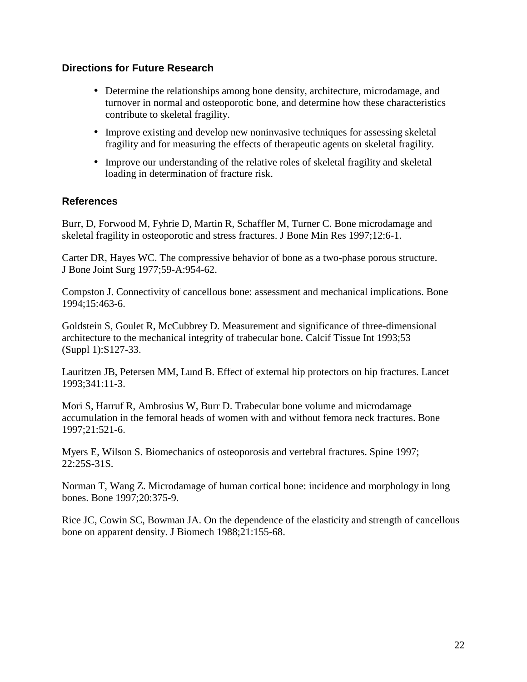#### **Directions for Future Research**

- Determine the relationships among bone density, architecture, microdamage, and turnover in normal and osteoporotic bone, and determine how these characteristics contribute to skeletal fragility.
- Improve existing and develop new noninvasive techniques for assessing skeletal fragility and for measuring the effects of therapeutic agents on skeletal fragility.
- Improve our understanding of the relative roles of skeletal fragility and skeletal loading in determination of fracture risk.

#### **References**

Burr, D, Forwood M, Fyhrie D, Martin R, Schaffler M, Turner C. Bone microdamage and skeletal fragility in osteoporotic and stress fractures. J Bone Min Res 1997;12:6-1.

Carter DR, Hayes WC. The compressive behavior of bone as a two-phase porous structure. J Bone Joint Surg 1977;59-A:954-62.

Compston J. Connectivity of cancellous bone: assessment and mechanical implications. Bone 1994;15:463-6.

Goldstein S, Goulet R, McCubbrey D. Measurement and significance of three-dimensional architecture to the mechanical integrity of trabecular bone. Calcif Tissue Int 1993;53 (Suppl 1):S127-33.

Lauritzen JB, Petersen MM, Lund B. Effect of external hip protectors on hip fractures. Lancet 1993;341:11-3.

Mori S, Harruf R, Ambrosius W, Burr D. Trabecular bone volume and microdamage accumulation in the femoral heads of women with and without femora neck fractures. Bone 1997;21:521-6.

Myers E, Wilson S. Biomechanics of osteoporosis and vertebral fractures. Spine 1997; 22:25S-31S.

Norman T, Wang Z. Microdamage of human cortical bone: incidence and morphology in long bones. Bone 1997;20:375-9.

Rice JC, Cowin SC, Bowman JA. On the dependence of the elasticity and strength of cancellous bone on apparent density. J Biomech 1988;21:155-68.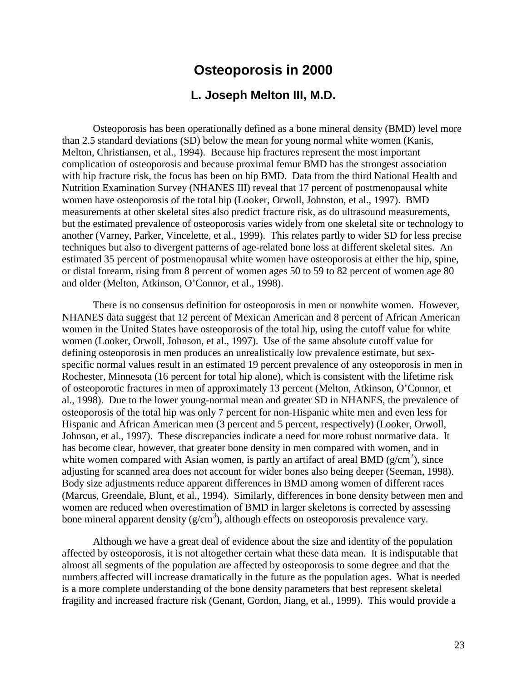### **Osteoporosis in 2000**

#### **L. Joseph Melton III, M.D.**

Osteoporosis has been operationally defined as a bone mineral density (BMD) level more than 2.5 standard deviations (SD) below the mean for young normal white women (Kanis, Melton, Christiansen, et al., 1994). Because hip fractures represent the most important complication of osteoporosis and because proximal femur BMD has the strongest association with hip fracture risk, the focus has been on hip BMD. Data from the third National Health and Nutrition Examination Survey (NHANES III) reveal that 17 percent of postmenopausal white women have osteoporosis of the total hip (Looker, Orwoll, Johnston, et al., 1997). BMD measurements at other skeletal sites also predict fracture risk, as do ultrasound measurements, but the estimated prevalence of osteoporosis varies widely from one skeletal site or technology to another (Varney, Parker, Vincelette, et al., 1999). This relates partly to wider SD for less precise techniques but also to divergent patterns of age-related bone loss at different skeletal sites. An estimated 35 percent of postmenopausal white women have osteoporosis at either the hip, spine, or distal forearm, rising from 8 percent of women ages 50 to 59 to 82 percent of women age 80 and older (Melton, Atkinson, O'Connor, et al., 1998).

There is no consensus definition for osteoporosis in men or nonwhite women. However, NHANES data suggest that 12 percent of Mexican American and 8 percent of African American women in the United States have osteoporosis of the total hip, using the cutoff value for white women (Looker, Orwoll, Johnson, et al., 1997). Use of the same absolute cutoff value for defining osteoporosis in men produces an unrealistically low prevalence estimate, but sexspecific normal values result in an estimated 19 percent prevalence of any osteoporosis in men in Rochester, Minnesota (16 percent for total hip alone), which is consistent with the lifetime risk of osteoporotic fractures in men of approximately 13 percent (Melton, Atkinson, O'Connor, et al., 1998). Due to the lower young-normal mean and greater SD in NHANES, the prevalence of osteoporosis of the total hip was only 7 percent for non-Hispanic white men and even less for Hispanic and African American men (3 percent and 5 percent, respectively) (Looker, Orwoll, Johnson, et al., 1997). These discrepancies indicate a need for more robust normative data. It has become clear, however, that greater bone density in men compared with women, and in white women compared with Asian women, is partly an artifact of areal BMD ( $g/cm<sup>2</sup>$ ), since adjusting for scanned area does not account for wider bones also being deeper (Seeman, 1998). Body size adjustments reduce apparent differences in BMD among women of different races (Marcus, Greendale, Blunt, et al., 1994). Similarly, differences in bone density between men and women are reduced when overestimation of BMD in larger skeletons is corrected by assessing bone mineral apparent density  $(g/cm<sup>3</sup>)$ , although effects on osteoporosis prevalence vary.

Although we have a great deal of evidence about the size and identity of the population affected by osteoporosis, it is not altogether certain what these data mean. It is indisputable that almost all segments of the population are affected by osteoporosis to some degree and that the numbers affected will increase dramatically in the future as the population ages. What is needed is a more complete understanding of the bone density parameters that best represent skeletal fragility and increased fracture risk (Genant, Gordon, Jiang, et al., 1999). This would provide a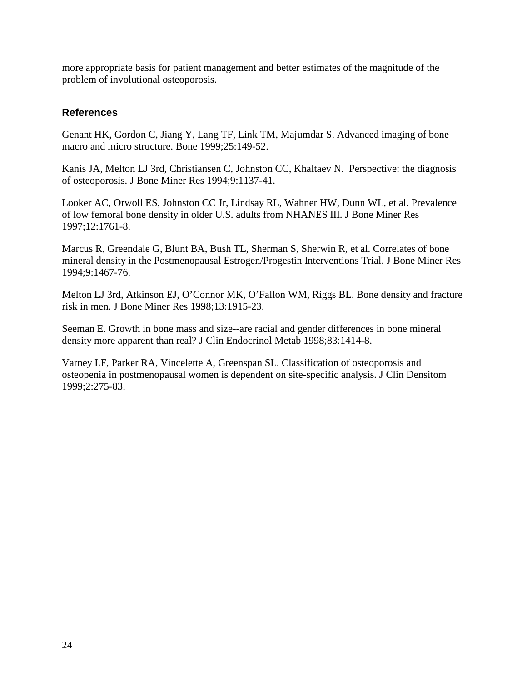more appropriate basis for patient management and better estimates of the magnitude of the problem of involutional osteoporosis.

#### **References**

Genant HK, Gordon C, Jiang Y, Lang TF, Link TM, Majumdar S. Advanced imaging of bone macro and micro structure. Bone 1999;25:149-52.

Kanis JA, Melton LJ 3rd, Christiansen C, Johnston CC, Khaltaev N. Perspective: the diagnosis of osteoporosis. J Bone Miner Res 1994;9:1137-41.

Looker AC, Orwoll ES, Johnston CC Jr, Lindsay RL, Wahner HW, Dunn WL, et al. Prevalence of low femoral bone density in older U.S. adults from NHANES III. J Bone Miner Res 1997;12:1761-8.

Marcus R, Greendale G, Blunt BA, Bush TL, Sherman S, Sherwin R, et al. Correlates of bone mineral density in the Postmenopausal Estrogen/Progestin Interventions Trial. J Bone Miner Res 1994;9:1467-76.

Melton LJ 3rd, Atkinson EJ, O'Connor MK, O'Fallon WM, Riggs BL. Bone density and fracture risk in men. J Bone Miner Res 1998;13:1915-23.

Seeman E. Growth in bone mass and size--are racial and gender differences in bone mineral density more apparent than real? J Clin Endocrinol Metab 1998;83:1414-8.

Varney LF, Parker RA, Vincelette A, Greenspan SL. Classification of osteoporosis and osteopenia in postmenopausal women is dependent on site-specific analysis. J Clin Densitom 1999;2:275-83.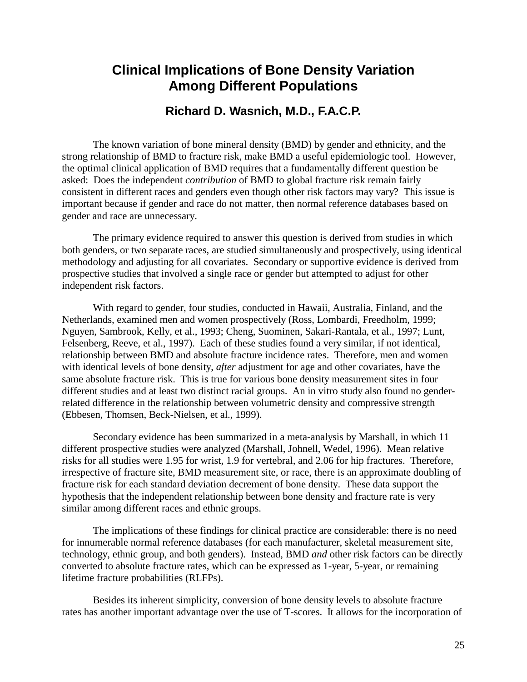### **Clinical Implications of Bone Density Variation Among Different Populations**

### **Richard D. Wasnich, M.D., F.A.C.P.**

The known variation of bone mineral density (BMD) by gender and ethnicity, and the strong relationship of BMD to fracture risk, make BMD a useful epidemiologic tool. However, the optimal clinical application of BMD requires that a fundamentally different question be asked: Does the independent *contribution* of BMD to global fracture risk remain fairly consistent in different races and genders even though other risk factors may vary? This issue is important because if gender and race do not matter, then normal reference databases based on gender and race are unnecessary.

The primary evidence required to answer this question is derived from studies in which both genders, or two separate races, are studied simultaneously and prospectively, using identical methodology and adjusting for all covariates. Secondary or supportive evidence is derived from prospective studies that involved a single race or gender but attempted to adjust for other independent risk factors.

With regard to gender, four studies, conducted in Hawaii, Australia, Finland, and the Netherlands, examined men and women prospectively (Ross, Lombardi, Freedholm, 1999; Nguyen, Sambrook, Kelly, et al., 1993; Cheng, Suominen, Sakari-Rantala, et al., 1997; Lunt, Felsenberg, Reeve, et al., 1997). Each of these studies found a very similar, if not identical, relationship between BMD and absolute fracture incidence rates. Therefore, men and women with identical levels of bone density, *after* adjustment for age and other covariates, have the same absolute fracture risk. This is true for various bone density measurement sites in four different studies and at least two distinct racial groups. An in vitro study also found no genderrelated difference in the relationship between volumetric density and compressive strength (Ebbesen, Thomsen, Beck-Nielsen, et al., 1999).

Secondary evidence has been summarized in a meta-analysis by Marshall, in which 11 different prospective studies were analyzed (Marshall, Johnell, Wedel, 1996). Mean relative risks for all studies were 1.95 for wrist, 1.9 for vertebral, and 2.06 for hip fractures. Therefore, irrespective of fracture site, BMD measurement site, or race, there is an approximate doubling of fracture risk for each standard deviation decrement of bone density. These data support the hypothesis that the independent relationship between bone density and fracture rate is very similar among different races and ethnic groups.

The implications of these findings for clinical practice are considerable: there is no need for innumerable normal reference databases (for each manufacturer, skeletal measurement site, technology, ethnic group, and both genders). Instead, BMD *and* other risk factors can be directly converted to absolute fracture rates, which can be expressed as 1-year, 5-year, or remaining lifetime fracture probabilities (RLFPs).

Besides its inherent simplicity, conversion of bone density levels to absolute fracture rates has another important advantage over the use of T-scores. It allows for the incorporation of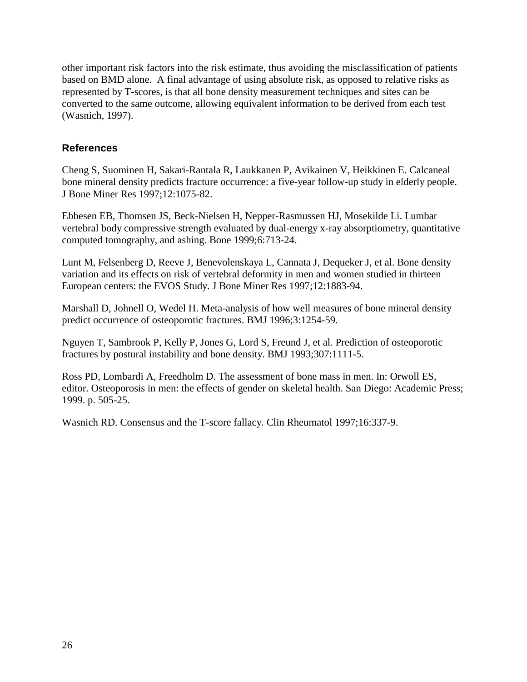other important risk factors into the risk estimate, thus avoiding the misclassification of patients based on BMD alone. A final advantage of using absolute risk, as opposed to relative risks as represented by T-scores, is that all bone density measurement techniques and sites can be converted to the same outcome, allowing equivalent information to be derived from each test (Wasnich, 1997).

#### **References**

Cheng S, Suominen H, Sakari-Rantala R, Laukkanen P, Avikainen V, Heikkinen E. Calcaneal bone mineral density predicts fracture occurrence: a five-year follow-up study in elderly people. J Bone Miner Res 1997;12:1075-82.

Ebbesen EB, Thomsen JS, Beck-Nielsen H, Nepper-Rasmussen HJ, Mosekilde Li. Lumbar vertebral body compressive strength evaluated by dual-energy x-ray absorptiometry, quantitative computed tomography, and ashing. Bone 1999;6:713-24.

Lunt M, Felsenberg D, Reeve J, Benevolenskaya L, Cannata J, Dequeker J, et al. Bone density variation and its effects on risk of vertebral deformity in men and women studied in thirteen European centers: the EVOS Study. J Bone Miner Res 1997;12:1883-94.

Marshall D, Johnell O, Wedel H. Meta-analysis of how well measures of bone mineral density predict occurrence of osteoporotic fractures. BMJ 1996;3:1254-59.

Nguyen T, Sambrook P, Kelly P, Jones G, Lord S, Freund J, et al. Prediction of osteoporotic fractures by postural instability and bone density. BMJ 1993;307:1111-5.

Ross PD, Lombardi A, Freedholm D. The assessment of bone mass in men. In: Orwoll ES, editor. Osteoporosis in men: the effects of gender on skeletal health. San Diego: Academic Press; 1999. p. 505-25.

Wasnich RD. Consensus and the T-score fallacy. Clin Rheumatol 1997;16:337-9.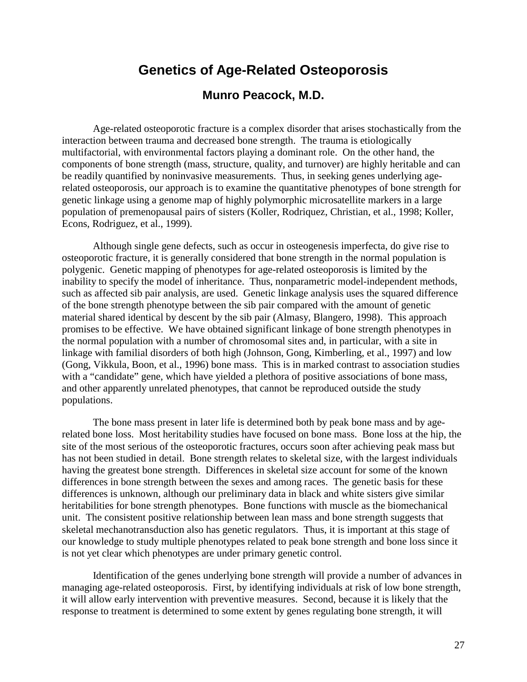### **Genetics of Age-Related Osteoporosis**

### **Munro Peacock, M.D.**

Age-related osteoporotic fracture is a complex disorder that arises stochastically from the interaction between trauma and decreased bone strength. The trauma is etiologically multifactorial, with environmental factors playing a dominant role. On the other hand, the components of bone strength (mass, structure, quality, and turnover) are highly heritable and can be readily quantified by noninvasive measurements. Thus, in seeking genes underlying agerelated osteoporosis, our approach is to examine the quantitative phenotypes of bone strength for genetic linkage using a genome map of highly polymorphic microsatellite markers in a large population of premenopausal pairs of sisters (Koller, Rodriquez, Christian, et al., 1998; Koller, Econs, Rodriguez, et al., 1999).

Although single gene defects, such as occur in osteogenesis imperfecta, do give rise to osteoporotic fracture, it is generally considered that bone strength in the normal population is polygenic. Genetic mapping of phenotypes for age-related osteoporosis is limited by the inability to specify the model of inheritance. Thus, nonparametric model-independent methods, such as affected sib pair analysis, are used. Genetic linkage analysis uses the squared difference of the bone strength phenotype between the sib pair compared with the amount of genetic material shared identical by descent by the sib pair (Almasy, Blangero, 1998). This approach promises to be effective. We have obtained significant linkage of bone strength phenotypes in the normal population with a number of chromosomal sites and, in particular, with a site in linkage with familial disorders of both high (Johnson, Gong, Kimberling, et al., 1997) and low (Gong, Vikkula, Boon, et al., 1996) bone mass. This is in marked contrast to association studies with a "candidate" gene, which have yielded a plethora of positive associations of bone mass, and other apparently unrelated phenotypes, that cannot be reproduced outside the study populations.

The bone mass present in later life is determined both by peak bone mass and by agerelated bone loss. Most heritability studies have focused on bone mass. Bone loss at the hip, the site of the most serious of the osteoporotic fractures, occurs soon after achieving peak mass but has not been studied in detail. Bone strength relates to skeletal size, with the largest individuals having the greatest bone strength. Differences in skeletal size account for some of the known differences in bone strength between the sexes and among races. The genetic basis for these differences is unknown, although our preliminary data in black and white sisters give similar heritabilities for bone strength phenotypes. Bone functions with muscle as the biomechanical unit. The consistent positive relationship between lean mass and bone strength suggests that skeletal mechanotransduction also has genetic regulators. Thus, it is important at this stage of our knowledge to study multiple phenotypes related to peak bone strength and bone loss since it is not yet clear which phenotypes are under primary genetic control.

Identification of the genes underlying bone strength will provide a number of advances in managing age-related osteoporosis. First, by identifying individuals at risk of low bone strength, it will allow early intervention with preventive measures. Second, because it is likely that the response to treatment is determined to some extent by genes regulating bone strength, it will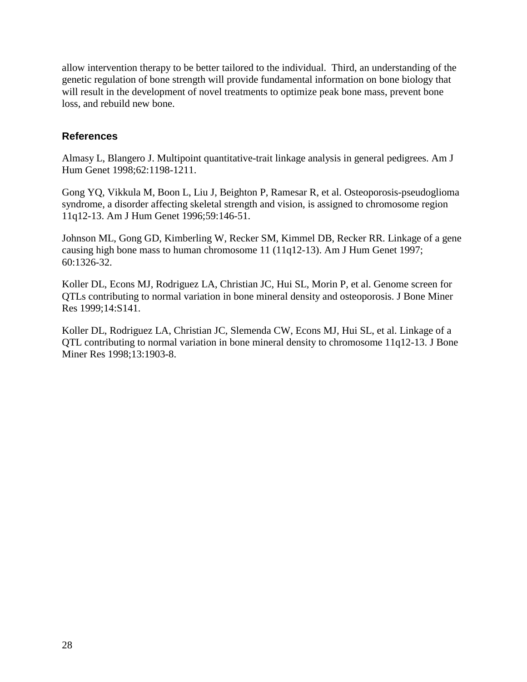allow intervention therapy to be better tailored to the individual. Third, an understanding of the genetic regulation of bone strength will provide fundamental information on bone biology that will result in the development of novel treatments to optimize peak bone mass, prevent bone loss, and rebuild new bone.

#### **References**

Almasy L, Blangero J. Multipoint quantitative-trait linkage analysis in general pedigrees. Am J Hum Genet 1998;62:1198-1211.

Gong YQ, Vikkula M, Boon L, Liu J, Beighton P, Ramesar R, et al. Osteoporosis-pseudoglioma syndrome, a disorder affecting skeletal strength and vision, is assigned to chromosome region 11q12-13. Am J Hum Genet 1996;59:146-51.

Johnson ML, Gong GD, Kimberling W, Recker SM, Kimmel DB, Recker RR. Linkage of a gene causing high bone mass to human chromosome 11 (11q12-13). Am J Hum Genet 1997; 60:1326-32.

Koller DL, Econs MJ, Rodriguez LA, Christian JC, Hui SL, Morin P, et al. Genome screen for QTLs contributing to normal variation in bone mineral density and osteoporosis. J Bone Miner Res 1999;14:S141.

Koller DL, Rodriguez LA, Christian JC, Slemenda CW, Econs MJ, Hui SL, et al. Linkage of a QTL contributing to normal variation in bone mineral density to chromosome 11q12-13. J Bone Miner Res 1998;13:1903-8.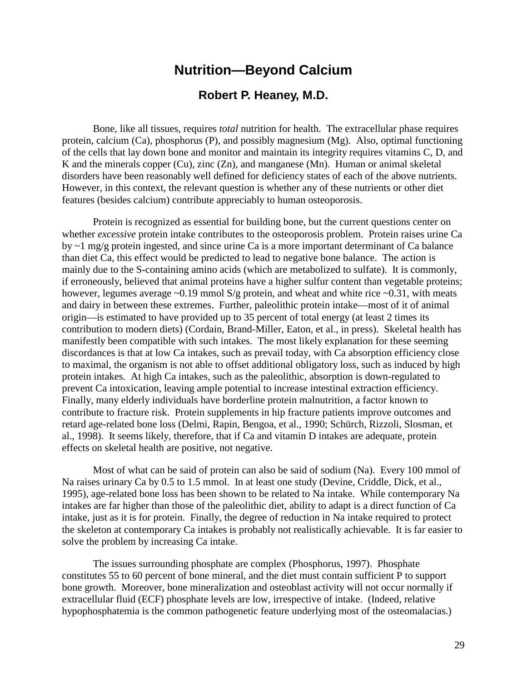### **Nutrition—Beyond Calcium**

#### **Robert P. Heaney, M.D.**

Bone, like all tissues, requires *total* nutrition for health. The extracellular phase requires protein, calcium (Ca), phosphorus (P), and possibly magnesium (Mg). Also, optimal functioning of the cells that lay down bone and monitor and maintain its integrity requires vitamins C, D, and K and the minerals copper (Cu), zinc (Zn), and manganese (Mn). Human or animal skeletal disorders have been reasonably well defined for deficiency states of each of the above nutrients. However, in this context, the relevant question is whether any of these nutrients or other diet features (besides calcium) contribute appreciably to human osteoporosis.

Protein is recognized as essential for building bone, but the current questions center on whether *excessive* protein intake contributes to the osteoporosis problem. Protein raises urine Ca by ~1 mg/g protein ingested, and since urine Ca is a more important determinant of Ca balance than diet Ca, this effect would be predicted to lead to negative bone balance. The action is mainly due to the S-containing amino acids (which are metabolized to sulfate). It is commonly, if erroneously, believed that animal proteins have a higher sulfur content than vegetable proteins; however, legumes average  $\sim 0.19$  mmol S/g protein, and wheat and white rice  $\sim 0.31$ , with meats and dairy in between these extremes. Further, paleolithic protein intake—most of it of animal origin—is estimated to have provided up to 35 percent of total energy (at least 2 times its contribution to modern diets) (Cordain, Brand-Miller, Eaton, et al., in press). Skeletal health has manifestly been compatible with such intakes. The most likely explanation for these seeming discordances is that at low Ca intakes, such as prevail today, with Ca absorption efficiency close to maximal, the organism is not able to offset additional obligatory loss, such as induced by high protein intakes. At high Ca intakes, such as the paleolithic, absorption is down-regulated to prevent Ca intoxication, leaving ample potential to increase intestinal extraction efficiency. Finally, many elderly individuals have borderline protein malnutrition, a factor known to contribute to fracture risk. Protein supplements in hip fracture patients improve outcomes and retard age-related bone loss (Delmi, Rapin, Bengoa, et al., 1990; Schürch, Rizzoli, Slosman, et al., 1998). It seems likely, therefore, that if Ca and vitamin D intakes are adequate, protein effects on skeletal health are positive, not negative.

Most of what can be said of protein can also be said of sodium (Na). Every 100 mmol of Na raises urinary Ca by 0.5 to 1.5 mmol. In at least one study (Devine, Criddle, Dick, et al., 1995), age-related bone loss has been shown to be related to Na intake. While contemporary Na intakes are far higher than those of the paleolithic diet, ability to adapt is a direct function of Ca intake, just as it is for protein. Finally, the degree of reduction in Na intake required to protect the skeleton at contemporary Ca intakes is probably not realistically achievable. It is far easier to solve the problem by increasing Ca intake.

The issues surrounding phosphate are complex (Phosphorus, 1997). Phosphate constitutes 55 to 60 percent of bone mineral, and the diet must contain sufficient P to support bone growth. Moreover, bone mineralization and osteoblast activity will not occur normally if extracellular fluid (ECF) phosphate levels are low, irrespective of intake. (Indeed, relative hypophosphatemia is the common pathogenetic feature underlying most of the osteomalacias.)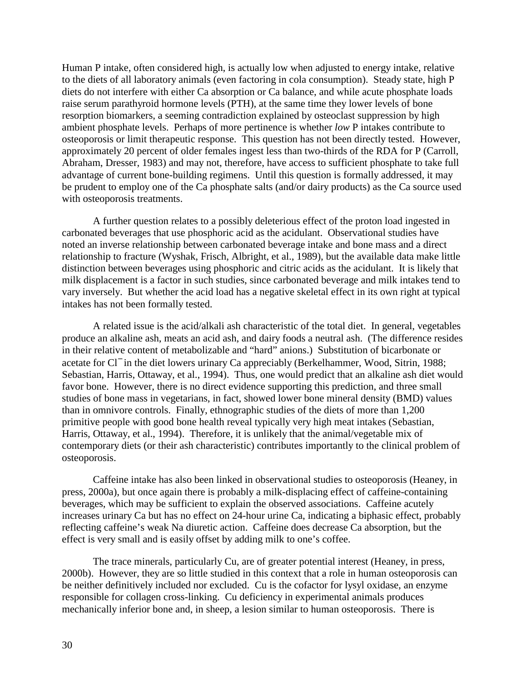Human P intake, often considered high, is actually low when adjusted to energy intake, relative to the diets of all laboratory animals (even factoring in cola consumption). Steady state, high P diets do not interfere with either Ca absorption or Ca balance, and while acute phosphate loads raise serum parathyroid hormone levels (PTH), at the same time they lower levels of bone resorption biomarkers, a seeming contradiction explained by osteoclast suppression by high ambient phosphate levels. Perhaps of more pertinence is whether *low* P intakes contribute to osteoporosis or limit therapeutic response. This question has not been directly tested. However, approximately 20 percent of older females ingest less than two-thirds of the RDA for P (Carroll, Abraham, Dresser, 1983) and may not, therefore, have access to sufficient phosphate to take full advantage of current bone-building regimens. Until this question is formally addressed, it may be prudent to employ one of the Ca phosphate salts (and/or dairy products) as the Ca source used with osteoporosis treatments.

A further question relates to a possibly deleterious effect of the proton load ingested in carbonated beverages that use phosphoric acid as the acidulant. Observational studies have noted an inverse relationship between carbonated beverage intake and bone mass and a direct relationship to fracture (Wyshak, Frisch, Albright, et al., 1989), but the available data make little distinction between beverages using phosphoric and citric acids as the acidulant. It is likely that milk displacement is a factor in such studies, since carbonated beverage and milk intakes tend to vary inversely. But whether the acid load has a negative skeletal effect in its own right at typical intakes has not been formally tested.

A related issue is the acid/alkali ash characteristic of the total diet. In general, vegetables produce an alkaline ash, meats an acid ash, and dairy foods a neutral ash. (The difference resides in their relative content of metabolizable and "hard" anions.) Substitution of bicarbonate or acetate for Cl<sup>−</sup> in the diet lowers urinary Ca appreciably (Berkelhammer, Wood, Sitrin, 1988; Sebastian, Harris, Ottaway, et al., 1994). Thus, one would predict that an alkaline ash diet would favor bone. However, there is no direct evidence supporting this prediction, and three small studies of bone mass in vegetarians, in fact, showed lower bone mineral density (BMD) values than in omnivore controls. Finally, ethnographic studies of the diets of more than 1,200 primitive people with good bone health reveal typically very high meat intakes (Sebastian, Harris, Ottaway, et al., 1994). Therefore, it is unlikely that the animal/vegetable mix of contemporary diets (or their ash characteristic) contributes importantly to the clinical problem of osteoporosis.

Caffeine intake has also been linked in observational studies to osteoporosis (Heaney, in press, 2000a), but once again there is probably a milk-displacing effect of caffeine-containing beverages, which may be sufficient to explain the observed associations. Caffeine acutely increases urinary Ca but has no effect on 24-hour urine Ca, indicating a biphasic effect, probably reflecting caffeine's weak Na diuretic action. Caffeine does decrease Ca absorption, but the effect is very small and is easily offset by adding milk to one's coffee.

The trace minerals, particularly Cu, are of greater potential interest (Heaney, in press, 2000b). However, they are so little studied in this context that a role in human osteoporosis can be neither definitively included nor excluded. Cu is the cofactor for lysyl oxidase, an enzyme responsible for collagen cross-linking. Cu deficiency in experimental animals produces mechanically inferior bone and, in sheep, a lesion similar to human osteoporosis. There is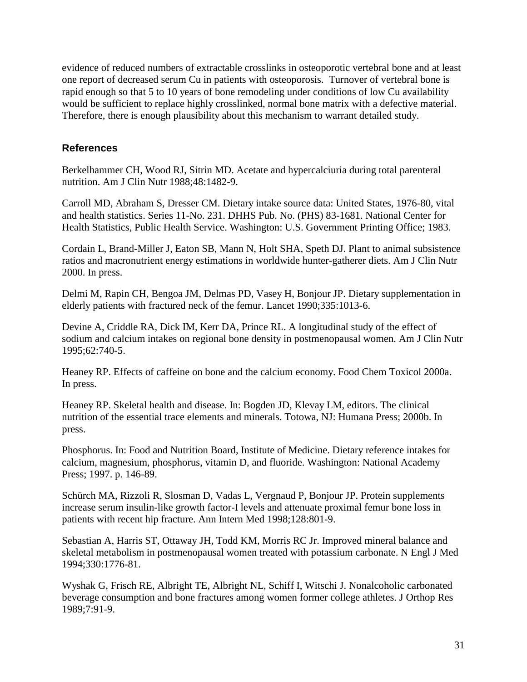evidence of reduced numbers of extractable crosslinks in osteoporotic vertebral bone and at least one report of decreased serum Cu in patients with osteoporosis. Turnover of vertebral bone is rapid enough so that 5 to 10 years of bone remodeling under conditions of low Cu availability would be sufficient to replace highly crosslinked, normal bone matrix with a defective material. Therefore, there is enough plausibility about this mechanism to warrant detailed study.

#### **References**

Berkelhammer CH, Wood RJ, Sitrin MD. Acetate and hypercalciuria during total parenteral nutrition. Am J Clin Nutr 1988;48:1482-9.

Carroll MD, Abraham S, Dresser CM. Dietary intake source data: United States, 1976-80, vital and health statistics. Series 11-No. 231. DHHS Pub. No. (PHS) 83-1681. National Center for Health Statistics, Public Health Service. Washington: U.S. Government Printing Office; 1983.

Cordain L, Brand-Miller J, Eaton SB, Mann N, Holt SHA, Speth DJ. Plant to animal subsistence ratios and macronutrient energy estimations in worldwide hunter-gatherer diets. Am J Clin Nutr 2000. In press.

Delmi M, Rapin CH, Bengoa JM, Delmas PD, Vasey H, Bonjour JP. Dietary supplementation in elderly patients with fractured neck of the femur. Lancet 1990;335:1013-6.

Devine A, Criddle RA, Dick IM, Kerr DA, Prince RL. A longitudinal study of the effect of sodium and calcium intakes on regional bone density in postmenopausal women. Am J Clin Nutr 1995;62:740-5.

Heaney RP. Effects of caffeine on bone and the calcium economy. Food Chem Toxicol 2000a. In press.

Heaney RP. Skeletal health and disease. In: Bogden JD, Klevay LM, editors. The clinical nutrition of the essential trace elements and minerals. Totowa, NJ: Humana Press; 2000b. In press.

Phosphorus. In: Food and Nutrition Board, Institute of Medicine. Dietary reference intakes for calcium, magnesium, phosphorus, vitamin D, and fluoride. Washington: National Academy Press; 1997. p. 146-89.

Schürch MA, Rizzoli R, Slosman D, Vadas L, Vergnaud P, Bonjour JP. Protein supplements increase serum insulin-like growth factor-I levels and attenuate proximal femur bone loss in patients with recent hip fracture. Ann Intern Med 1998;128:801-9.

Sebastian A, Harris ST, Ottaway JH, Todd KM, Morris RC Jr. Improved mineral balance and skeletal metabolism in postmenopausal women treated with potassium carbonate. N Engl J Med 1994;330:1776-81.

Wyshak G, Frisch RE, Albright TE, Albright NL, Schiff I, Witschi J. Nonalcoholic carbonated beverage consumption and bone fractures among women former college athletes. J Orthop Res 1989;7:91-9.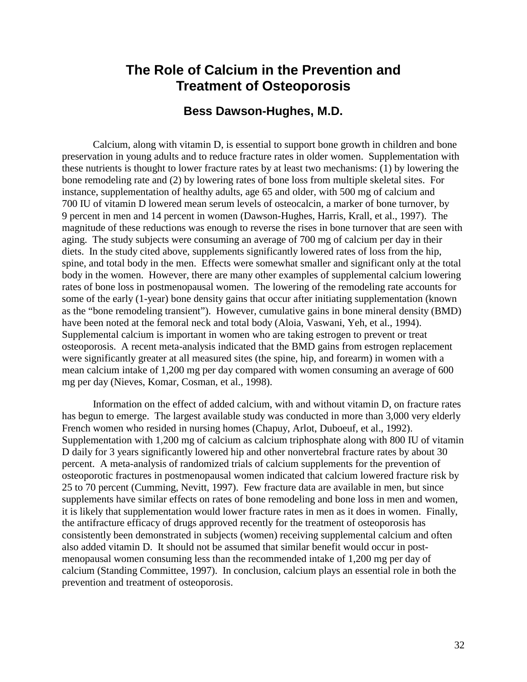### **The Role of Calcium in the Prevention and Treatment of Osteoporosis**

#### **Bess Dawson-Hughes, M.D.**

Calcium, along with vitamin D, is essential to support bone growth in children and bone preservation in young adults and to reduce fracture rates in older women. Supplementation with these nutrients is thought to lower fracture rates by at least two mechanisms: (1) by lowering the bone remodeling rate and (2) by lowering rates of bone loss from multiple skeletal sites. For instance, supplementation of healthy adults, age 65 and older, with 500 mg of calcium and 700 IU of vitamin D lowered mean serum levels of osteocalcin, a marker of bone turnover, by 9 percent in men and 14 percent in women (Dawson-Hughes, Harris, Krall, et al., 1997). The magnitude of these reductions was enough to reverse the rises in bone turnover that are seen with aging. The study subjects were consuming an average of 700 mg of calcium per day in their diets. In the study cited above, supplements significantly lowered rates of loss from the hip, spine, and total body in the men. Effects were somewhat smaller and significant only at the total body in the women. However, there are many other examples of supplemental calcium lowering rates of bone loss in postmenopausal women. The lowering of the remodeling rate accounts for some of the early (1-year) bone density gains that occur after initiating supplementation (known as the "bone remodeling transient"). However, cumulative gains in bone mineral density (BMD) have been noted at the femoral neck and total body (Aloia, Vaswani, Yeh, et al., 1994). Supplemental calcium is important in women who are taking estrogen to prevent or treat osteoporosis. A recent meta-analysis indicated that the BMD gains from estrogen replacement were significantly greater at all measured sites (the spine, hip, and forearm) in women with a mean calcium intake of 1,200 mg per day compared with women consuming an average of 600 mg per day (Nieves, Komar, Cosman, et al., 1998).

Information on the effect of added calcium, with and without vitamin D, on fracture rates has begun to emerge. The largest available study was conducted in more than 3,000 very elderly French women who resided in nursing homes (Chapuy, Arlot, Duboeuf, et al., 1992). Supplementation with 1,200 mg of calcium as calcium triphosphate along with 800 IU of vitamin D daily for 3 years significantly lowered hip and other nonvertebral fracture rates by about 30 percent. A meta-analysis of randomized trials of calcium supplements for the prevention of osteoporotic fractures in postmenopausal women indicated that calcium lowered fracture risk by 25 to 70 percent (Cumming, Nevitt, 1997). Few fracture data are available in men, but since supplements have similar effects on rates of bone remodeling and bone loss in men and women, it is likely that supplementation would lower fracture rates in men as it does in women. Finally, the antifracture efficacy of drugs approved recently for the treatment of osteoporosis has consistently been demonstrated in subjects (women) receiving supplemental calcium and often also added vitamin D. It should not be assumed that similar benefit would occur in postmenopausal women consuming less than the recommended intake of 1,200 mg per day of calcium (Standing Committee, 1997). In conclusion, calcium plays an essential role in both the prevention and treatment of osteoporosis.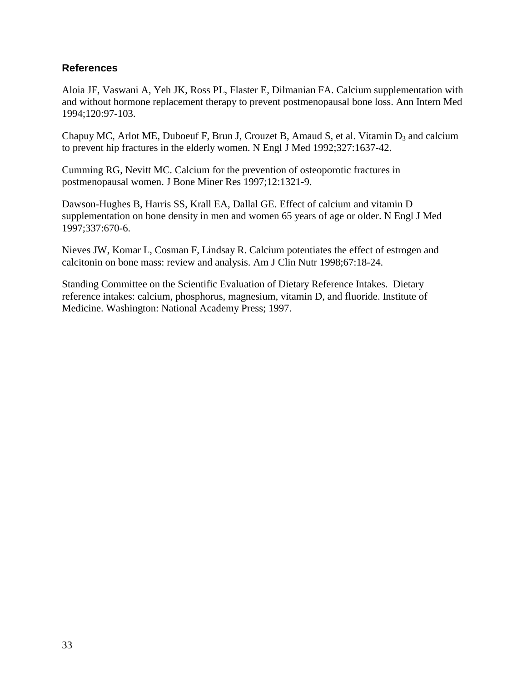### **References**

Aloia JF, Vaswani A, Yeh JK, Ross PL, Flaster E, Dilmanian FA. Calcium supplementation with and without hormone replacement therapy to prevent postmenopausal bone loss. Ann Intern Med 1994;120:97-103.

Chapuy MC, Arlot ME, Duboeuf F, Brun J, Crouzet B, Amaud S, et al. Vitamin  $D_3$  and calcium to prevent hip fractures in the elderly women. N Engl J Med 1992;327:1637-42.

Cumming RG, Nevitt MC. Calcium for the prevention of osteoporotic fractures in postmenopausal women. J Bone Miner Res 1997;12:1321-9.

Dawson-Hughes B, Harris SS, Krall EA, Dallal GE. Effect of calcium and vitamin D supplementation on bone density in men and women 65 years of age or older. N Engl J Med 1997;337:670-6.

Nieves JW, Komar L, Cosman F, Lindsay R. Calcium potentiates the effect of estrogen and calcitonin on bone mass: review and analysis. Am J Clin Nutr 1998;67:18-24.

Standing Committee on the Scientific Evaluation of Dietary Reference Intakes. Dietary reference intakes: calcium, phosphorus, magnesium, vitamin D, and fluoride. Institute of Medicine. Washington: National Academy Press; 1997.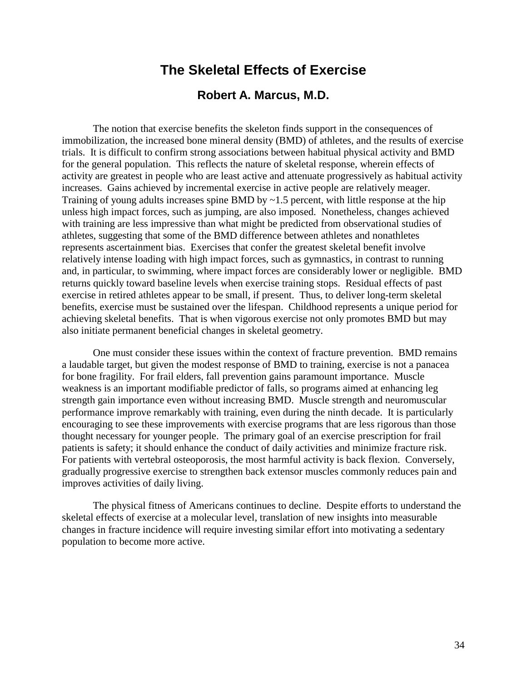## **The Skeletal Effects of Exercise**

### **Robert A. Marcus, M.D.**

The notion that exercise benefits the skeleton finds support in the consequences of immobilization, the increased bone mineral density (BMD) of athletes, and the results of exercise trials. It is difficult to confirm strong associations between habitual physical activity and BMD for the general population. This reflects the nature of skeletal response, wherein effects of activity are greatest in people who are least active and attenuate progressively as habitual activity increases. Gains achieved by incremental exercise in active people are relatively meager. Training of young adults increases spine BMD by ~1.5 percent, with little response at the hip unless high impact forces, such as jumping, are also imposed. Nonetheless, changes achieved with training are less impressive than what might be predicted from observational studies of athletes, suggesting that some of the BMD difference between athletes and nonathletes represents ascertainment bias. Exercises that confer the greatest skeletal benefit involve relatively intense loading with high impact forces, such as gymnastics, in contrast to running and, in particular, to swimming, where impact forces are considerably lower or negligible. BMD returns quickly toward baseline levels when exercise training stops. Residual effects of past exercise in retired athletes appear to be small, if present. Thus, to deliver long-term skeletal benefits, exercise must be sustained over the lifespan. Childhood represents a unique period for achieving skeletal benefits. That is when vigorous exercise not only promotes BMD but may also initiate permanent beneficial changes in skeletal geometry.

improves activities of daily living. One must consider these issues within the context of fracture prevention. BMD remains a laudable target, but given the modest response of BMD to training, exercise is not a panacea for bone fragility. For frail elders, fall prevention gains paramount importance. Muscle weakness is an important modifiable predictor of falls, so programs aimed at enhancing leg strength gain importance even without increasing BMD. Muscle strength and neuromuscular performance improve remarkably with training, even during the ninth decade. It is particularly encouraging to see these improvements with exercise programs that are less rigorous than those thought necessary for younger people. The primary goal of an exercise prescription for frail patients is safety; it should enhance the conduct of daily activities and minimize fracture risk. For patients with vertebral osteoporosis, the most harmful activity is back flexion. Conversely, gradually progressive exercise to strengthen back extensor muscles commonly reduces pain and

The physical fitness of Americans continues to decline. Despite efforts to understand the skeletal effects of exercise at a molecular level, translation of new insights into measurable changes in fracture incidence will require investing similar effort into motivating a sedentary population to become more active.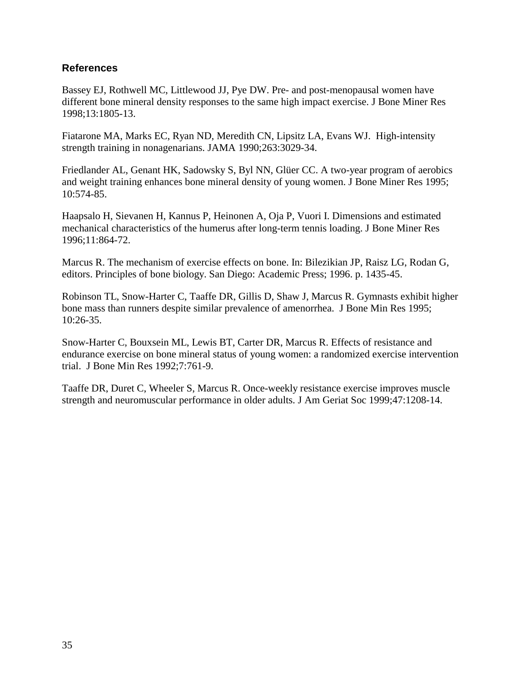### **References**

Bassey EJ, Rothwell MC, Littlewood JJ, Pye DW. Pre- and post-menopausal women have different bone mineral density responses to the same high impact exercise. J Bone Miner Res 1998;13:1805-13.

Fiatarone MA, Marks EC, Ryan ND, Meredith CN, Lipsitz LA, Evans WJ. High-intensity strength training in nonagenarians. JAMA 1990;263:3029-34.

Friedlander AL, Genant HK, Sadowsky S, Byl NN, Glüer CC. A two-year program of aerobics and weight training enhances bone mineral density of young women. J Bone Miner Res 1995; 10:574-85.

Haapsalo H, Sievanen H, Kannus P, Heinonen A, Oja P, Vuori I. Dimensions and estimated mechanical characteristics of the humerus after long-term tennis loading. J Bone Miner Res 1996;11:864-72.

Marcus R. The mechanism of exercise effects on bone. In: Bilezikian JP, Raisz LG, Rodan G, editors. Principles of bone biology. San Diego: Academic Press; 1996. p. 1435-45.

Robinson TL, Snow-Harter C, Taaffe DR, Gillis D, Shaw J, Marcus R. Gymnasts exhibit higher bone mass than runners despite similar prevalence of amenorrhea. J Bone Min Res 1995; 10:26-35.

Snow-Harter C, Bouxsein ML, Lewis BT, Carter DR, Marcus R. Effects of resistance and endurance exercise on bone mineral status of young women: a randomized exercise intervention trial. J Bone Min Res 1992;7:761-9.

Taaffe DR, Duret C, Wheeler S, Marcus R. Once-weekly resistance exercise improves muscle strength and neuromuscular performance in older adults. J Am Geriat Soc 1999;47:1208-14.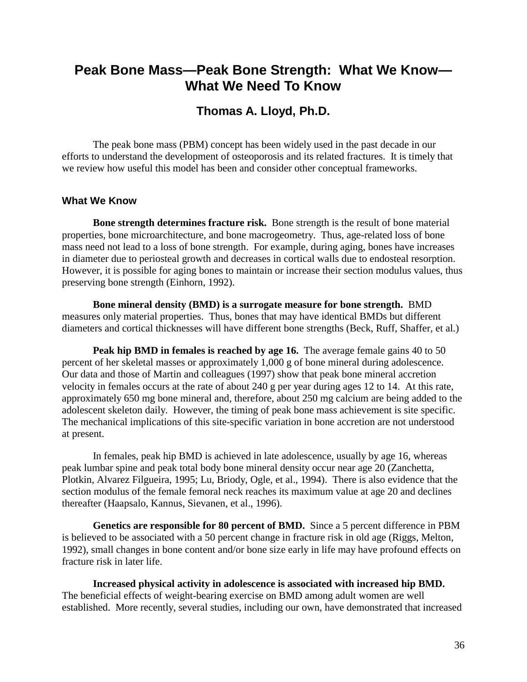# **Peak Bone Mass—Peak Bone Strength: What We Know— What We Need To Know**

## **Thomas A. Lloyd, Ph.D.**

The peak bone mass (PBM) concept has been widely used in the past decade in our efforts to understand the development of osteoporosis and its related fractures. It is timely that we review how useful this model has been and consider other conceptual frameworks.

#### **What We Know**

**Bone strength determines fracture risk.** Bone strength is the result of bone material properties, bone microarchitecture, and bone macrogeometry. Thus, age-related loss of bone mass need not lead to a loss of bone strength. For example, during aging, bones have increases in diameter due to periosteal growth and decreases in cortical walls due to endosteal resorption. However, it is possible for aging bones to maintain or increase their section modulus values, thus preserving bone strength (Einhorn, 1992).

**Bone mineral density (BMD) is a surrogate measure for bone strength.** BMD measures only material properties. Thus, bones that may have identical BMDs but different diameters and cortical thicknesses will have different bone strengths (Beck, Ruff, Shaffer, et al.)

**Peak hip BMD in females is reached by age 16.** The average female gains 40 to 50 percent of her skeletal masses or approximately 1,000 g of bone mineral during adolescence. Our data and those of Martin and colleagues (1997) show that peak bone mineral accretion velocity in females occurs at the rate of about 240 g per year during ages 12 to 14. At this rate, approximately 650 mg bone mineral and, therefore, about 250 mg calcium are being added to the adolescent skeleton daily. However, the timing of peak bone mass achievement is site specific. The mechanical implications of this site-specific variation in bone accretion are not understood at present.

In females, peak hip BMD is achieved in late adolescence, usually by age 16, whereas peak lumbar spine and peak total body bone mineral density occur near age 20 (Zanchetta, Plotkin, Alvarez Filgueira, 1995; Lu, Briody, Ogle, et al., 1994). There is also evidence that the section modulus of the female femoral neck reaches its maximum value at age 20 and declines thereafter (Haapsalo, Kannus, Sievanen, et al., 1996).

**Genetics are responsible for 80 percent of BMD.** Since a 5 percent difference in PBM is believed to be associated with a 50 percent change in fracture risk in old age (Riggs, Melton, 1992), small changes in bone content and/or bone size early in life may have profound effects on fracture risk in later life.

 **Increased physical activity in adolescence is associated with increased hip BMD.** The beneficial effects of weight-bearing exercise on BMD among adult women are well established. More recently, several studies, including our own, have demonstrated that increased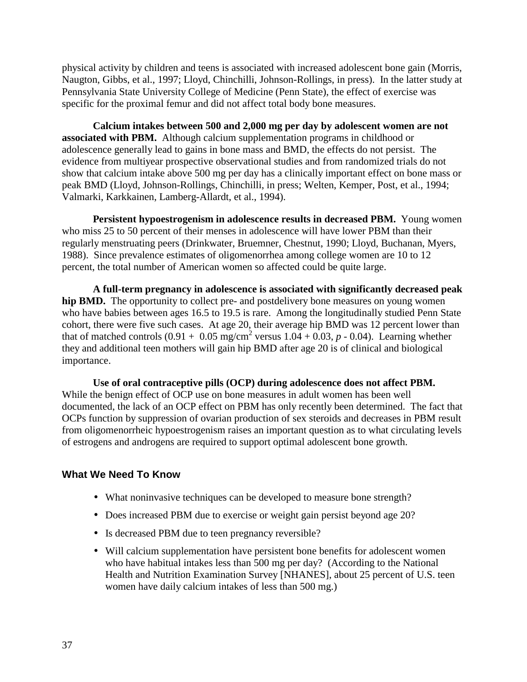physical activity by children and teens is associated with increased adolescent bone gain (Morris, Naugton, Gibbs, et al., 1997; Lloyd, Chinchilli, Johnson-Rollings, in press). In the latter study at Pennsylvania State University College of Medicine (Penn State), the effect of exercise was specific for the proximal femur and did not affect total body bone measures.

**Calcium intakes between 500 and 2,000 mg per day by adolescent women are not associated with PBM.** Although calcium supplementation programs in childhood or adolescence generally lead to gains in bone mass and BMD, the effects do not persist. The evidence from multiyear prospective observational studies and from randomized trials do not show that calcium intake above 500 mg per day has a clinically important effect on bone mass or peak BMD (Lloyd, Johnson-Rollings, Chinchilli, in press; Welten, Kemper, Post, et al., 1994; Valmarki, Karkkainen, Lamberg-Allardt, et al., 1994).

**Persistent hypoestrogenism in adolescence results in decreased PBM.** Young women who miss 25 to 50 percent of their menses in adolescence will have lower PBM than their regularly menstruating peers (Drinkwater, Bruemner, Chestnut, 1990; Lloyd, Buchanan, Myers, 1988). Since prevalence estimates of oligomenorrhea among college women are 10 to 12 percent, the total number of American women so affected could be quite large.

**A full-term pregnancy in adolescence is associated with significantly decreased peak hip BMD.** The opportunity to collect pre- and postdelivery bone measures on young women who have babies between ages 16.5 to 19.5 is rare. Among the longitudinally studied Penn State cohort, there were five such cases. At age 20, their average hip BMD was 12 percent lower than that of matched controls  $(0.91 + 0.05 \text{ mg/cm}^2 \text{ versus } 1.04 + 0.03, p - 0.04)$ . Learning whether they and additional teen mothers will gain hip BMD after age 20 is of clinical and biological importance.

 **Use of oral contraceptive pills (OCP) during adolescence does not affect PBM.**  While the benign effect of OCP use on bone measures in adult women has been well documented, the lack of an OCP effect on PBM has only recently been determined. The fact that OCPs function by suppression of ovarian production of sex steroids and decreases in PBM result from oligomenorrheic hypoestrogenism raises an important question as to what circulating levels of estrogens and androgens are required to support optimal adolescent bone growth.

#### **What We Need To Know**

- What noninvasive techniques can be developed to measure bone strength?
- Does increased PBM due to exercise or weight gain persist beyond age 20?
- Is decreased PBM due to teen pregnancy reversible?
- Will calcium supplementation have persistent bone benefits for adolescent women who have habitual intakes less than 500 mg per day? (According to the National Health and Nutrition Examination Survey [NHANES], about 25 percent of U.S. teen women have daily calcium intakes of less than 500 mg.)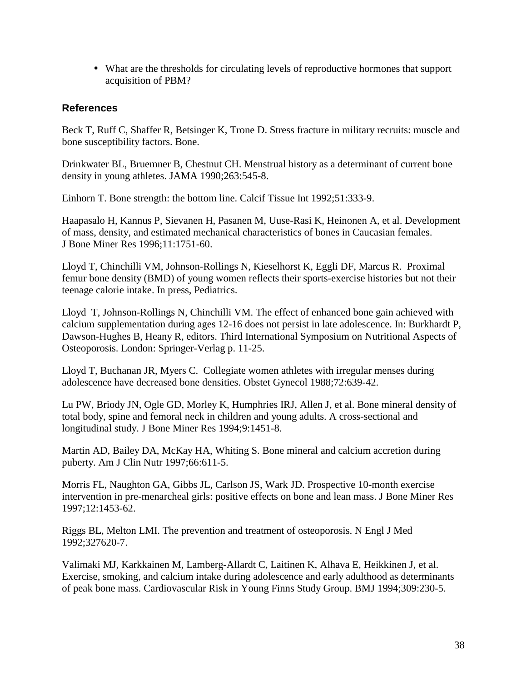• What are the thresholds for circulating levels of reproductive hormones that support acquisition of PBM?

### **References**

Beck T, Ruff C, Shaffer R, Betsinger K, Trone D. Stress fracture in military recruits: muscle and bone susceptibility factors. Bone.

Drinkwater BL, Bruemner B, Chestnut CH. Menstrual history as a determinant of current bone density in young athletes. JAMA 1990;263:545-8.

Einhorn T. Bone strength: the bottom line. Calcif Tissue Int 1992;51:333-9.

Haapasalo H, Kannus P, Sievanen H, Pasanen M, Uuse-Rasi K, Heinonen A, et al. Development of mass, density, and estimated mechanical characteristics of bones in Caucasian females. J Bone Miner Res 1996;11:1751-60.

Lloyd T, Chinchilli VM, Johnson-Rollings N, Kieselhorst K, Eggli DF, Marcus R. Proximal femur bone density (BMD) of young women reflects their sports-exercise histories but not their teenage calorie intake. In press, Pediatrics.

Lloyd T, Johnson-Rollings N, Chinchilli VM. The effect of enhanced bone gain achieved with calcium supplementation during ages 12-16 does not persist in late adolescence. In: Burkhardt P, Dawson-Hughes B, Heany R, editors. Third International Symposium on Nutritional Aspects of Osteoporosis. London: Springer-Verlag p. 11-25.

Lloyd T, Buchanan JR, Myers C. Collegiate women athletes with irregular menses during adolescence have decreased bone densities. Obstet Gynecol 1988;72:639-42.

Lu PW, Briody JN, Ogle GD, Morley K, Humphries IRJ, Allen J, et al. Bone mineral density of total body, spine and femoral neck in children and young adults. A cross-sectional and longitudinal study. J Bone Miner Res 1994;9:1451-8.

Martin AD, Bailey DA, McKay HA, Whiting S. Bone mineral and calcium accretion during puberty. Am J Clin Nutr 1997;66:611-5.

Morris FL, Naughton GA, Gibbs JL, Carlson JS, Wark JD. Prospective 10-month exercise intervention in pre-menarcheal girls: positive effects on bone and lean mass. J Bone Miner Res 1997;12:1453-62.

Riggs BL, Melton LMI. The prevention and treatment of osteoporosis. N Engl J Med 1992;327620-7.

Valimaki MJ, Karkkainen M, Lamberg-Allardt C, Laitinen K, Alhava E, Heikkinen J, et al. Exercise, smoking, and calcium intake during adolescence and early adulthood as determinants of peak bone mass. Cardiovascular Risk in Young Finns Study Group. BMJ 1994;309:230-5.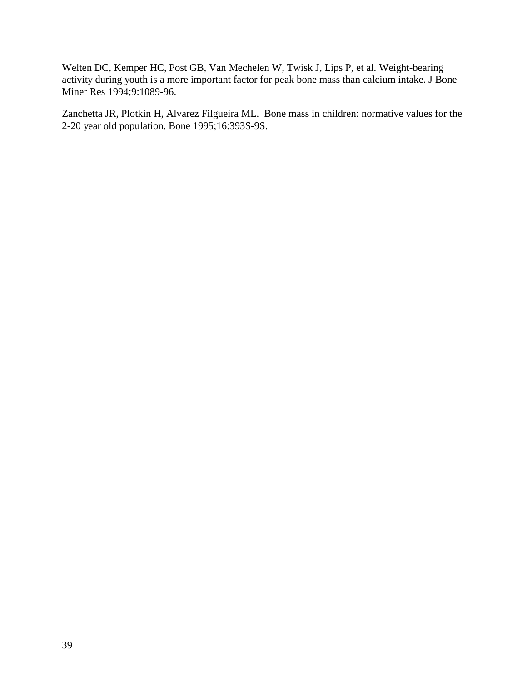Welten DC, Kemper HC, Post GB, Van Mechelen W, Twisk J, Lips P, et al. Weight-bearing activity during youth is a more important factor for peak bone mass than calcium intake. J Bone Miner Res 1994;9:1089-96.

Zanchetta JR, Plotkin H, Alvarez Filgueira ML. Bone mass in children: normative values for the 2-20 year old population. Bone 1995;16:393S-9S.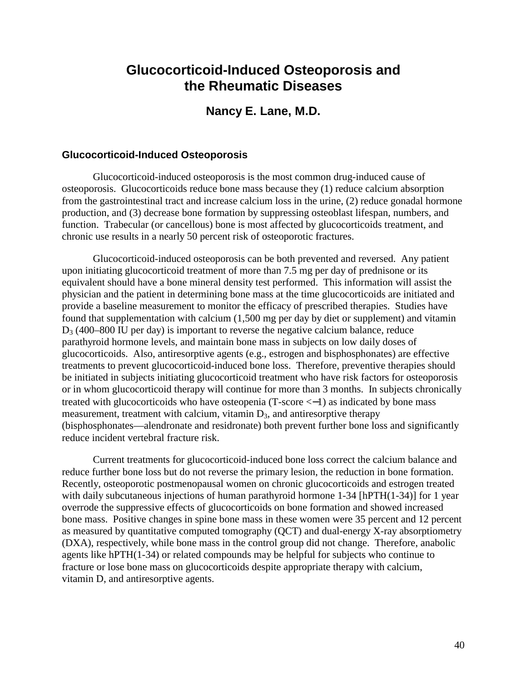# **Glucocorticoid-Induced Osteoporosis and the Rheumatic Diseases**

### **Nancy E. Lane, M.D.**

#### **Glucocorticoid-Induced Osteoporosis**

Glucocorticoid-induced osteoporosis is the most common drug-induced cause of osteoporosis. Glucocorticoids reduce bone mass because they (1) reduce calcium absorption from the gastrointestinal tract and increase calcium loss in the urine, (2) reduce gonadal hormone production, and (3) decrease bone formation by suppressing osteoblast lifespan, numbers, and function. Trabecular (or cancellous) bone is most affected by glucocorticoids treatment, and chronic use results in a nearly 50 percent risk of osteoporotic fractures.

Glucocorticoid-induced osteoporosis can be both prevented and reversed. Any patient upon initiating glucocorticoid treatment of more than 7.5 mg per day of prednisone or its equivalent should have a bone mineral density test performed. This information will assist the physician and the patient in determining bone mass at the time glucocorticoids are initiated and provide a baseline measurement to monitor the efficacy of prescribed therapies. Studies have found that supplementation with calcium (1,500 mg per day by diet or supplement) and vitamin  $D_3$  (400–800 IU per day) is important to reverse the negative calcium balance, reduce parathyroid hormone levels, and maintain bone mass in subjects on low daily doses of glucocorticoids. Also, antiresorptive agents (e.g., estrogen and bisphosphonates) are effective treatments to prevent glucocorticoid-induced bone loss. Therefore, preventive therapies should be initiated in subjects initiating glucocorticoid treatment who have risk factors for osteoporosis or in whom glucocorticoid therapy will continue for more than 3 months. In subjects chronically treated with glucocorticoids who have osteopenia (T-score <−1) as indicated by bone mass measurement, treatment with calcium, vitamin  $D_3$ , and antiresorptive therapy (bisphosphonates—alendronate and residronate) both prevent further bone loss and significantly reduce incident vertebral fracture risk.

Current treatments for glucocorticoid-induced bone loss correct the calcium balance and reduce further bone loss but do not reverse the primary lesion, the reduction in bone formation. Recently, osteoporotic postmenopausal women on chronic glucocorticoids and estrogen treated with daily subcutaneous injections of human parathyroid hormone 1-34 [hPTH(1-34)] for 1 year overrode the suppressive effects of glucocorticoids on bone formation and showed increased bone mass. Positive changes in spine bone mass in these women were 35 percent and 12 percent as measured by quantitative computed tomography (QCT) and dual-energy X-ray absorptiometry (DXA), respectively, while bone mass in the control group did not change. Therefore, anabolic agents like hPTH(1-34) or related compounds may be helpful for subjects who continue to fracture or lose bone mass on glucocorticoids despite appropriate therapy with calcium, vitamin D, and antiresorptive agents.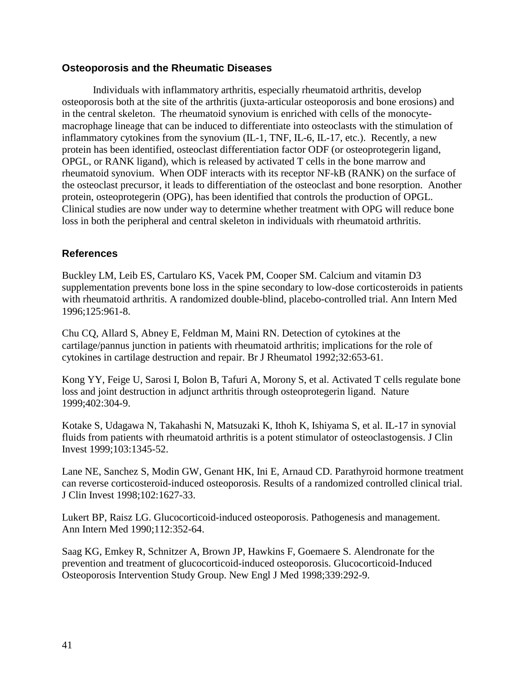#### **Osteoporosis and the Rheumatic Diseases**

Individuals with inflammatory arthritis, especially rheumatoid arthritis, develop osteoporosis both at the site of the arthritis (juxta-articular osteoporosis and bone erosions) and in the central skeleton. The rheumatoid synovium is enriched with cells of the monocytemacrophage lineage that can be induced to differentiate into osteoclasts with the stimulation of inflammatory cytokines from the synovium (IL-1, TNF, IL-6, IL-17, etc.). Recently, a new protein has been identified, osteoclast differentiation factor ODF (or osteoprotegerin ligand, OPGL, or RANK ligand), which is released by activated T cells in the bone marrow and rheumatoid synovium. When ODF interacts with its receptor NF-kB (RANK) on the surface of the osteoclast precursor, it leads to differentiation of the osteoclast and bone resorption. Another protein, osteoprotegerin (OPG), has been identified that controls the production of OPGL. Clinical studies are now under way to determine whether treatment with OPG will reduce bone loss in both the peripheral and central skeleton in individuals with rheumatoid arthritis.

#### **References**

Buckley LM, Leib ES, Cartularo KS, Vacek PM, Cooper SM. Calcium and vitamin D3 supplementation prevents bone loss in the spine secondary to low-dose corticosteroids in patients with rheumatoid arthritis. A randomized double-blind, placebo-controlled trial. Ann Intern Med 1996;125:961-8.

Chu CQ, Allard S, Abney E, Feldman M, Maini RN. Detection of cytokines at the cartilage/pannus junction in patients with rheumatoid arthritis; implications for the role of cytokines in cartilage destruction and repair. Br J Rheumatol 1992;32:653-61.

Kong YY, Feige U, Sarosi I, Bolon B, Tafuri A, Morony S, et al. Activated T cells regulate bone loss and joint destruction in adjunct arthritis through osteoprotegerin ligand. Nature 1999;402:304-9.

Kotake S, Udagawa N, Takahashi N, Matsuzaki K, Ithoh K, Ishiyama S, et al. IL-17 in synovial fluids from patients with rheumatoid arthritis is a potent stimulator of osteoclastogensis. J Clin Invest 1999;103:1345-52.

Lane NE, Sanchez S, Modin GW, Genant HK, Ini E, Arnaud CD. Parathyroid hormone treatment can reverse corticosteroid-induced osteoporosis. Results of a randomized controlled clinical trial. J Clin Invest 1998;102:1627-33.

Lukert BP, Raisz LG. Glucocorticoid-induced osteoporosis. Pathogenesis and management. Ann Intern Med 1990;112:352-64.

Saag KG, Emkey R, Schnitzer A, Brown JP, Hawkins F, Goemaere S. Alendronate for the prevention and treatment of glucocorticoid-induced osteoporosis. Glucocorticoid-Induced Osteoporosis Intervention Study Group. New Engl J Med 1998;339:292-9.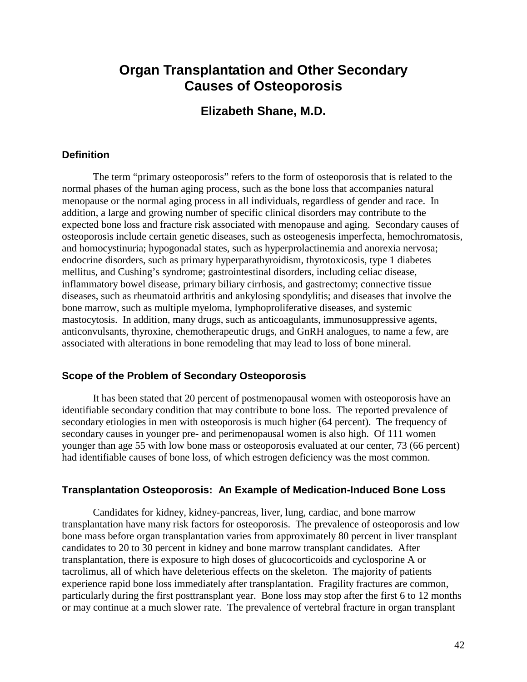# **Organ Transplantation and Other Secondary Causes of Osteoporosis**

### **Elizabeth Shane, M.D.**

#### **Definition**

The term "primary osteoporosis" refers to the form of osteoporosis that is related to the normal phases of the human aging process, such as the bone loss that accompanies natural menopause or the normal aging process in all individuals, regardless of gender and race. In addition, a large and growing number of specific clinical disorders may contribute to the expected bone loss and fracture risk associated with menopause and aging. Secondary causes of osteoporosis include certain genetic diseases, such as osteogenesis imperfecta, hemochromatosis, and homocystinuria; hypogonadal states, such as hyperprolactinemia and anorexia nervosa; endocrine disorders, such as primary hyperparathyroidism, thyrotoxicosis, type 1 diabetes mellitus, and Cushing's syndrome; gastrointestinal disorders, including celiac disease, inflammatory bowel disease, primary biliary cirrhosis, and gastrectomy; connective tissue diseases, such as rheumatoid arthritis and ankylosing spondylitis; and diseases that involve the bone marrow, such as multiple myeloma, lymphoproliferative diseases, and systemic mastocytosis. In addition, many drugs, such as anticoagulants, immunosuppressive agents, anticonvulsants, thyroxine, chemotherapeutic drugs, and GnRH analogues, to name a few, are associated with alterations in bone remodeling that may lead to loss of bone mineral.

#### **Scope of the Problem of Secondary Osteoporosis**

It has been stated that 20 percent of postmenopausal women with osteoporosis have an identifiable secondary condition that may contribute to bone loss. The reported prevalence of secondary etiologies in men with osteoporosis is much higher (64 percent). The frequency of secondary causes in younger pre- and perimenopausal women is also high. Of 111 women younger than age 55 with low bone mass or osteoporosis evaluated at our center, 73 (66 percent) had identifiable causes of bone loss, of which estrogen deficiency was the most common.

#### **Transplantation Osteoporosis: An Example of Medication-Induced Bone Loss**

Candidates for kidney, kidney-pancreas, liver, lung, cardiac, and bone marrow transplantation have many risk factors for osteoporosis. The prevalence of osteoporosis and low bone mass before organ transplantation varies from approximately 80 percent in liver transplant candidates to 20 to 30 percent in kidney and bone marrow transplant candidates. After transplantation, there is exposure to high doses of glucocorticoids and cyclosporine A or tacrolimus, all of which have deleterious effects on the skeleton. The majority of patients experience rapid bone loss immediately after transplantation. Fragility fractures are common, particularly during the first posttransplant year. Bone loss may stop after the first 6 to 12 months or may continue at a much slower rate. The prevalence of vertebral fracture in organ transplant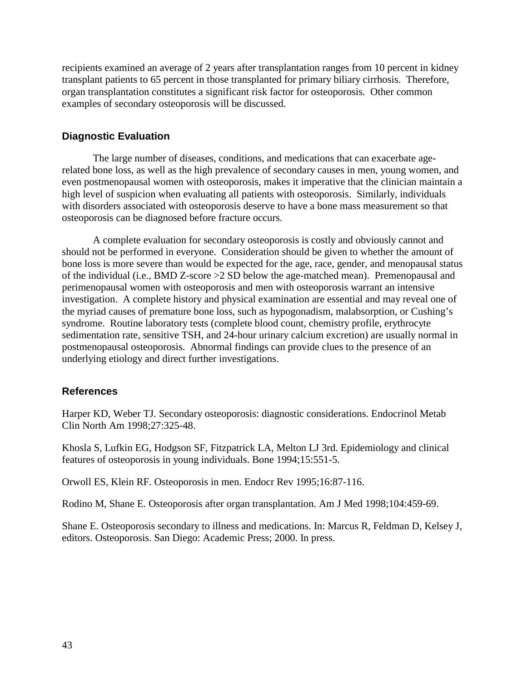recipients examined an average of 2 years after transplantation ranges from 10 percent in kidney transplant patients to 65 percent in those transplanted for primary biliary cirrhosis. Therefore, organ transplantation constitutes a significant risk factor for osteoporosis. Other common examples of secondary osteoporosis will be discussed.

### **Diagnostic Evaluation**

The large number of diseases, conditions, and medications that can exacerbate agerelated bone loss, as well as the high prevalence of secondary causes in men, young women, and even postmenopausal women with osteoporosis, makes it imperative that the clinician maintain a high level of suspicion when evaluating all patients with osteoporosis. Similarly, individuals with disorders associated with osteoporosis deserve to have a bone mass measurement so that osteoporosis can be diagnosed before fracture occurs.

A complete evaluation for secondary osteoporosis is costly and obviously cannot and should not be performed in everyone. Consideration should be given to whether the amount of bone loss is more severe than would be expected for the age, race, gender, and menopausal status of the individual (i.e., BMD Z-score >2 SD below the age-matched mean). Premenopausal and perimenopausal women with osteoporosis and men with osteoporosis warrant an intensive investigation. A complete history and physical examination are essential and may reveal one of the myriad causes of premature bone loss, such as hypogonadism, malabsorption, or Cushing's syndrome. Routine laboratory tests (complete blood count, chemistry profile, erythrocyte sedimentation rate, sensitive TSH, and 24-hour urinary calcium excretion) are usually normal in postmenopausal osteoporosis. Abnormal findings can provide clues to the presence of an underlying etiology and direct further investigations.

#### **References**

Harper KD, Weber TJ. Secondary osteoporosis: diagnostic considerations. Endocrinol Metab Clin North Am 1998;27:325-48.

Khosla S, Lufkin EG, Hodgson SF, Fitzpatrick LA, Melton LJ 3rd. Epidemiology and clinical features of osteoporosis in young individuals. Bone 1994;15:551-5.

Orwoll ES, Klein RF. Osteoporosis in men. Endocr Rev 1995;16:87-116.

Rodino M, Shane E. Osteoporosis after organ transplantation. Am J Med 1998;104:459-69.

Shane E. Osteoporosis secondary to illness and medications. In: Marcus R, Feldman D, Kelsey J, editors. Osteoporosis. San Diego: Academic Press; 2000. In press.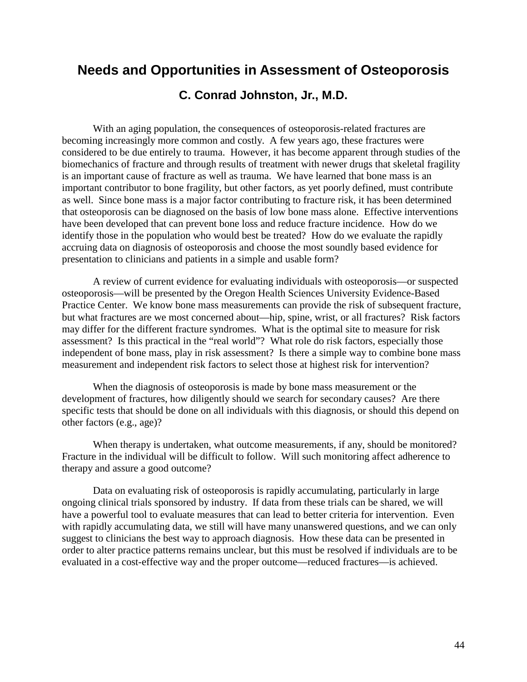## **Needs and Opportunities in Assessment of Osteoporosis**

### **C. Conrad Johnston, Jr., M.D.**

With an aging population, the consequences of osteoporosis-related fractures are becoming increasingly more common and costly. A few years ago, these fractures were considered to be due entirely to trauma. However, it has become apparent through studies of the biomechanics of fracture and through results of treatment with newer drugs that skeletal fragility is an important cause of fracture as well as trauma. We have learned that bone mass is an important contributor to bone fragility, but other factors, as yet poorly defined, must contribute as well. Since bone mass is a major factor contributing to fracture risk, it has been determined that osteoporosis can be diagnosed on the basis of low bone mass alone. Effective interventions have been developed that can prevent bone loss and reduce fracture incidence. How do we identify those in the population who would best be treated? How do we evaluate the rapidly accruing data on diagnosis of osteoporosis and choose the most soundly based evidence for presentation to clinicians and patients in a simple and usable form?

A review of current evidence for evaluating individuals with osteoporosis—or suspected osteoporosis—will be presented by the Oregon Health Sciences University Evidence-Based Practice Center. We know bone mass measurements can provide the risk of subsequent fracture, but what fractures are we most concerned about—hip, spine, wrist, or all fractures? Risk factors may differ for the different fracture syndromes. What is the optimal site to measure for risk assessment? Is this practical in the "real world"? What role do risk factors, especially those independent of bone mass, play in risk assessment? Is there a simple way to combine bone mass measurement and independent risk factors to select those at highest risk for intervention?

When the diagnosis of osteoporosis is made by bone mass measurement or the development of fractures, how diligently should we search for secondary causes? Are there specific tests that should be done on all individuals with this diagnosis, or should this depend on other factors (e.g., age)?

When therapy is undertaken, what outcome measurements, if any, should be monitored? Fracture in the individual will be difficult to follow. Will such monitoring affect adherence to therapy and assure a good outcome?

Data on evaluating risk of osteoporosis is rapidly accumulating, particularly in large ongoing clinical trials sponsored by industry. If data from these trials can be shared, we will have a powerful tool to evaluate measures that can lead to better criteria for intervention. Even with rapidly accumulating data, we still will have many unanswered questions, and we can only suggest to clinicians the best way to approach diagnosis. How these data can be presented in order to alter practice patterns remains unclear, but this must be resolved if individuals are to be evaluated in a cost-effective way and the proper outcome—reduced fractures—is achieved.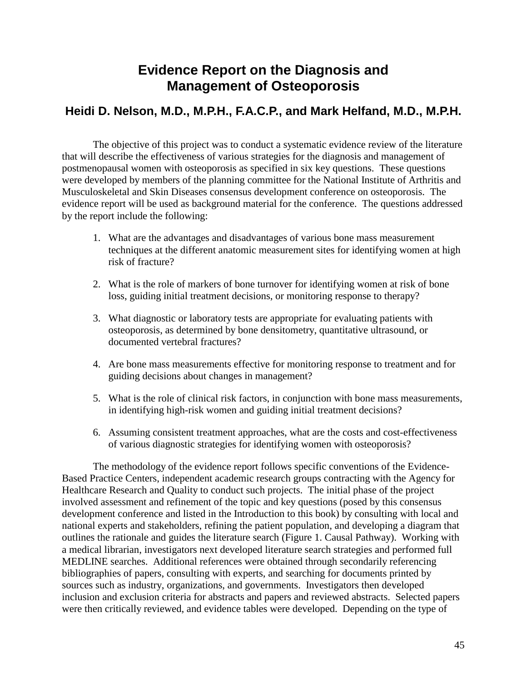# **Evidence Report on the Diagnosis and Management of Osteoporosis**

## **Heidi D. Nelson, M.D., M.P.H., F.A.C.P., and Mark Helfand, M.D., M.P.H.**

The objective of this project was to conduct a systematic evidence review of the literature that will describe the effectiveness of various strategies for the diagnosis and management of postmenopausal women with osteoporosis as specified in six key questions. These questions were developed by members of the planning committee for the National Institute of Arthritis and Musculoskeletal and Skin Diseases consensus development conference on osteoporosis. The evidence report will be used as background material for the conference. The questions addressed by the report include the following:

- 1. What are the advantages and disadvantages of various bone mass measurement techniques at the different anatomic measurement sites for identifying women at high risk of fracture?
- 2. What is the role of markers of bone turnover for identifying women at risk of bone loss, guiding initial treatment decisions, or monitoring response to therapy?
- 3. What diagnostic or laboratory tests are appropriate for evaluating patients with osteoporosis, as determined by bone densitometry, quantitative ultrasound, or documented vertebral fractures?
- 4. Are bone mass measurements effective for monitoring response to treatment and for guiding decisions about changes in management?
- 5. What is the role of clinical risk factors, in conjunction with bone mass measurements, in identifying high-risk women and guiding initial treatment decisions?
- 6. Assuming consistent treatment approaches, what are the costs and cost-effectiveness of various diagnostic strategies for identifying women with osteoporosis?

The methodology of the evidence report follows specific conventions of the Evidence-Based Practice Centers, independent academic research groups contracting with the Agency for Healthcare Research and Quality to conduct such projects. The initial phase of the project involved assessment and refinement of the topic and key questions (posed by this consensus development conference and listed in the Introduction to this book) by consulting with local and national experts and stakeholders, refining the patient population, and developing a diagram that outlines the rationale and guides the literature search (Figure 1. Causal Pathway). Working with a medical librarian, investigators next developed literature search strategies and performed full MEDLINE searches. Additional references were obtained through secondarily referencing bibliographies of papers, consulting with experts, and searching for documents printed by sources such as industry, organizations, and governments. Investigators then developed inclusion and exclusion criteria for abstracts and papers and reviewed abstracts. Selected papers were then critically reviewed, and evidence tables were developed. Depending on the type of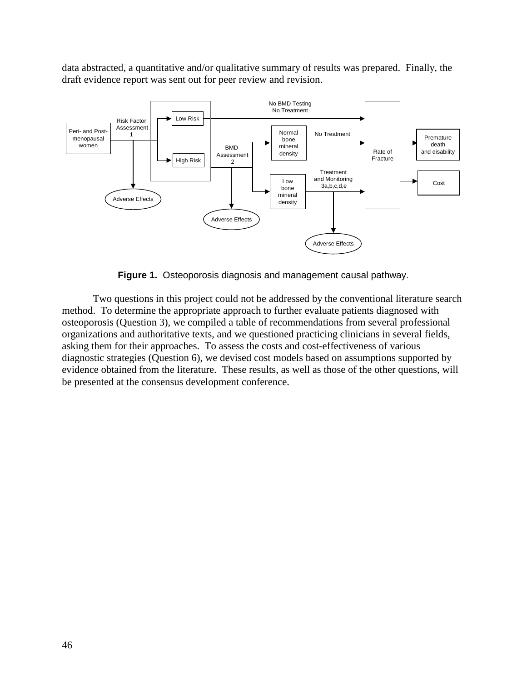data abstracted, a quantitative and/or qualitative summary of results was prepared. Finally, the draft evidence report was sent out for peer review and revision.



**Figure 1.** Osteoporosis diagnosis and management causal pathway.

Two questions in this project could not be addressed by the conventional literature search method. To determine the appropriate approach to further evaluate patients diagnosed with osteoporosis (Question 3), we compiled a table of recommendations from several professional organizations and authoritative texts, and we questioned practicing clinicians in several fields, asking them for their approaches. To assess the costs and cost-effectiveness of various diagnostic strategies (Question 6), we devised cost models based on assumptions supported by evidence obtained from the literature. These results, as well as those of the other questions, will be presented at the consensus development conference.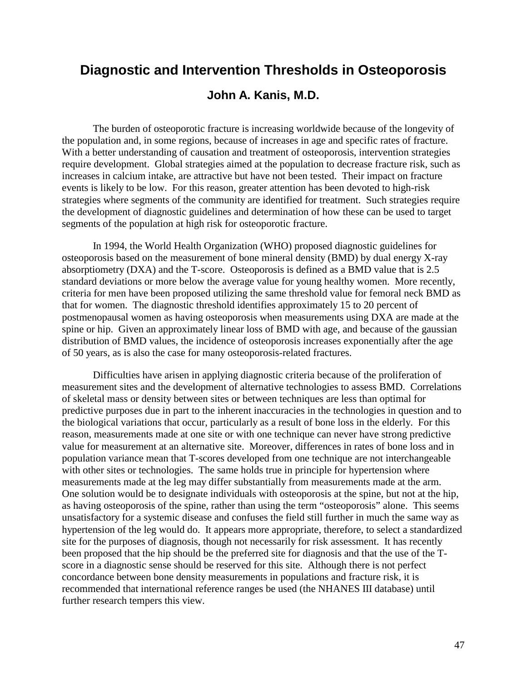# **Diagnostic and Intervention Thresholds in Osteoporosis**

### **John A. Kanis, M.D.**

The burden of osteoporotic fracture is increasing worldwide because of the longevity of the population and, in some regions, because of increases in age and specific rates of fracture. With a better understanding of causation and treatment of osteoporosis, intervention strategies require development. Global strategies aimed at the population to decrease fracture risk, such as increases in calcium intake, are attractive but have not been tested. Their impact on fracture events is likely to be low. For this reason, greater attention has been devoted to high-risk strategies where segments of the community are identified for treatment. Such strategies require the development of diagnostic guidelines and determination of how these can be used to target segments of the population at high risk for osteoporotic fracture.

In 1994, the World Health Organization (WHO) proposed diagnostic guidelines for osteoporosis based on the measurement of bone mineral density (BMD) by dual energy X-ray absorptiometry (DXA) and the T-score. Osteoporosis is defined as a BMD value that is 2.5 standard deviations or more below the average value for young healthy women. More recently, criteria for men have been proposed utilizing the same threshold value for femoral neck BMD as that for women. The diagnostic threshold identifies approximately 15 to 20 percent of postmenopausal women as having osteoporosis when measurements using DXA are made at the spine or hip. Given an approximately linear loss of BMD with age, and because of the gaussian distribution of BMD values, the incidence of osteoporosis increases exponentially after the age of 50 years, as is also the case for many osteoporosis-related fractures.

Difficulties have arisen in applying diagnostic criteria because of the proliferation of measurement sites and the development of alternative technologies to assess BMD. Correlations of skeletal mass or density between sites or between techniques are less than optimal for predictive purposes due in part to the inherent inaccuracies in the technologies in question and to the biological variations that occur, particularly as a result of bone loss in the elderly. For this reason, measurements made at one site or with one technique can never have strong predictive value for measurement at an alternative site. Moreover, differences in rates of bone loss and in population variance mean that T-scores developed from one technique are not interchangeable with other sites or technologies. The same holds true in principle for hypertension where measurements made at the leg may differ substantially from measurements made at the arm. One solution would be to designate individuals with osteoporosis at the spine, but not at the hip, as having osteoporosis of the spine, rather than using the term "osteoporosis" alone. This seems unsatisfactory for a systemic disease and confuses the field still further in much the same way as hypertension of the leg would do. It appears more appropriate, therefore, to select a standardized site for the purposes of diagnosis, though not necessarily for risk assessment. It has recently been proposed that the hip should be the preferred site for diagnosis and that the use of the Tscore in a diagnostic sense should be reserved for this site. Although there is not perfect concordance between bone density measurements in populations and fracture risk, it is recommended that international reference ranges be used (the NHANES III database) until further research tempers this view.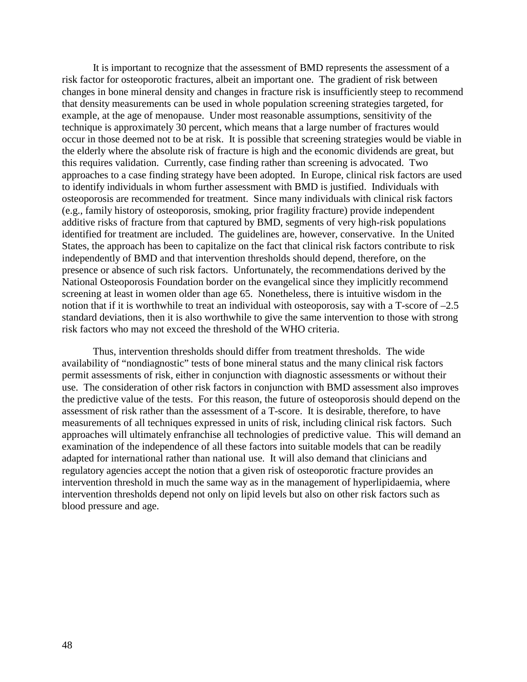It is important to recognize that the assessment of BMD represents the assessment of a risk factor for osteoporotic fractures, albeit an important one. The gradient of risk between changes in bone mineral density and changes in fracture risk is insufficiently steep to recommend that density measurements can be used in whole population screening strategies targeted, for example, at the age of menopause. Under most reasonable assumptions, sensitivity of the technique is approximately 30 percent, which means that a large number of fractures would occur in those deemed not to be at risk. It is possible that screening strategies would be viable in the elderly where the absolute risk of fracture is high and the economic dividends are great, but this requires validation. Currently, case finding rather than screening is advocated. Two approaches to a case finding strategy have been adopted. In Europe, clinical risk factors are used to identify individuals in whom further assessment with BMD is justified. Individuals with osteoporosis are recommended for treatment. Since many individuals with clinical risk factors (e.g., family history of osteoporosis, smoking, prior fragility fracture) provide independent additive risks of fracture from that captured by BMD, segments of very high-risk populations identified for treatment are included. The guidelines are, however, conservative. In the United States, the approach has been to capitalize on the fact that clinical risk factors contribute to risk independently of BMD and that intervention thresholds should depend, therefore, on the presence or absence of such risk factors. Unfortunately, the recommendations derived by the National Osteoporosis Foundation border on the evangelical since they implicitly recommend screening at least in women older than age 65. Nonetheless, there is intuitive wisdom in the notion that if it is worthwhile to treat an individual with osteoporosis, say with a T-score of  $-2.5$ standard deviations, then it is also worthwhile to give the same intervention to those with strong risk factors who may not exceed the threshold of the WHO criteria.

Thus, intervention thresholds should differ from treatment thresholds. The wide availability of "nondiagnostic" tests of bone mineral status and the many clinical risk factors permit assessments of risk, either in conjunction with diagnostic assessments or without their use. The consideration of other risk factors in conjunction with BMD assessment also improves the predictive value of the tests. For this reason, the future of osteoporosis should depend on the assessment of risk rather than the assessment of a T-score. It is desirable, therefore, to have measurements of all techniques expressed in units of risk, including clinical risk factors. Such approaches will ultimately enfranchise all technologies of predictive value. This will demand an examination of the independence of all these factors into suitable models that can be readily adapted for international rather than national use. It will also demand that clinicians and regulatory agencies accept the notion that a given risk of osteoporotic fracture provides an intervention threshold in much the same way as in the management of hyperlipidaemia, where intervention thresholds depend not only on lipid levels but also on other risk factors such as blood pressure and age.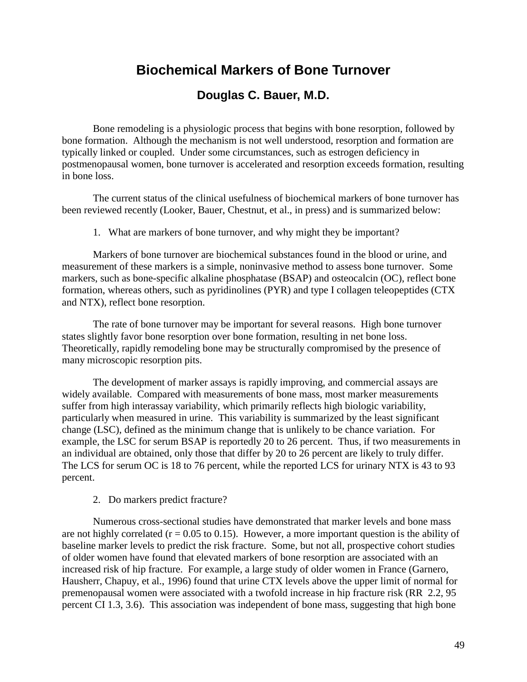# **Biochemical Markers of Bone Turnover**

### **Douglas C. Bauer, M.D.**

Bone remodeling is a physiologic process that begins with bone resorption, followed by bone formation. Although the mechanism is not well understood, resorption and formation are typically linked or coupled. Under some circumstances, such as estrogen deficiency in postmenopausal women, bone turnover is accelerated and resorption exceeds formation, resulting in bone loss.

The current status of the clinical usefulness of biochemical markers of bone turnover has been reviewed recently (Looker, Bauer, Chestnut, et al., in press) and is summarized below:

1. What are markers of bone turnover, and why might they be important?

Markers of bone turnover are biochemical substances found in the blood or urine, and measurement of these markers is a simple, noninvasive method to assess bone turnover. Some markers, such as bone-specific alkaline phosphatase (BSAP) and osteocalcin (OC), reflect bone formation, whereas others, such as pyridinolines (PYR) and type I collagen teleopeptides (CTX and NTX), reflect bone resorption.

The rate of bone turnover may be important for several reasons. High bone turnover states slightly favor bone resorption over bone formation, resulting in net bone loss. Theoretically, rapidly remodeling bone may be structurally compromised by the presence of many microscopic resorption pits.

The development of marker assays is rapidly improving, and commercial assays are widely available. Compared with measurements of bone mass, most marker measurements suffer from high interassay variability, which primarily reflects high biologic variability, particularly when measured in urine. This variability is summarized by the least significant change (LSC), defined as the minimum change that is unlikely to be chance variation. For example, the LSC for serum BSAP is reportedly 20 to 26 percent. Thus, if two measurements in an individual are obtained, only those that differ by 20 to 26 percent are likely to truly differ. The LCS for serum OC is 18 to 76 percent, while the reported LCS for urinary NTX is 43 to 93 percent.

2. Do markers predict fracture?

Numerous cross-sectional studies have demonstrated that marker levels and bone mass are not highly correlated ( $r = 0.05$  to 0.15). However, a more important question is the ability of baseline marker levels to predict the risk fracture. Some, but not all, prospective cohort studies of older women have found that elevated markers of bone resorption are associated with an increased risk of hip fracture. For example, a large study of older women in France (Garnero, Hausherr, Chapuy, et al., 1996) found that urine CTX levels above the upper limit of normal for premenopausal women were associated with a twofold increase in hip fracture risk (RR 2.2, 95 percent CI 1.3, 3.6). This association was independent of bone mass, suggesting that high bone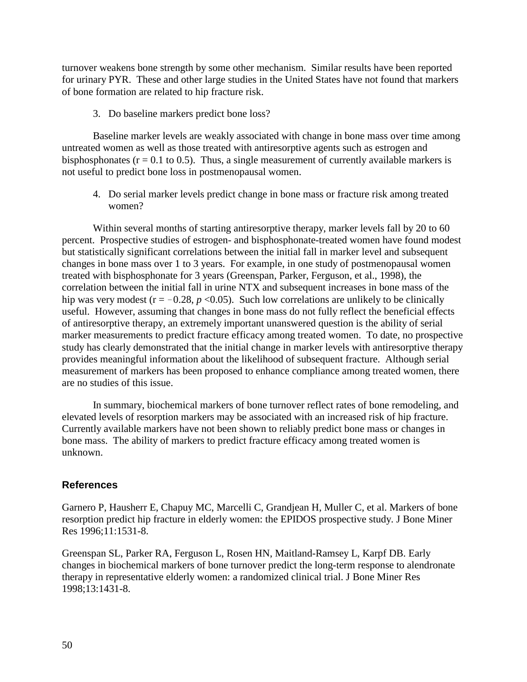turnover weakens bone strength by some other mechanism. Similar results have been reported for urinary PYR. These and other large studies in the United States have not found that markers of bone formation are related to hip fracture risk.

3. Do baseline markers predict bone loss?

Baseline marker levels are weakly associated with change in bone mass over time among untreated women as well as those treated with antiresorptive agents such as estrogen and bisphosphonates ( $r = 0.1$  to 0.5). Thus, a single measurement of currently available markers is not useful to predict bone loss in postmenopausal women.

 $woman?$ 4. Do serial marker levels predict change in bone mass or fracture risk among treated

Within several months of starting antiresorptive therapy, marker levels fall by 20 to 60 percent. Prospective studies of estrogen- and bisphosphonate-treated women have found modest but statistically significant correlations between the initial fall in marker level and subsequent changes in bone mass over 1 to 3 years. For example, in one study of postmenopausal women treated with bisphosphonate for 3 years (Greenspan, Parker, Ferguson, et al., 1998), the correlation between the initial fall in urine NTX and subsequent increases in bone mass of the hip was very modest ( $r = -0.28$ ,  $p < 0.05$ ). Such low correlations are unlikely to be clinically useful. However, assuming that changes in bone mass do not fully reflect the beneficial effects of antiresorptive therapy, an extremely important unanswered question is the ability of serial marker measurements to predict fracture efficacy among treated women. To date, no prospective study has clearly demonstrated that the initial change in marker levels with antiresorptive therapy provides meaningful information about the likelihood of subsequent fracture. Although serial measurement of markers has been proposed to enhance compliance among treated women, there are no studies of this issue.

In summary, biochemical markers of bone turnover reflect rates of bone remodeling, and elevated levels of resorption markers may be associated with an increased risk of hip fracture. Currently available markers have not been shown to reliably predict bone mass or changes in bone mass. The ability of markers to predict fracture efficacy among treated women is unknown.

#### **References**

Garnero P, Hausherr E, Chapuy MC, Marcelli C, Grandjean H, Muller C, et al. Markers of bone resorption predict hip fracture in elderly women: the EPIDOS prospective study. J Bone Miner Res 1996;11:1531-8.

Greenspan SL, Parker RA, Ferguson L, Rosen HN, Maitland-Ramsey L, Karpf DB. Early changes in biochemical markers of bone turnover predict the long-term response to alendronate therapy in representative elderly women: a randomized clinical trial. J Bone Miner Res 1998;13:1431-8.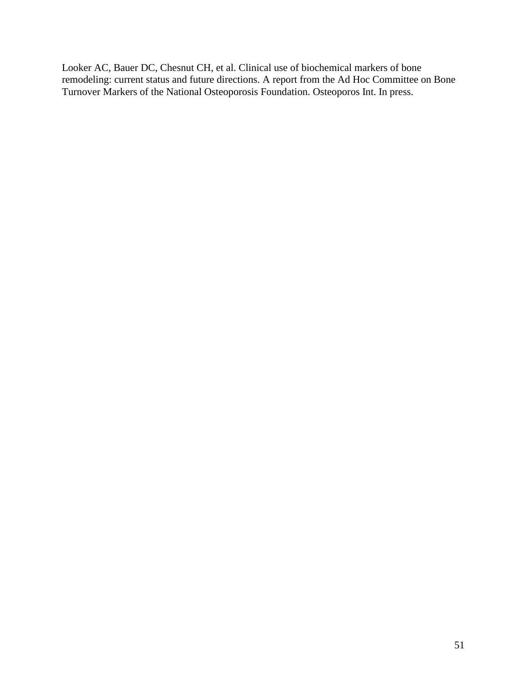Looker AC, Bauer DC, Chesnut CH, et al. Clinical use of biochemical markers of bone remodeling: current status and future directions. A report from the Ad Hoc Committee on Bone Turnover Markers of the National Osteoporosis Foundation. Osteoporos Int. In press.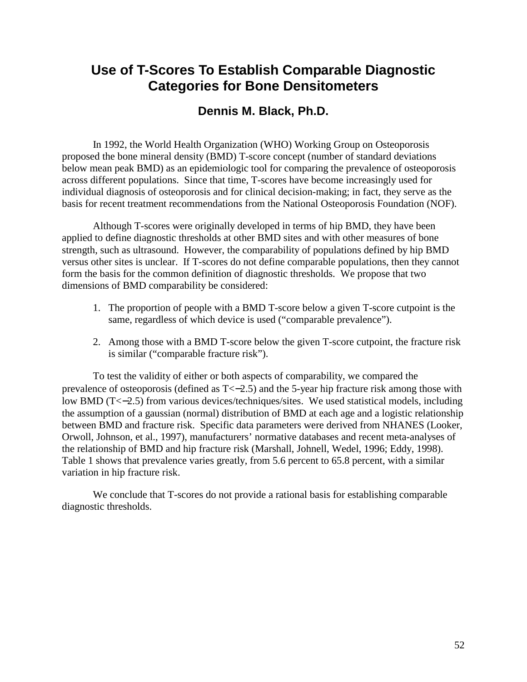# **Use of T-Scores To Establish Comparable Diagnostic Categories for Bone Densitometers**

## **Dennis M. Black, Ph.D.**

In 1992, the World Health Organization (WHO) Working Group on Osteoporosis proposed the bone mineral density (BMD) T-score concept (number of standard deviations below mean peak BMD) as an epidemiologic tool for comparing the prevalence of osteoporosis across different populations. Since that time, T-scores have become increasingly used for individual diagnosis of osteoporosis and for clinical decision-making; in fact, they serve as the basis for recent treatment recommendations from the National Osteoporosis Foundation (NOF).

Although T-scores were originally developed in terms of hip BMD, they have been applied to define diagnostic thresholds at other BMD sites and with other measures of bone strength, such as ultrasound. However, the comparability of populations defined by hip BMD versus other sites is unclear. If T-scores do not define comparable populations, then they cannot form the basis for the common definition of diagnostic thresholds. We propose that two dimensions of BMD comparability be considered:

- 1. The proportion of people with a BMD T-score below a given T-score cutpoint is the same, regardless of which device is used ("comparable prevalence").
- 2. Among those with a BMD T-score below the given T-score cutpoint, the fracture risk is similar ("comparable fracture risk").

To test the validity of either or both aspects of comparability, we compared the prevalence of osteoporosis (defined as  $T \le -2.5$ ) and the 5-year hip fracture risk among those with low BMD (T<−2.5) from various devices/techniques/sites. We used statistical models, including the assumption of a gaussian (normal) distribution of BMD at each age and a logistic relationship between BMD and fracture risk. Specific data parameters were derived from NHANES (Looker, Orwoll, Johnson, et al., 1997), manufacturers' normative databases and recent meta-analyses of the relationship of BMD and hip fracture risk (Marshall, Johnell, Wedel, 1996; Eddy, 1998). Table 1 shows that prevalence varies greatly, from 5.6 percent to 65.8 percent, with a similar variation in hip fracture risk.

We conclude that T-scores do not provide a rational basis for establishing comparable diagnostic thresholds.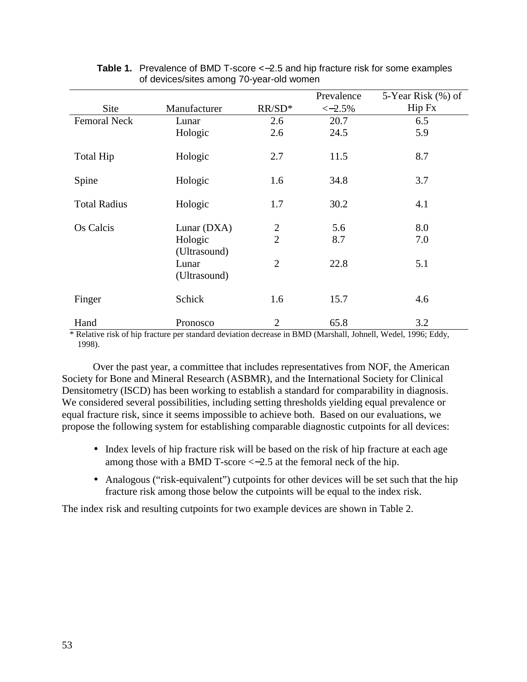|                     |                         |                | Prevalence | 5-Year Risk (%) of |
|---------------------|-------------------------|----------------|------------|--------------------|
| Site                | Manufacturer            | $RR/SD*$       | $<-2.5%$   | Hip Fx             |
| <b>Femoral Neck</b> | Lunar                   | 2.6            | 20.7       | 6.5                |
|                     | Hologic                 | 2.6            | 24.5       | 5.9                |
| <b>Total Hip</b>    | Hologic                 | 2.7            | 11.5       | 8.7                |
| Spine               | Hologic                 | 1.6            | 34.8       | 3.7                |
| <b>Total Radius</b> | Hologic                 | 1.7            | 30.2       | 4.1                |
| Os Calcis           | Lunar (DXA)             | $\overline{2}$ | 5.6        | 8.0                |
|                     | Hologic<br>(Ultrasound) | $\overline{2}$ | 8.7        | 7.0                |
|                     | Lunar<br>(Ultrasound)   | $\overline{2}$ | 22.8       | 5.1                |
| Finger              | Schick                  | 1.6            | 15.7       | 4.6                |
| Hand                | Pronosco                | $\overline{2}$ | 65.8       | 3.2                |

#### **Table 1.** Prevalence of BMD T-score <−2.5 and hip fracture risk for some examples of devices/sites among 70-year-old women

\* Relative risk of hip fracture per standard deviation decrease in BMD (Marshall, Johnell, Wedel, 1996; Eddy, 1998).

Over the past year, a committee that includes representatives from NOF, the American Society for Bone and Mineral Research (ASBMR), and the International Society for Clinical Densitometry (ISCD) has been working to establish a standard for comparability in diagnosis. We considered several possibilities, including setting thresholds yielding equal prevalence or equal fracture risk, since it seems impossible to achieve both. Based on our evaluations, we propose the following system for establishing comparable diagnostic cutpoints for all devices:

- Index levels of hip fracture risk will be based on the risk of hip fracture at each age among those with a BMD T-score <−2.5 at the femoral neck of the hip.
- Analogous ("risk-equivalent") cutpoints for other devices will be set such that the hip fracture risk among those below the cutpoints will be equal to the index risk.

The index risk and resulting cutpoints for two example devices are shown in Table 2.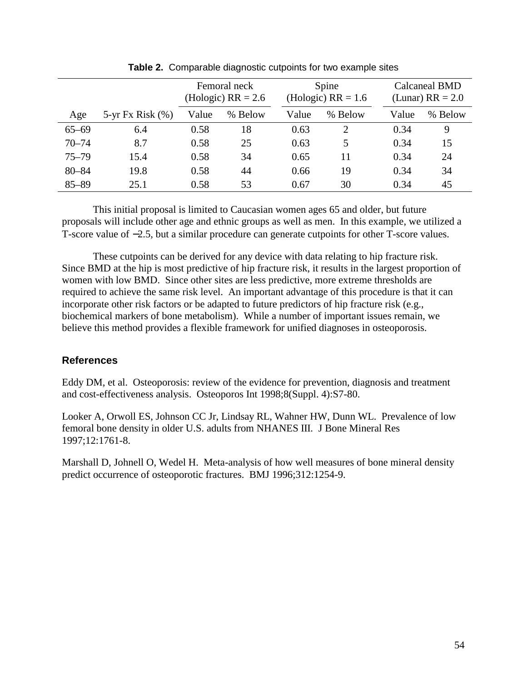|           |                       | Femoral neck<br>(Hologic) $RR = 2.6$ |         |       | Spine<br>(Hologic) $RR = 1.6$ |       | Calcaneal BMD<br>(Lunar) $RR = 2.0$ |  |
|-----------|-----------------------|--------------------------------------|---------|-------|-------------------------------|-------|-------------------------------------|--|
| Age       | $5-yr$ Fx Risk $(\%)$ | Value                                | % Below | Value | % Below                       | Value | % Below                             |  |
| $65 - 69$ | 6.4                   | 0.58                                 | 18      | 0.63  | 2                             | 0.34  | 9                                   |  |
| $70 - 74$ | 8.7                   | 0.58                                 | 25      | 0.63  | 5                             | 0.34  | 15                                  |  |
| $75 - 79$ | 15.4                  | 0.58                                 | 34      | 0.65  | 11                            | 0.34  | 24                                  |  |
| $80 - 84$ | 19.8                  | 0.58                                 | 44      | 0.66  | 19                            | 0.34  | 34                                  |  |
| $85 - 89$ | 25.1                  | 0.58                                 | 53      | 0.67  | 30                            | 0.34  | 45                                  |  |

**Table 2.** Comparable diagnostic cutpoints for two example sites

This initial proposal is limited to Caucasian women ages 65 and older, but future proposals will include other age and ethnic groups as well as men. In this example, we utilized a T-score value of −2.5, but a similar procedure can generate cutpoints for other T-score values.

These cutpoints can be derived for any device with data relating to hip fracture risk. Since BMD at the hip is most predictive of hip fracture risk, it results in the largest proportion of women with low BMD. Since other sites are less predictive, more extreme thresholds are required to achieve the same risk level. An important advantage of this procedure is that it can incorporate other risk factors or be adapted to future predictors of hip fracture risk (e.g., biochemical markers of bone metabolism). While a number of important issues remain, we believe this method provides a flexible framework for unified diagnoses in osteoporosis.

#### **References**

Eddy DM, et al. Osteoporosis: review of the evidence for prevention, diagnosis and treatment and cost-effectiveness analysis. Osteoporos Int 1998;8(Suppl. 4):S7-80.

 femoral bone density in older U.S. adults from NHANES III. J Bone Mineral Res 1997;12:1761-8. Looker A, Orwoll ES, Johnson CC Jr, Lindsay RL, Wahner HW, Dunn WL. Prevalence of low

Marshall D, Johnell O, Wedel H. Meta-analysis of how well measures of bone mineral density predict occurrence of osteoporotic fractures. BMJ 1996;312:1254-9.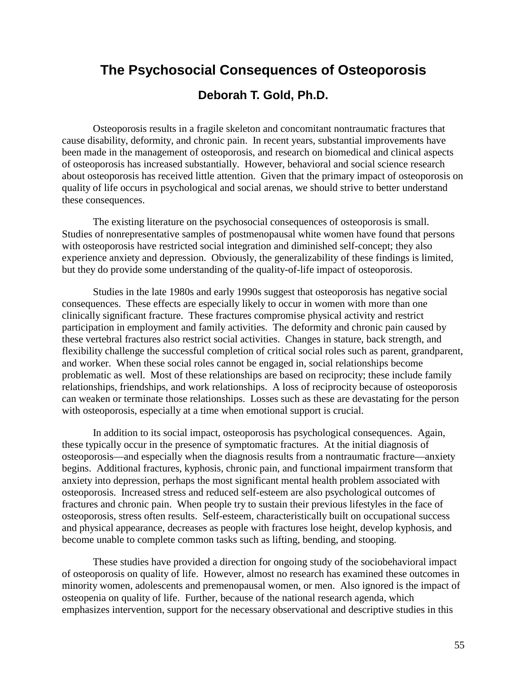# **The Psychosocial Consequences of Osteoporosis Deborah T. Gold, Ph.D.**

Osteoporosis results in a fragile skeleton and concomitant nontraumatic fractures that cause disability, deformity, and chronic pain. In recent years, substantial improvements have been made in the management of osteoporosis, and research on biomedical and clinical aspects of osteoporosis has increased substantially. However, behavioral and social science research about osteoporosis has received little attention. Given that the primary impact of osteoporosis on quality of life occurs in psychological and social arenas, we should strive to better understand these consequences.

The existing literature on the psychosocial consequences of osteoporosis is small. Studies of nonrepresentative samples of postmenopausal white women have found that persons with osteoporosis have restricted social integration and diminished self-concept; they also experience anxiety and depression. Obviously, the generalizability of these findings is limited, but they do provide some understanding of the quality-of-life impact of osteoporosis.

Studies in the late 1980s and early 1990s suggest that osteoporosis has negative social consequences. These effects are especially likely to occur in women with more than one clinically significant fracture. These fractures compromise physical activity and restrict participation in employment and family activities. The deformity and chronic pain caused by these vertebral fractures also restrict social activities. Changes in stature, back strength, and flexibility challenge the successful completion of critical social roles such as parent, grandparent, and worker. When these social roles cannot be engaged in, social relationships become problematic as well. Most of these relationships are based on reciprocity; these include family relationships, friendships, and work relationships. A loss of reciprocity because of osteoporosis can weaken or terminate those relationships. Losses such as these are devastating for the person with osteoporosis, especially at a time when emotional support is crucial.

In addition to its social impact, osteoporosis has psychological consequences. Again, these typically occur in the presence of symptomatic fractures. At the initial diagnosis of osteoporosis—and especially when the diagnosis results from a nontraumatic fracture—anxiety begins. Additional fractures, kyphosis, chronic pain, and functional impairment transform that anxiety into depression, perhaps the most significant mental health problem associated with osteoporosis. Increased stress and reduced self-esteem are also psychological outcomes of fractures and chronic pain. When people try to sustain their previous lifestyles in the face of osteoporosis, stress often results. Self-esteem, characteristically built on occupational success and physical appearance, decreases as people with fractures lose height, develop kyphosis, and become unable to complete common tasks such as lifting, bending, and stooping.

These studies have provided a direction for ongoing study of the sociobehavioral impact of osteoporosis on quality of life. However, almost no research has examined these outcomes in minority women, adolescents and premenopausal women, or men. Also ignored is the impact of osteopenia on quality of life. Further, because of the national research agenda, which emphasizes intervention, support for the necessary observational and descriptive studies in this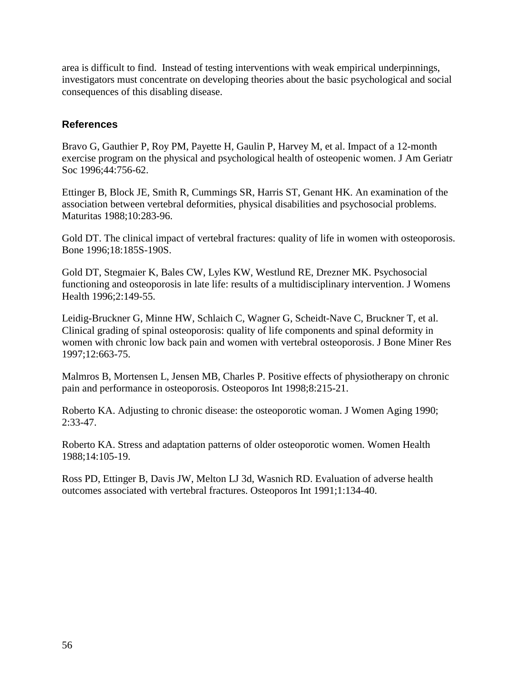area is difficult to find. Instead of testing interventions with weak empirical underpinnings, investigators must concentrate on developing theories about the basic psychological and social consequences of this disabling disease.

### **References**

Bravo G, Gauthier P, Roy PM, Payette H, Gaulin P, Harvey M, et al. Impact of a 12-month exercise program on the physical and psychological health of osteopenic women. J Am Geriatr Soc 1996;44:756-62.

Ettinger B, Block JE, Smith R, Cummings SR, Harris ST, Genant HK. An examination of the association between vertebral deformities, physical disabilities and psychosocial problems. Maturitas 1988;10:283-96.

Gold DT. The clinical impact of vertebral fractures: quality of life in women with osteoporosis. Bone 1996;18:185S-190S.

Gold DT, Stegmaier K, Bales CW, Lyles KW, Westlund RE, Drezner MK. Psychosocial functioning and osteoporosis in late life: results of a multidisciplinary intervention. J Womens Health 1996;2:149-55.

Leidig-Bruckner G, Minne HW, Schlaich C, Wagner G, Scheidt-Nave C, Bruckner T, et al. Clinical grading of spinal osteoporosis: quality of life components and spinal deformity in women with chronic low back pain and women with vertebral osteoporosis. J Bone Miner Res 1997;12:663-75.

Malmros B, Mortensen L, Jensen MB, Charles P. Positive effects of physiotherapy on chronic pain and performance in osteoporosis. Osteoporos Int 1998;8:215-21.

Roberto KA. Adjusting to chronic disease: the osteoporotic woman. J Women Aging 1990; 2:33-47.

Roberto KA. Stress and adaptation patterns of older osteoporotic women. Women Health 1988;14:105-19.

Ross PD, Ettinger B, Davis JW, Melton LJ 3d, Wasnich RD. Evaluation of adverse health outcomes associated with vertebral fractures. Osteoporos Int 1991;1:134-40.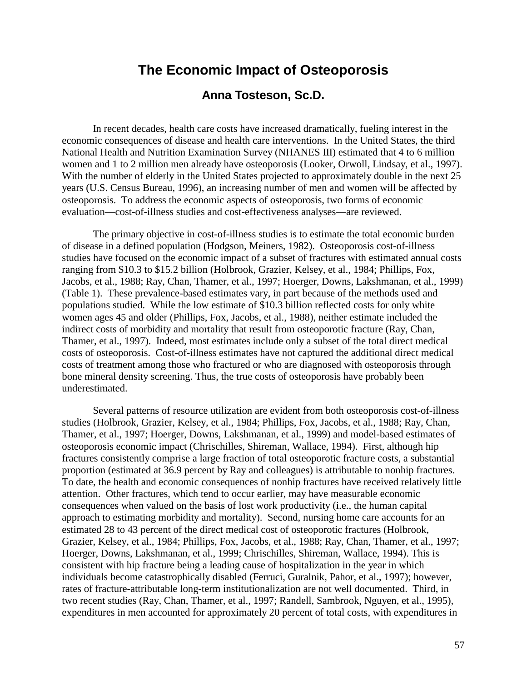### **The Economic Impact of Osteoporosis**

### **Anna Tosteson, Sc.D.**

In recent decades, health care costs have increased dramatically, fueling interest in the economic consequences of disease and health care interventions. In the United States, the third National Health and Nutrition Examination Survey (NHANES III) estimated that 4 to 6 million women and 1 to 2 million men already have osteoporosis (Looker, Orwoll, Lindsay, et al., 1997). With the number of elderly in the United States projected to approximately double in the next 25 years (U.S. Census Bureau, 1996), an increasing number of men and women will be affected by osteoporosis. To address the economic aspects of osteoporosis, two forms of economic evaluation—cost-of-illness studies and cost-effectiveness analyses—are reviewed.

The primary objective in cost-of-illness studies is to estimate the total economic burden of disease in a defined population (Hodgson, Meiners, 1982). Osteoporosis cost-of-illness studies have focused on the economic impact of a subset of fractures with estimated annual costs ranging from \$10.3 to \$15.2 billion (Holbrook, Grazier, Kelsey, et al., 1984; Phillips, Fox, Jacobs, et al., 1988; Ray, Chan, Thamer, et al., 1997; Hoerger, Downs, Lakshmanan, et al., 1999) (Table 1). These prevalence-based estimates vary, in part because of the methods used and populations studied. While the low estimate of \$10.3 billion reflected costs for only white women ages 45 and older (Phillips, Fox, Jacobs, et al., 1988), neither estimate included the indirect costs of morbidity and mortality that result from osteoporotic fracture (Ray, Chan, Thamer, et al., 1997). Indeed, most estimates include only a subset of the total direct medical costs of osteoporosis. Cost-of-illness estimates have not captured the additional direct medical costs of treatment among those who fractured or who are diagnosed with osteoporosis through bone mineral density screening. Thus, the true costs of osteoporosis have probably been underestimated.

Several patterns of resource utilization are evident from both osteoporosis cost-of-illness studies (Holbrook, Grazier, Kelsey, et al., 1984; Phillips, Fox, Jacobs, et al., 1988; Ray, Chan, Thamer, et al., 1997; Hoerger, Downs, Lakshmanan, et al., 1999) and model-based estimates of osteoporosis economic impact (Chrischilles, Shireman, Wallace, 1994). First, although hip fractures consistently comprise a large fraction of total osteoporotic fracture costs, a substantial proportion (estimated at 36.9 percent by Ray and colleagues) is attributable to nonhip fractures. To date, the health and economic consequences of nonhip fractures have received relatively little attention. Other fractures, which tend to occur earlier, may have measurable economic consequences when valued on the basis of lost work productivity (i.e., the human capital approach to estimating morbidity and mortality). Second, nursing home care accounts for an estimated 28 to 43 percent of the direct medical cost of osteoporotic fractures (Holbrook, Grazier, Kelsey, et al., 1984; Phillips, Fox, Jacobs, et al., 1988; Ray, Chan, Thamer, et al., 1997; Hoerger, Downs, Lakshmanan, et al., 1999; Chrischilles, Shireman, Wallace, 1994). This is consistent with hip fracture being a leading cause of hospitalization in the year in which individuals become catastrophically disabled (Ferruci, Guralnik, Pahor, et al., 1997); however, rates of fracture-attributable long-term institutionalization are not well documented. Third, in two recent studies (Ray, Chan, Thamer, et al., 1997; Randell, Sambrook, Nguyen, et al., 1995), expenditures in men accounted for approximately 20 percent of total costs, with expenditures in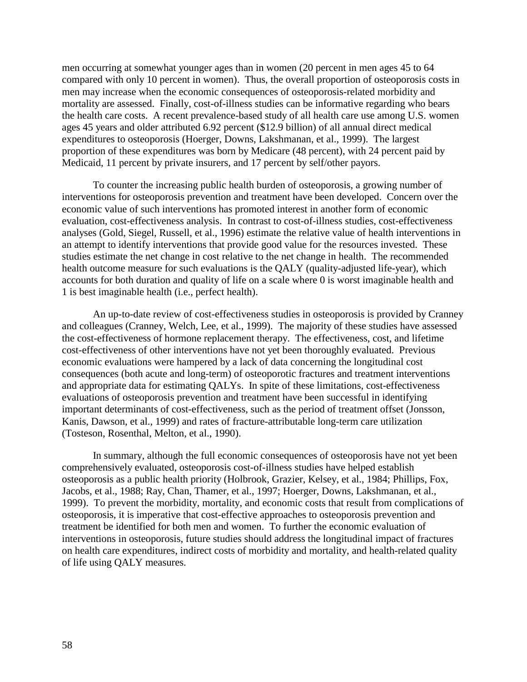men occurring at somewhat younger ages than in women (20 percent in men ages 45 to 64 compared with only 10 percent in women). Thus, the overall proportion of osteoporosis costs in men may increase when the economic consequences of osteoporosis-related morbidity and mortality are assessed. Finally, cost-of-illness studies can be informative regarding who bears the health care costs. A recent prevalence-based study of all health care use among U.S. women ages 45 years and older attributed 6.92 percent (\$12.9 billion) of all annual direct medical expenditures to osteoporosis (Hoerger, Downs, Lakshmanan, et al., 1999). The largest proportion of these expenditures was born by Medicare (48 percent), with 24 percent paid by Medicaid, 11 percent by private insurers, and 17 percent by self/other payors.

To counter the increasing public health burden of osteoporosis, a growing number of interventions for osteoporosis prevention and treatment have been developed. Concern over the economic value of such interventions has promoted interest in another form of economic evaluation, cost-effectiveness analysis. In contrast to cost-of-illness studies, cost-effectiveness analyses (Gold, Siegel, Russell, et al., 1996) estimate the relative value of health interventions in an attempt to identify interventions that provide good value for the resources invested. These studies estimate the net change in cost relative to the net change in health. The recommended health outcome measure for such evaluations is the QALY (quality-adjusted life-year), which accounts for both duration and quality of life on a scale where 0 is worst imaginable health and 1 is best imaginable health (i.e., perfect health).

An up-to-date review of cost-effectiveness studies in osteoporosis is provided by Cranney and colleagues (Cranney, Welch, Lee, et al., 1999). The majority of these studies have assessed the cost-effectiveness of hormone replacement therapy. The effectiveness, cost, and lifetime cost-effectiveness of other interventions have not yet been thoroughly evaluated. Previous economic evaluations were hampered by a lack of data concerning the longitudinal cost consequences (both acute and long-term) of osteoporotic fractures and treatment interventions and appropriate data for estimating QALYs. In spite of these limitations, cost-effectiveness evaluations of osteoporosis prevention and treatment have been successful in identifying important determinants of cost-effectiveness, such as the period of treatment offset (Jonsson, Kanis, Dawson, et al., 1999) and rates of fracture-attributable long-term care utilization (Tosteson, Rosenthal, Melton, et al., 1990).

In summary, although the full economic consequences of osteoporosis have not yet been comprehensively evaluated, osteoporosis cost-of-illness studies have helped establish osteoporosis as a public health priority (Holbrook, Grazier, Kelsey, et al., 1984; Phillips, Fox, Jacobs, et al., 1988; Ray, Chan, Thamer, et al., 1997; Hoerger, Downs, Lakshmanan, et al., 1999). To prevent the morbidity, mortality, and economic costs that result from complications of osteoporosis, it is imperative that cost-effective approaches to osteoporosis prevention and treatment be identified for both men and women. To further the economic evaluation of interventions in osteoporosis, future studies should address the longitudinal impact of fractures on health care expenditures, indirect costs of morbidity and mortality, and health-related quality of life using QALY measures.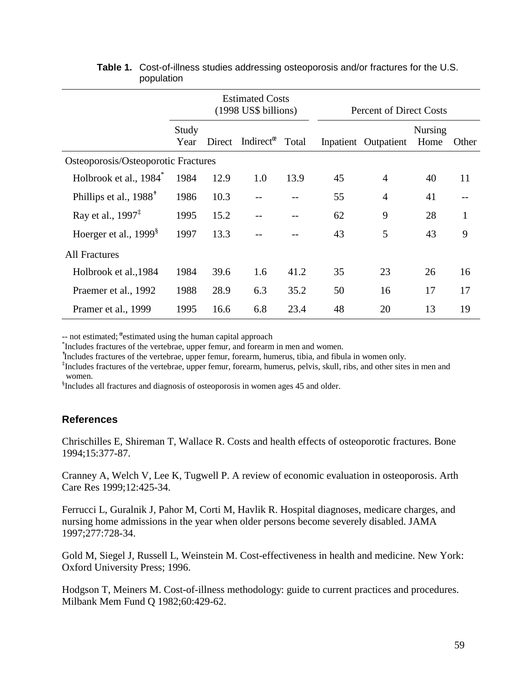|                                     |               | <b>Estimated Costs</b><br>(1998 US\$ billions) |                                         |       | <b>Percent of Direct Costs</b> |                      |                        |       |  |
|-------------------------------------|---------------|------------------------------------------------|-----------------------------------------|-------|--------------------------------|----------------------|------------------------|-------|--|
|                                     | Study<br>Year | Direct                                         | Indirect <sup><math>\infty</math></sup> | Total |                                | Inpatient Outpatient | <b>Nursing</b><br>Home | Other |  |
| Osteoporosis/Osteoporotic Fractures |               |                                                |                                         |       |                                |                      |                        |       |  |
| Holbrook et al., 1984 <sup>*</sup>  | 1984          | 12.9                                           | 1.0                                     | 13.9  | 45                             | 4                    | 40                     | 11    |  |
| Phillips et al., 1988 <sup>†</sup>  | 1986          | 10.3                                           |                                         |       | 55                             | $\overline{4}$       | 41                     |       |  |
| Ray et al., $1997^{\ddagger}$       | 1995          | 15.2                                           |                                         |       | 62                             | 9                    | 28                     | 1     |  |
| Hoerger et al., 1999 <sup>§</sup>   | 1997          | 13.3                                           |                                         |       | 43                             | 5                    | 43                     | 9     |  |
| <b>All Fractures</b>                |               |                                                |                                         |       |                                |                      |                        |       |  |
| Holbrook et al., 1984               | 1984          | 39.6                                           | 1.6                                     | 41.2  | 35                             | 23                   | 26                     | 16    |  |
| Praemer et al., 1992                | 1988          | 28.9                                           | 6.3                                     | 35.2  | 50                             | 16                   | 17                     | 17    |  |
| Pramer et al., 1999                 | 1995          | 16.6                                           | 6.8                                     | 23.4  | 48                             | 20                   | 13                     | 19    |  |

#### **Table 1.** Cost-of-illness studies addressing osteoporosis and/or fractures for the U.S. population

 $\frac{1}{2}$  not estimated;  $\frac{1}{2}$  estimated using the human capital approach  $\frac{1}{2}$  holydes fractures of the vertebres, upper formulation of foresm

<sup>\*</sup>Includes fractures of the vertebrae, upper femur, and forearm in men and women.

✝ Includes fractures of the vertebrae, upper femur, forearm, humerus, tibia, and fibula in women only.

<sup>‡</sup>Includes fractures of the vertebrae, upper femur, forearm, humerus, pelvis, skull, ribs, and other sites in men and women.

§ Includes all fractures and diagnosis of osteoporosis in women ages 45 and older.

### **References**

Chrischilles E, Shireman T, Wallace R. Costs and health effects of osteoporotic fractures. Bone 1994;15:377-87.

Cranney A, Welch V, Lee K, Tugwell P. A review of economic evaluation in osteoporosis. Arth Care Res 1999;12:425-34.

Ferrucci L, Guralnik J, Pahor M, Corti M, Havlik R. Hospital diagnoses, medicare charges, and nursing home admissions in the year when older persons become severely disabled. JAMA 1997;277:728-34.

Gold M, Siegel J, Russell L, Weinstein M. Cost-effectiveness in health and medicine. New York: Oxford University Press; 1996.

Hodgson T, Meiners M. Cost-of-illness methodology: guide to current practices and procedures. Milbank Mem Fund Q 1982;60:429-62.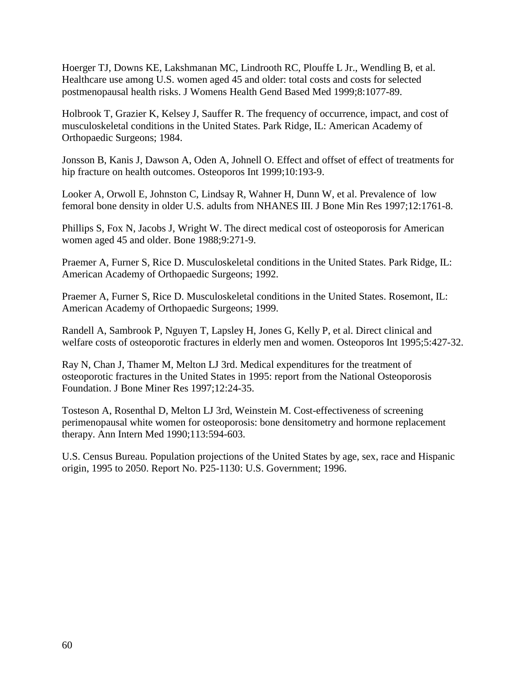Hoerger TJ, Downs KE, Lakshmanan MC, Lindrooth RC, Plouffe L Jr., Wendling B, et al. Healthcare use among U.S. women aged 45 and older: total costs and costs for selected postmenopausal health risks. J Womens Health Gend Based Med 1999;8:1077-89.

Holbrook T, Grazier K, Kelsey J, Sauffer R. The frequency of occurrence, impact, and cost of musculoskeletal conditions in the United States. Park Ridge, IL: American Academy of Orthopaedic Surgeons; 1984.

Jonsson B, Kanis J, Dawson A, Oden A, Johnell O. Effect and offset of effect of treatments for hip fracture on health outcomes. Osteoporos Int 1999;10:193-9.

Looker A, Orwoll E, Johnston C, Lindsay R, Wahner H, Dunn W, et al. Prevalence of low femoral bone density in older U.S. adults from NHANES III. J Bone Min Res 1997;12:1761-8.

Phillips S, Fox N, Jacobs J, Wright W. The direct medical cost of osteoporosis for American women aged 45 and older. Bone 1988;9:271-9.

Praemer A, Furner S, Rice D. Musculoskeletal conditions in the United States. Park Ridge, IL: American Academy of Orthopaedic Surgeons; 1992.

Praemer A, Furner S, Rice D. Musculoskeletal conditions in the United States. Rosemont, IL: American Academy of Orthopaedic Surgeons; 1999.

Randell A, Sambrook P, Nguyen T, Lapsley H, Jones G, Kelly P, et al. Direct clinical and welfare costs of osteoporotic fractures in elderly men and women. Osteoporos Int 1995;5:427-32.

Ray N, Chan J, Thamer M, Melton LJ 3rd. Medical expenditures for the treatment of osteoporotic fractures in the United States in 1995: report from the National Osteoporosis Foundation. J Bone Miner Res 1997;12:24-35.

Tosteson A, Rosenthal D, Melton LJ 3rd, Weinstein M. Cost-effectiveness of screening perimenopausal white women for osteoporosis: bone densitometry and hormone replacement therapy. Ann Intern Med 1990;113:594-603.

U.S. Census Bureau. Population projections of the United States by age, sex, race and Hispanic origin, 1995 to 2050. Report No. P25-1130: U.S. Government; 1996.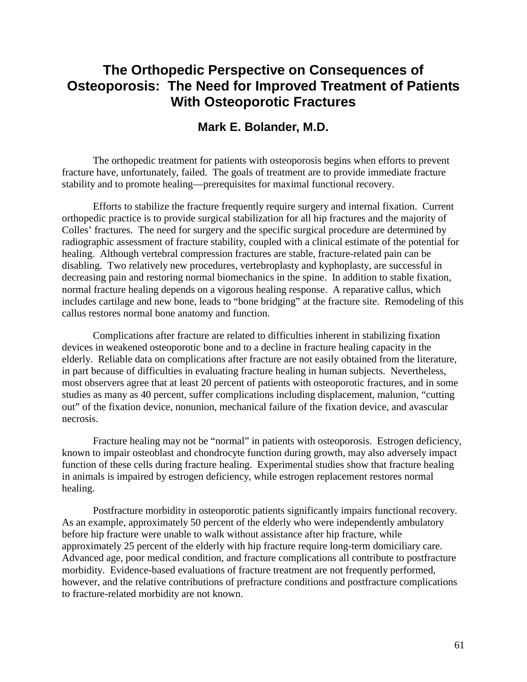# **The Orthopedic Perspective on Consequences of Osteoporosis: The Need for Improved Treatment of Patients With Osteoporotic Fractures**

### **Mark E. Bolander, M.D.**

The orthopedic treatment for patients with osteoporosis begins when efforts to prevent fracture have, unfortunately, failed. The goals of treatment are to provide immediate fracture stability and to promote healing—prerequisites for maximal functional recovery.

Efforts to stabilize the fracture frequently require surgery and internal fixation. Current orthopedic practice is to provide surgical stabilization for all hip fractures and the majority of Colles' fractures. The need for surgery and the specific surgical procedure are determined by radiographic assessment of fracture stability, coupled with a clinical estimate of the potential for healing. Although vertebral compression fractures are stable, fracture-related pain can be disabling. Two relatively new procedures, vertebroplasty and kyphoplasty, are successful in decreasing pain and restoring normal biomechanics in the spine. In addition to stable fixation, normal fracture healing depends on a vigorous healing response. A reparative callus, which includes cartilage and new bone, leads to "bone bridging" at the fracture site. Remodeling of this callus restores normal bone anatomy and function.

Complications after fracture are related to difficulties inherent in stabilizing fixation devices in weakened osteoporotic bone and to a decline in fracture healing capacity in the elderly. Reliable data on complications after fracture are not easily obtained from the literature, in part because of difficulties in evaluating fracture healing in human subjects. Nevertheless, most observers agree that at least 20 percent of patients with osteoporotic fractures, and in some studies as many as 40 percent, suffer complications including displacement, malunion, "cutting out" of the fixation device, nonunion, mechanical failure of the fixation device, and avascular necrosis.

Fracture healing may not be "normal" in patients with osteoporosis. Estrogen deficiency, known to impair osteoblast and chondrocyte function during growth, may also adversely impact function of these cells during fracture healing. Experimental studies show that fracture healing in animals is impaired by estrogen deficiency, while estrogen replacement restores normal healing.

 approximately 25 percent of the elderly with hip fracture require long-term domiciliary care. Postfracture morbidity in osteoporotic patients significantly impairs functional recovery. As an example, approximately 50 percent of the elderly who were independently ambulatory before hip fracture were unable to walk without assistance after hip fracture, while Advanced age, poor medical condition, and fracture complications all contribute to postfracture morbidity. Evidence-based evaluations of fracture treatment are not frequently performed, however, and the relative contributions of prefracture conditions and postfracture complications to fracture-related morbidity are not known.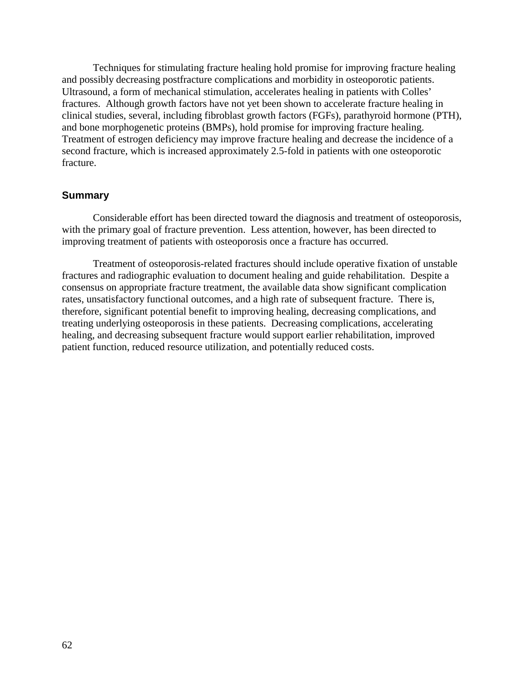and bone morphogenetic proteins (BMPs), hold promise for improving fracture healing. Techniques for stimulating fracture healing hold promise for improving fracture healing and possibly decreasing postfracture complications and morbidity in osteoporotic patients. Ultrasound, a form of mechanical stimulation, accelerates healing in patients with Colles' fractures. Although growth factors have not yet been shown to accelerate fracture healing in clinical studies, several, including fibroblast growth factors (FGFs), parathyroid hormone (PTH), Treatment of estrogen deficiency may improve fracture healing and decrease the incidence of a second fracture, which is increased approximately 2.5-fold in patients with one osteoporotic fracture.

#### **Summary**

Considerable effort has been directed toward the diagnosis and treatment of osteoporosis, with the primary goal of fracture prevention. Less attention, however, has been directed to improving treatment of patients with osteoporosis once a fracture has occurred.

Treatment of osteoporosis-related fractures should include operative fixation of unstable fractures and radiographic evaluation to document healing and guide rehabilitation. Despite a consensus on appropriate fracture treatment, the available data show significant complication rates, unsatisfactory functional outcomes, and a high rate of subsequent fracture. There is, therefore, significant potential benefit to improving healing, decreasing complications, and treating underlying osteoporosis in these patients. Decreasing complications, accelerating healing, and decreasing subsequent fracture would support earlier rehabilitation, improved patient function, reduced resource utilization, and potentially reduced costs.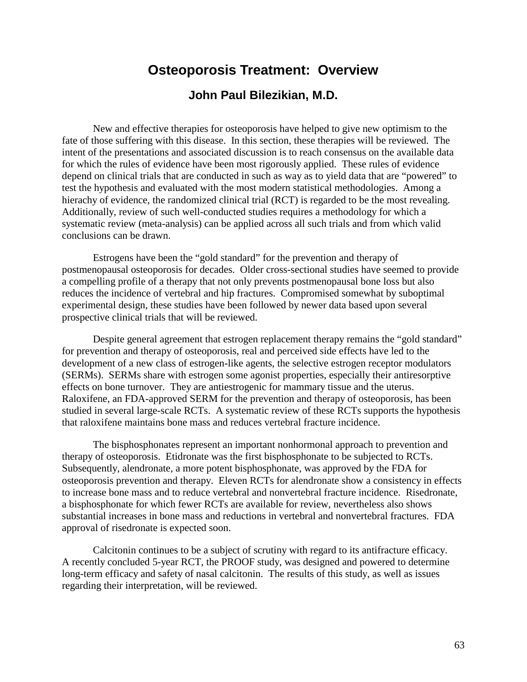# **Osteoporosis Treatment: Overview John Paul Bilezikian, M.D.**

 hierachy of evidence, the randomized clinical trial (RCT) is regarded to be the most revealing. Additionally, review of such well-conducted studies requires a methodology for which a New and effective therapies for osteoporosis have helped to give new optimism to the fate of those suffering with this disease. In this section, these therapies will be reviewed. The intent of the presentations and associated discussion is to reach consensus on the available data for which the rules of evidence have been most rigorously applied. These rules of evidence depend on clinical trials that are conducted in such as way as to yield data that are "powered" to test the hypothesis and evaluated with the most modern statistical methodologies. Among a systematic review (meta-analysis) can be applied across all such trials and from which valid conclusions can be drawn.

Estrogens have been the "gold standard" for the prevention and therapy of postmenopausal osteoporosis for decades. Older cross-sectional studies have seemed to provide a compelling profile of a therapy that not only prevents postmenopausal bone loss but also reduces the incidence of vertebral and hip fractures. Compromised somewhat by suboptimal experimental design, these studies have been followed by newer data based upon several prospective clinical trials that will be reviewed.

Despite general agreement that estrogen replacement therapy remains the "gold standard" for prevention and therapy of osteoporosis, real and perceived side effects have led to the development of a new class of estrogen-like agents, the selective estrogen receptor modulators (SERMs). SERMs share with estrogen some agonist properties, especially their antiresorptive effects on bone turnover. They are antiestrogenic for mammary tissue and the uterus. Raloxifene, an FDA-approved SERM for the prevention and therapy of osteoporosis, has been studied in several large-scale RCTs. A systematic review of these RCTs supports the hypothesis that raloxifene maintains bone mass and reduces vertebral fracture incidence.

The bisphosphonates represent an important nonhormonal approach to prevention and therapy of osteoporosis. Etidronate was the first bisphosphonate to be subjected to RCTs. Subsequently, alendronate, a more potent bisphosphonate, was approved by the FDA for osteoporosis prevention and therapy. Eleven RCTs for alendronate show a consistency in effects to increase bone mass and to reduce vertebral and nonvertebral fracture incidence. Risedronate, a bisphosphonate for which fewer RCTs are available for review, nevertheless also shows substantial increases in bone mass and reductions in vertebral and nonvertebral fractures. FDA approval of risedronate is expected soon.

Calcitonin continues to be a subject of scrutiny with regard to its antifracture efficacy. A recently concluded 5-year RCT, the PROOF study, was designed and powered to determine long-term efficacy and safety of nasal calcitonin. The results of this study, as well as issues regarding their interpretation, will be reviewed.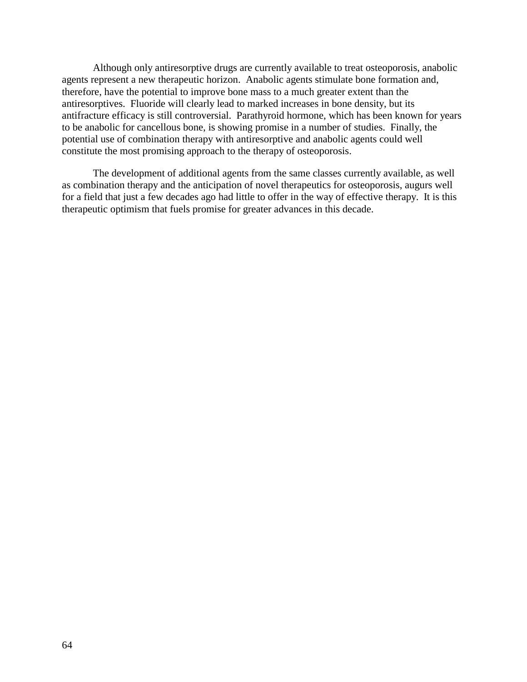Although only antiresorptive drugs are currently available to treat osteoporosis, anabolic agents represent a new therapeutic horizon. Anabolic agents stimulate bone formation and, therefore, have the potential to improve bone mass to a much greater extent than the antiresorptives. Fluoride will clearly lead to marked increases in bone density, but its antifracture efficacy is still controversial. Parathyroid hormone, which has been known for years to be anabolic for cancellous bone, is showing promise in a number of studies. Finally, the potential use of combination therapy with antiresorptive and anabolic agents could well constitute the most promising approach to the therapy of osteoporosis.

The development of additional agents from the same classes currently available, as well as combination therapy and the anticipation of novel therapeutics for osteoporosis, augurs well for a field that just a few decades ago had little to offer in the way of effective therapy. It is this therapeutic optimism that fuels promise for greater advances in this decade.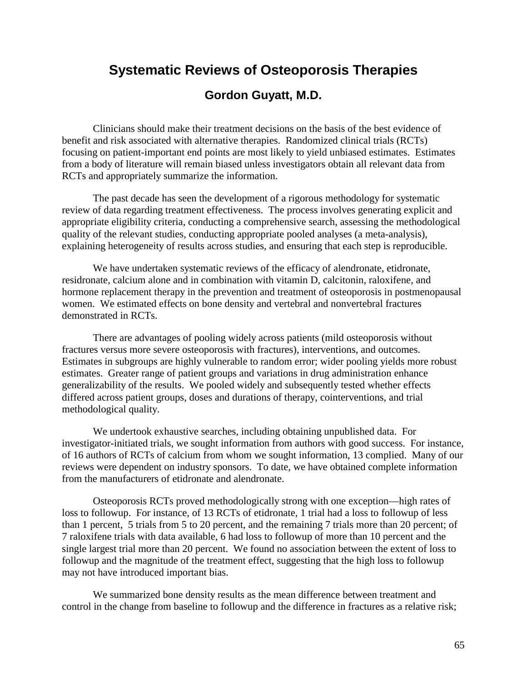# **Systematic Reviews of Osteoporosis Therapies**

### **Gordon Guyatt, M.D.**

Clinicians should make their treatment decisions on the basis of the best evidence of benefit and risk associated with alternative therapies. Randomized clinical trials (RCTs) focusing on patient-important end points are most likely to yield unbiased estimates. Estimates from a body of literature will remain biased unless investigators obtain all relevant data from RCTs and appropriately summarize the information.

The past decade has seen the development of a rigorous methodology for systematic review of data regarding treatment effectiveness. The process involves generating explicit and appropriate eligibility criteria, conducting a comprehensive search, assessing the methodological quality of the relevant studies, conducting appropriate pooled analyses (a meta-analysis), explaining heterogeneity of results across studies, and ensuring that each step is reproducible.

We have undertaken systematic reviews of the efficacy of alendronate, etidronate, residronate, calcium alone and in combination with vitamin D, calcitonin, raloxifene, and hormone replacement therapy in the prevention and treatment of osteoporosis in postmenopausal women. We estimated effects on bone density and vertebral and nonvertebral fractures demonstrated in RCTs.

There are advantages of pooling widely across patients (mild osteoporosis without fractures versus more severe osteoporosis with fractures), interventions, and outcomes. Estimates in subgroups are highly vulnerable to random error; wider pooling yields more robust estimates. Greater range of patient groups and variations in drug administration enhance generalizability of the results. We pooled widely and subsequently tested whether effects differed across patient groups, doses and durations of therapy, cointerventions, and trial methodological quality.

We undertook exhaustive searches, including obtaining unpublished data. For investigator-initiated trials, we sought information from authors with good success. For instance, of 16 authors of RCTs of calcium from whom we sought information, 13 complied. Many of our reviews were dependent on industry sponsors. To date, we have obtained complete information from the manufacturers of etidronate and alendronate.

Osteoporosis RCTs proved methodologically strong with one exception—high rates of loss to followup. For instance, of 13 RCTs of etidronate, 1 trial had a loss to followup of less than 1 percent, 5 trials from 5 to 20 percent, and the remaining 7 trials more than 20 percent; of 7 raloxifene trials with data available, 6 had loss to followup of more than 10 percent and the single largest trial more than 20 percent. We found no association between the extent of loss to followup and the magnitude of the treatment effect, suggesting that the high loss to followup may not have introduced important bias.

We summarized bone density results as the mean difference between treatment and control in the change from baseline to followup and the difference in fractures as a relative risk;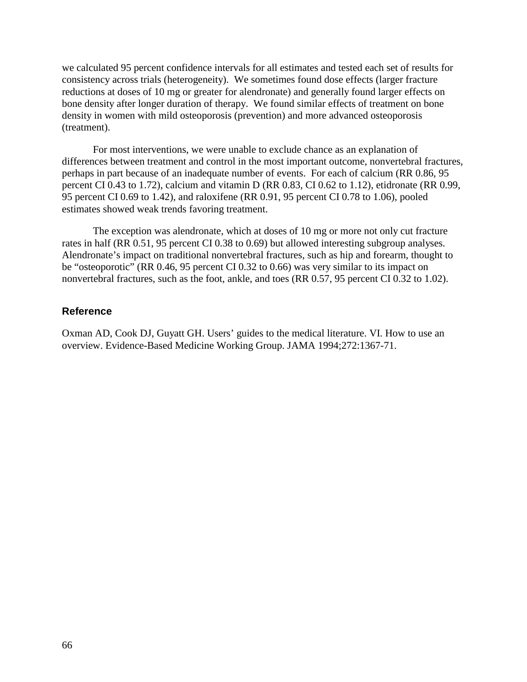we calculated 95 percent confidence intervals for all estimates and tested each set of results for consistency across trials (heterogeneity). We sometimes found dose effects (larger fracture reductions at doses of 10 mg or greater for alendronate) and generally found larger effects on bone density after longer duration of therapy. We found similar effects of treatment on bone density in women with mild osteoporosis (prevention) and more advanced osteoporosis (treatment).

For most interventions, we were unable to exclude chance as an explanation of differences between treatment and control in the most important outcome, nonvertebral fractures, perhaps in part because of an inadequate number of events. For each of calcium (RR 0.86, 95 percent CI 0.43 to 1.72), calcium and vitamin D (RR 0.83, CI 0.62 to 1.12), etidronate (RR 0.99, 95 percent CI 0.69 to 1.42), and raloxifene (RR 0.91, 95 percent CI 0.78 to 1.06), pooled estimates showed weak trends favoring treatment.

The exception was alendronate, which at doses of 10 mg or more not only cut fracture rates in half (RR 0.51, 95 percent CI 0.38 to 0.69) but allowed interesting subgroup analyses. Alendronate's impact on traditional nonvertebral fractures, such as hip and forearm, thought to be "osteoporotic" (RR 0.46, 95 percent CI 0.32 to 0.66) was very similar to its impact on nonvertebral fractures, such as the foot, ankle, and toes (RR 0.57, 95 percent CI 0.32 to 1.02).

#### **Reference**

Oxman AD, Cook DJ, Guyatt GH. Users' guides to the medical literature. VI. How to use an overview. Evidence-Based Medicine Working Group. JAMA 1994;272:1367-71.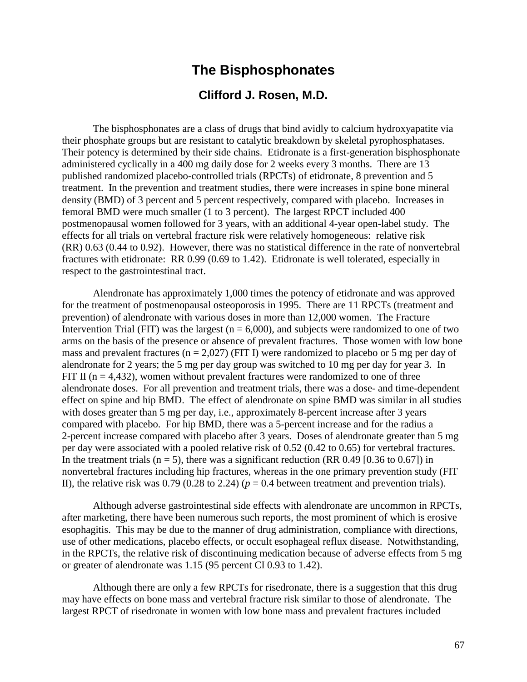### **The Bisphosphonates**

### **Clifford J. Rosen, M.D.**

The bisphosphonates are a class of drugs that bind avidly to calcium hydroxyapatite via their phosphate groups but are resistant to catalytic breakdown by skeletal pyrophosphatases. Their potency is determined by their side chains. Etidronate is a first-generation bisphosphonate administered cyclically in a 400 mg daily dose for 2 weeks every 3 months. There are 13 published randomized placebo-controlled trials (RPCTs) of etidronate, 8 prevention and 5 treatment. In the prevention and treatment studies, there were increases in spine bone mineral density (BMD) of 3 percent and 5 percent respectively, compared with placebo. Increases in femoral BMD were much smaller (1 to 3 percent). The largest RPCT included 400 postmenopausal women followed for 3 years, with an additional 4-year open-label study. The effects for all trials on vertebral fracture risk were relatively homogeneous: relative risk (RR) 0.63 (0.44 to 0.92). However, there was no statistical difference in the rate of nonvertebral fractures with etidronate: RR 0.99 (0.69 to 1.42). Etidronate is well tolerated, especially in respect to the gastrointestinal tract.

Alendronate has approximately 1,000 times the potency of etidronate and was approved for the treatment of postmenopausal osteoporosis in 1995. There are 11 RPCTs (treatment and prevention) of alendronate with various doses in more than 12,000 women. The Fracture Intervention Trial (FIT) was the largest ( $n = 6,000$ ), and subjects were randomized to one of two arms on the basis of the presence or absence of prevalent fractures. Those women with low bone mass and prevalent fractures ( $n = 2.027$ ) (FIT I) were randomized to placebo or 5 mg per day of alendronate for 2 years; the 5 mg per day group was switched to 10 mg per day for year 3. In FIT II ( $n = 4,432$ ), women without prevalent fractures were randomized to one of three alendronate doses. For all prevention and treatment trials, there was a dose- and time-dependent effect on spine and hip BMD. The effect of alendronate on spine BMD was similar in all studies with doses greater than 5 mg per day, *i.e.*, approximately 8-percent increase after 3 years compared with placebo. For hip BMD, there was a 5-percent increase and for the radius a 2-percent increase compared with placebo after 3 years. Doses of alendronate greater than 5 mg per day were associated with a pooled relative risk of 0.52 (0.42 to 0.65) for vertebral fractures. In the treatment trials ( $n = 5$ ), there was a significant reduction (RR 0.49 [0.36 to 0.67]) in nonvertebral fractures including hip fractures, whereas in the one primary prevention study (FIT II), the relative risk was 0.79 (0.28 to 2.24) ( $p = 0.4$  between treatment and prevention trials).

Although adverse gastrointestinal side effects with alendronate are uncommon in RPCTs, after marketing, there have been numerous such reports, the most prominent of which is erosive esophagitis. This may be due to the manner of drug administration, compliance with directions, use of other medications, placebo effects, or occult esophageal reflux disease. Notwithstanding, in the RPCTs, the relative risk of discontinuing medication because of adverse effects from 5 mg or greater of alendronate was 1.15 (95 percent CI 0.93 to 1.42).

Although there are only a few RPCTs for risedronate, there is a suggestion that this drug may have effects on bone mass and vertebral fracture risk similar to those of alendronate. The largest RPCT of risedronate in women with low bone mass and prevalent fractures included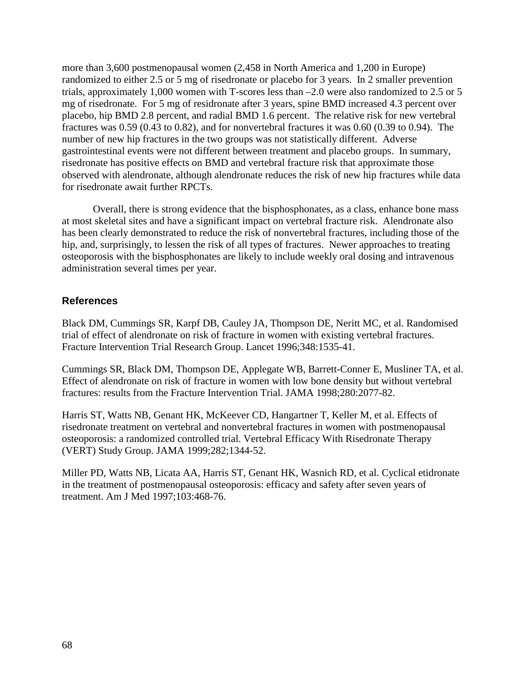more than 3,600 postmenopausal women (2,458 in North America and 1,200 in Europe) randomized to either 2.5 or 5 mg of risedronate or placebo for 3 years. In 2 smaller prevention trials, approximately 1,000 women with T-scores less than –2.0 were also randomized to 2.5 or 5 mg of risedronate. For 5 mg of residronate after 3 years, spine BMD increased 4.3 percent over placebo, hip BMD 2.8 percent, and radial BMD 1.6 percent. The relative risk for new vertebral fractures was 0.59 (0.43 to 0.82), and for nonvertebral fractures it was 0.60 (0.39 to 0.94). The number of new hip fractures in the two groups was not statistically different. Adverse gastrointestinal events were not different between treatment and placebo groups. In summary, risedronate has positive effects on BMD and vertebral fracture risk that approximate those observed with alendronate, although alendronate reduces the risk of new hip fractures while data for risedronate await further RPCTs.

Overall, there is strong evidence that the bisphosphonates, as a class, enhance bone mass at most skeletal sites and have a significant impact on vertebral fracture risk. Alendronate also has been clearly demonstrated to reduce the risk of nonvertebral fractures, including those of the hip, and, surprisingly, to lessen the risk of all types of fractures. Newer approaches to treating osteoporosis with the bisphosphonates are likely to include weekly oral dosing and intravenous administration several times per year.

#### **References**

Black DM, Cummings SR, Karpf DB, Cauley JA, Thompson DE, Neritt MC, et al. Randomised trial of effect of alendronate on risk of fracture in women with existing vertebral fractures. Fracture Intervention Trial Research Group. Lancet 1996;348:1535-41.

Cummings SR, Black DM, Thompson DE, Applegate WB, Barrett-Conner E, Musliner TA, et al. Effect of alendronate on risk of fracture in women with low bone density but without vertebral fractures: results from the Fracture Intervention Trial. JAMA 1998;280:2077-82.

Harris ST, Watts NB, Genant HK, McKeever CD, Hangartner T, Keller M, et al. Effects of risedronate treatment on vertebral and nonvertebral fractures in women with postmenopausal osteoporosis: a randomized controlled trial. Vertebral Efficacy With Risedronate Therapy (VERT) Study Group. JAMA 1999;282;1344-52.

Miller PD, Watts NB, Licata AA, Harris ST, Genant HK, Wasnich RD, et al. Cyclical etidronate in the treatment of postmenopausal osteoporosis: efficacy and safety after seven years of treatment. Am J Med 1997;103:468-76.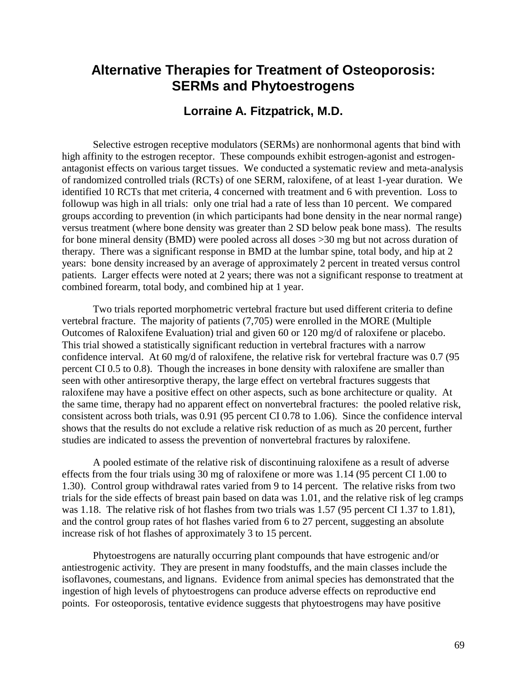## **Alternative Therapies for Treatment of Osteoporosis: SERMs and Phytoestrogens**

### **Lorraine A. Fitzpatrick, M.D.**

Selective estrogen receptive modulators (SERMs) are nonhormonal agents that bind with high affinity to the estrogen receptor. These compounds exhibit estrogen-agonist and estrogenantagonist effects on various target tissues. We conducted a systematic review and meta-analysis of randomized controlled trials (RCTs) of one SERM, raloxifene, of at least 1-year duration. We identified 10 RCTs that met criteria, 4 concerned with treatment and 6 with prevention. Loss to followup was high in all trials: only one trial had a rate of less than 10 percent. We compared groups according to prevention (in which participants had bone density in the near normal range) versus treatment (where bone density was greater than 2 SD below peak bone mass). The results for bone mineral density (BMD) were pooled across all doses >30 mg but not across duration of therapy. There was a significant response in BMD at the lumbar spine, total body, and hip at 2 years: bone density increased by an average of approximately 2 percent in treated versus control patients. Larger effects were noted at 2 years; there was not a significant response to treatment at combined forearm, total body, and combined hip at 1 year.

Two trials reported morphometric vertebral fracture but used different criteria to define vertebral fracture. The majority of patients (7,705) were enrolled in the MORE (Multiple Outcomes of Raloxifene Evaluation) trial and given 60 or 120 mg/d of raloxifene or placebo. This trial showed a statistically significant reduction in vertebral fractures with a narrow confidence interval. At 60 mg/d of raloxifene, the relative risk for vertebral fracture was 0.7 (95 percent CI 0.5 to 0.8). Though the increases in bone density with raloxifene are smaller than seen with other antiresorptive therapy, the large effect on vertebral fractures suggests that raloxifene may have a positive effect on other aspects, such as bone architecture or quality. At the same time, therapy had no apparent effect on nonvertebral fractures: the pooled relative risk, consistent across both trials, was 0.91 (95 percent CI 0.78 to 1.06). Since the confidence interval shows that the results do not exclude a relative risk reduction of as much as 20 percent, further studies are indicated to assess the prevention of nonvertebral fractures by raloxifene.

A pooled estimate of the relative risk of discontinuing raloxifene as a result of adverse effects from the four trials using 30 mg of raloxifene or more was 1.14 (95 percent CI 1.00 to 1.30). Control group withdrawal rates varied from 9 to 14 percent. The relative risks from two trials for the side effects of breast pain based on data was 1.01, and the relative risk of leg cramps was 1.18. The relative risk of hot flashes from two trials was 1.57 (95 percent CI 1.37 to 1.81), and the control group rates of hot flashes varied from 6 to 27 percent, suggesting an absolute increase risk of hot flashes of approximately 3 to 15 percent.

Phytoestrogens are naturally occurring plant compounds that have estrogenic and/or antiestrogenic activity. They are present in many foodstuffs, and the main classes include the isoflavones, coumestans, and lignans. Evidence from animal species has demonstrated that the ingestion of high levels of phytoestrogens can produce adverse effects on reproductive end points. For osteoporosis, tentative evidence suggests that phytoestrogens may have positive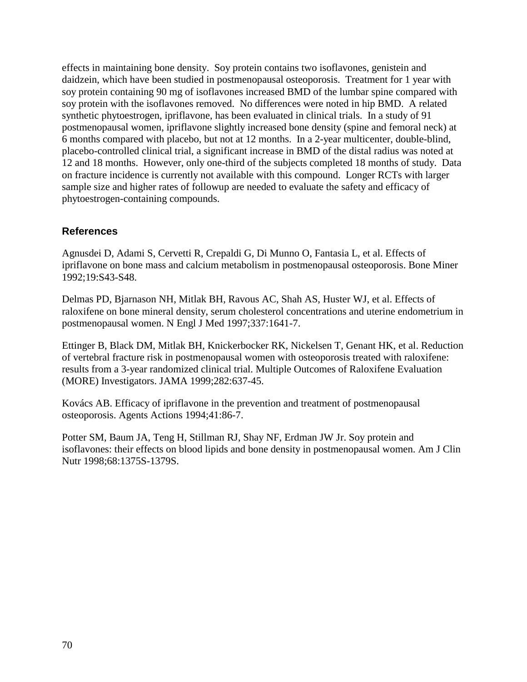effects in maintaining bone density. Soy protein contains two isoflavones, genistein and daidzein, which have been studied in postmenopausal osteoporosis. Treatment for 1 year with soy protein containing 90 mg of isoflavones increased BMD of the lumbar spine compared with soy protein with the isoflavones removed. No differences were noted in hip BMD. A related synthetic phytoestrogen, ipriflavone, has been evaluated in clinical trials. In a study of 91 postmenopausal women, ipriflavone slightly increased bone density (spine and femoral neck) at 6 months compared with placebo, but not at 12 months. In a 2-year multicenter, double-blind, placebo-controlled clinical trial, a significant increase in BMD of the distal radius was noted at 12 and 18 months. However, only one-third of the subjects completed 18 months of study. Data on fracture incidence is currently not available with this compound. Longer RCTs with larger sample size and higher rates of followup are needed to evaluate the safety and efficacy of phytoestrogen-containing compounds.

#### **References**

Agnusdei D, Adami S, Cervetti R, Crepaldi G, Di Munno O, Fantasia L, et al. Effects of ipriflavone on bone mass and calcium metabolism in postmenopausal osteoporosis. Bone Miner 1992;19:S43-S48.

Delmas PD, Bjarnason NH, Mitlak BH, Ravous AC, Shah AS, Huster WJ, et al. Effects of raloxifene on bone mineral density, serum cholesterol concentrations and uterine endometrium in postmenopausal women. N Engl J Med 1997;337:1641-7.

Ettinger B, Black DM, Mitlak BH, Knickerbocker RK, Nickelsen T, Genant HK, et al. Reduction of vertebral fracture risk in postmenopausal women with osteoporosis treated with raloxifene: results from a 3-year randomized clinical trial. Multiple Outcomes of Raloxifene Evaluation (MORE) Investigators. JAMA 1999;282:637-45.

Kovács AB. Efficacy of ipriflavone in the prevention and treatment of postmenopausal osteoporosis. Agents Actions 1994;41:86-7.

Potter SM, Baum JA, Teng H, Stillman RJ, Shay NF, Erdman JW Jr. Soy protein and isoflavones: their effects on blood lipids and bone density in postmenopausal women. Am J Clin Nutr 1998;68:1375S-1379S.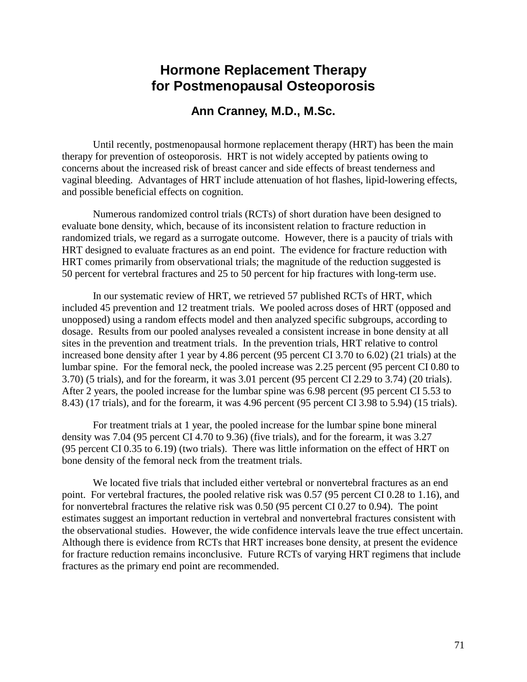## **Hormone Replacement Therapy for Postmenopausal Osteoporosis**

#### **Ann Cranney, M.D., M.Sc.**

Until recently, postmenopausal hormone replacement therapy (HRT) has been the main therapy for prevention of osteoporosis. HRT is not widely accepted by patients owing to concerns about the increased risk of breast cancer and side effects of breast tenderness and vaginal bleeding. Advantages of HRT include attenuation of hot flashes, lipid-lowering effects, and possible beneficial effects on cognition.

Numerous randomized control trials (RCTs) of short duration have been designed to evaluate bone density, which, because of its inconsistent relation to fracture reduction in randomized trials, we regard as a surrogate outcome. However, there is a paucity of trials with HRT designed to evaluate fractures as an end point. The evidence for fracture reduction with HRT comes primarily from observational trials; the magnitude of the reduction suggested is 50 percent for vertebral fractures and 25 to 50 percent for hip fractures with long-term use.

In our systematic review of HRT, we retrieved 57 published RCTs of HRT, which included 45 prevention and 12 treatment trials. We pooled across doses of HRT (opposed and unopposed) using a random effects model and then analyzed specific subgroups, according to dosage. Results from our pooled analyses revealed a consistent increase in bone density at all sites in the prevention and treatment trials. In the prevention trials, HRT relative to control increased bone density after 1 year by 4.86 percent (95 percent CI 3.70 to 6.02) (21 trials) at the lumbar spine. For the femoral neck, the pooled increase was 2.25 percent (95 percent CI 0.80 to 3.70) (5 trials), and for the forearm, it was 3.01 percent (95 percent CI 2.29 to 3.74) (20 trials). After 2 years, the pooled increase for the lumbar spine was 6.98 percent (95 percent CI 5.53 to 8.43) (17 trials), and for the forearm, it was 4.96 percent (95 percent CI 3.98 to 5.94) (15 trials).

For treatment trials at 1 year, the pooled increase for the lumbar spine bone mineral density was 7.04 (95 percent CI 4.70 to 9.36) (five trials), and for the forearm, it was 3.27 (95 percent CI 0.35 to 6.19) (two trials). There was little information on the effect of HRT on bone density of the femoral neck from the treatment trials.

We located five trials that included either vertebral or nonvertebral fractures as an end point. For vertebral fractures, the pooled relative risk was 0.57 (95 percent CI 0.28 to 1.16), and for nonvertebral fractures the relative risk was 0.50 (95 percent CI 0.27 to 0.94). The point estimates suggest an important reduction in vertebral and nonvertebral fractures consistent with the observational studies. However, the wide confidence intervals leave the true effect uncertain. Although there is evidence from RCTs that HRT increases bone density, at present the evidence for fracture reduction remains inconclusive. Future RCTs of varying HRT regimens that include fractures as the primary end point are recommended.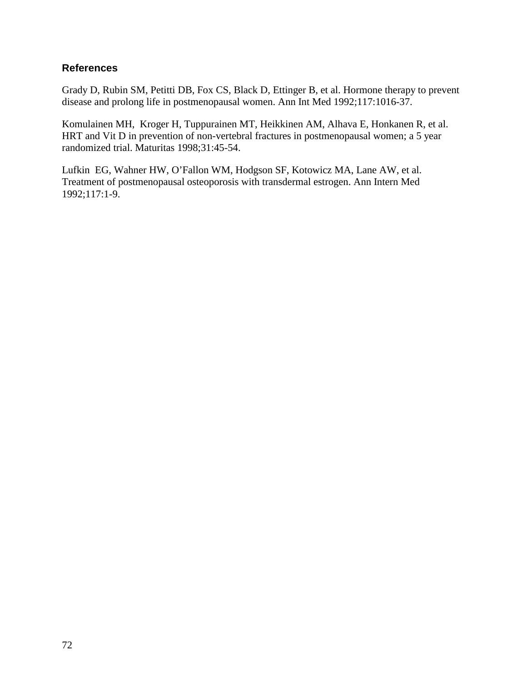#### **References**

Grady D, Rubin SM, Petitti DB, Fox CS, Black D, Ettinger B, et al. Hormone therapy to prevent disease and prolong life in postmenopausal women. Ann Int Med 1992;117:1016-37.

Komulainen MH, Kroger H, Tuppurainen MT, Heikkinen AM, Alhava E, Honkanen R, et al. HRT and Vit D in prevention of non-vertebral fractures in postmenopausal women; a 5 year randomized trial. Maturitas 1998;31:45-54.

Lufkin EG, Wahner HW, O'Fallon WM, Hodgson SF, Kotowicz MA, Lane AW, et al. Treatment of postmenopausal osteoporosis with transdermal estrogen. Ann Intern Med 1992;117:1-9.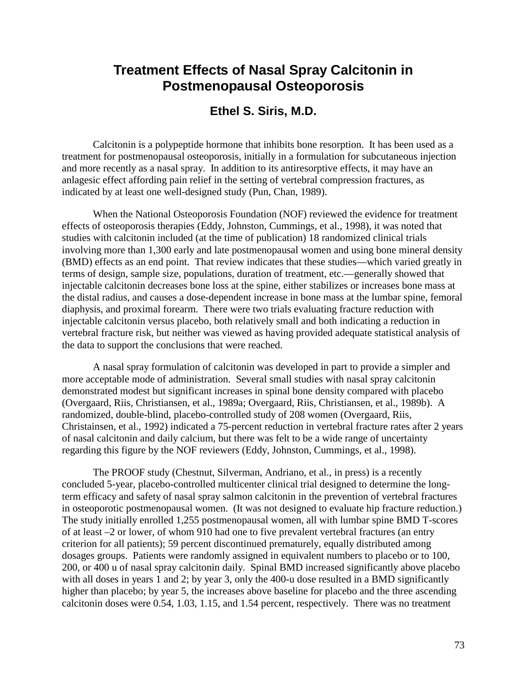## **Treatment Effects of Nasal Spray Calcitonin in Postmenopausal Osteoporosis**

### **Ethel S. Siris, M.D.**

Calcitonin is a polypeptide hormone that inhibits bone resorption. It has been used as a treatment for postmenopausal osteoporosis, initially in a formulation for subcutaneous injection and more recently as a nasal spray. In addition to its antiresorptive effects, it may have an anlagesic effect affording pain relief in the setting of vertebral compression fractures, as indicated by at least one well-designed study (Pun, Chan, 1989).

When the National Osteoporosis Foundation (NOF) reviewed the evidence for treatment effects of osteoporosis therapies (Eddy, Johnston, Cummings, et al., 1998), it was noted that studies with calcitonin included (at the time of publication) 18 randomized clinical trials involving more than 1,300 early and late postmenopausal women and using bone mineral density (BMD) effects as an end point. That review indicates that these studies—which varied greatly in terms of design, sample size, populations, duration of treatment, etc.—generally showed that injectable calcitonin decreases bone loss at the spine, either stabilizes or increases bone mass at the distal radius, and causes a dose-dependent increase in bone mass at the lumbar spine, femoral diaphysis, and proximal forearm. There were two trials evaluating fracture reduction with injectable calcitonin versus placebo, both relatively small and both indicating a reduction in vertebral fracture risk, but neither was viewed as having provided adequate statistical analysis of the data to support the conclusions that were reached.

A nasal spray formulation of calcitonin was developed in part to provide a simpler and more acceptable mode of administration. Several small studies with nasal spray calcitonin demonstrated modest but significant increases in spinal bone density compared with placebo (Overgaard, Riis, Christiansen, et al., 1989a; Overgaard, Riis, Christiansen, et al., 1989b). A randomized, double-blind, placebo-controlled study of 208 women (Overgaard, Riis, Christainsen, et al., 1992) indicated a 75-percent reduction in vertebral fracture rates after 2 years of nasal calcitonin and daily calcium, but there was felt to be a wide range of uncertainty regarding this figure by the NOF reviewers (Eddy, Johnston, Cummings, et al., 1998).

The PROOF study (Chestnut, Silverman, Andriano, et al., in press) is a recently concluded 5-year, placebo-controlled multicenter clinical trial designed to determine the longterm efficacy and safety of nasal spray salmon calcitonin in the prevention of vertebral fractures in osteoporotic postmenopausal women. (It was not designed to evaluate hip fracture reduction.) The study initially enrolled 1,255 postmenopausal women, all with lumbar spine BMD T-scores of at least –2 or lower, of whom 910 had one to five prevalent vertebral fractures (an entry criterion for all patients); 59 percent discontinued prematurely, equally distributed among dosages groups. Patients were randomly assigned in equivalent numbers to placebo or to 100, 200, or 400 u of nasal spray calcitonin daily. Spinal BMD increased significantly above placebo with all doses in years 1 and 2; by year 3, only the 400-u dose resulted in a BMD significantly higher than placebo; by year 5, the increases above baseline for placebo and the three ascending calcitonin doses were 0.54, 1.03, 1.15, and 1.54 percent, respectively. There was no treatment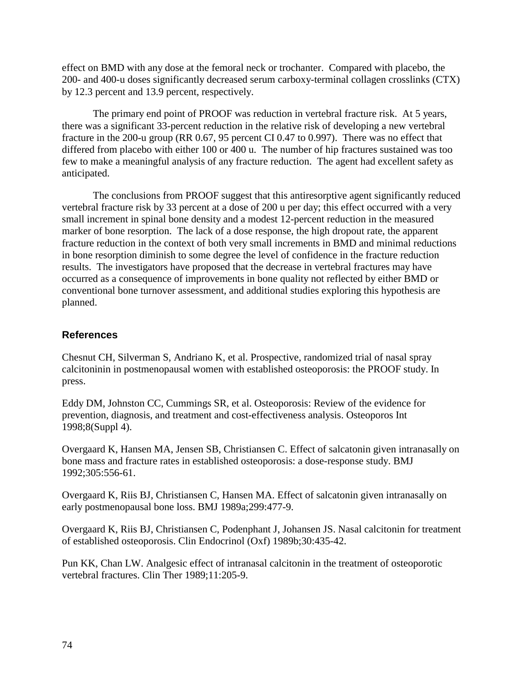effect on BMD with any dose at the femoral neck or trochanter. Compared with placebo, the 200- and 400-u doses significantly decreased serum carboxy-terminal collagen crosslinks (CTX) by 12.3 percent and 13.9 percent, respectively.

The primary end point of PROOF was reduction in vertebral fracture risk. At 5 years, there was a significant 33-percent reduction in the relative risk of developing a new vertebral fracture in the 200-u group (RR 0.67, 95 percent CI 0.47 to 0.997). There was no effect that differed from placebo with either 100 or 400 u. The number of hip fractures sustained was too few to make a meaningful analysis of any fracture reduction. The agent had excellent safety as anticipated.

The conclusions from PROOF suggest that this antiresorptive agent significantly reduced vertebral fracture risk by 33 percent at a dose of 200 u per day; this effect occurred with a very small increment in spinal bone density and a modest 12-percent reduction in the measured marker of bone resorption. The lack of a dose response, the high dropout rate, the apparent fracture reduction in the context of both very small increments in BMD and minimal reductions in bone resorption diminish to some degree the level of confidence in the fracture reduction results. The investigators have proposed that the decrease in vertebral fractures may have occurred as a consequence of improvements in bone quality not reflected by either BMD or conventional bone turnover assessment, and additional studies exploring this hypothesis are planned.

#### **References**

Chesnut CH, Silverman S, Andriano K, et al. Prospective, randomized trial of nasal spray calcitoninin in postmenopausal women with established osteoporosis: the PROOF study. In press.

Eddy DM, Johnston CC, Cummings SR, et al. Osteoporosis: Review of the evidence for prevention, diagnosis, and treatment and cost-effectiveness analysis. Osteoporos Int 1998;8(Suppl 4).

Overgaard K, Hansen MA, Jensen SB, Christiansen C. Effect of salcatonin given intranasally on bone mass and fracture rates in established osteoporosis: a dose-response study. BMJ 1992;305:556-61.

Overgaard K, Riis BJ, Christiansen C, Hansen MA. Effect of salcatonin given intranasally on early postmenopausal bone loss. BMJ 1989a;299:477-9.

Overgaard K, Riis BJ, Christiansen C, Podenphant J, Johansen JS. Nasal calcitonin for treatment of established osteoporosis. Clin Endocrinol (Oxf) 1989b;30:435-42.

Pun KK, Chan LW. Analgesic effect of intranasal calcitonin in the treatment of osteoporotic vertebral fractures. Clin Ther 1989;11:205-9.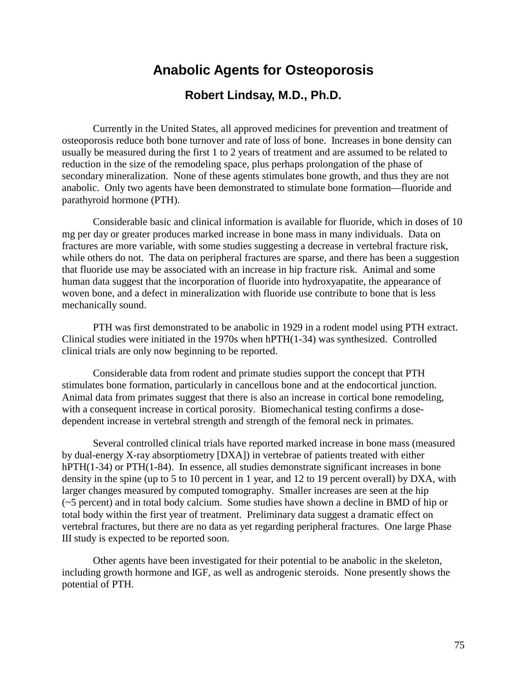## **Anabolic Agents for Osteoporosis**

#### **Robert Lindsay, M.D., Ph.D.**

Currently in the United States, all approved medicines for prevention and treatment of osteoporosis reduce both bone turnover and rate of loss of bone. Increases in bone density can usually be measured during the first 1 to 2 years of treatment and are assumed to be related to reduction in the size of the remodeling space, plus perhaps prolongation of the phase of secondary mineralization. None of these agents stimulates bone growth, and thus they are not anabolic. Only two agents have been demonstrated to stimulate bone formation—fluoride and parathyroid hormone (PTH).

Considerable basic and clinical information is available for fluoride, which in doses of 10 mg per day or greater produces marked increase in bone mass in many individuals. Data on fractures are more variable, with some studies suggesting a decrease in vertebral fracture risk, while others do not. The data on peripheral fractures are sparse, and there has been a suggestion that fluoride use may be associated with an increase in hip fracture risk. Animal and some human data suggest that the incorporation of fluoride into hydroxyapatite, the appearance of woven bone, and a defect in mineralization with fluoride use contribute to bone that is less mechanically sound.

PTH was first demonstrated to be anabolic in 1929 in a rodent model using PTH extract. Clinical studies were initiated in the 1970s when hPTH(1-34) was synthesized. Controlled clinical trials are only now beginning to be reported.

Considerable data from rodent and primate studies support the concept that PTH stimulates bone formation, particularly in cancellous bone and at the endocortical junction. Animal data from primates suggest that there is also an increase in cortical bone remodeling, with a consequent increase in cortical porosity. Biomechanical testing confirms a dosedependent increase in vertebral strength and strength of the femoral neck in primates.

Several controlled clinical trials have reported marked increase in bone mass (measured by dual-energy X-ray absorptiometry [DXA]) in vertebrae of patients treated with either hPTH(1-34) or PTH(1-84). In essence, all studies demonstrate significant increases in bone density in the spine (up to 5 to 10 percent in 1 year, and 12 to 19 percent overall) by DXA, with larger changes measured by computed tomography. Smaller increases are seen at the hip (~5 percent) and in total body calcium. Some studies have shown a decline in BMD of hip or total body within the first year of treatment. Preliminary data suggest a dramatic effect on vertebral fractures, but there are no data as yet regarding peripheral fractures. One large Phase III study is expected to be reported soon.

Other agents have been investigated for their potential to be anabolic in the skeleton, including growth hormone and IGF, as well as androgenic steroids. None presently shows the potential of PTH.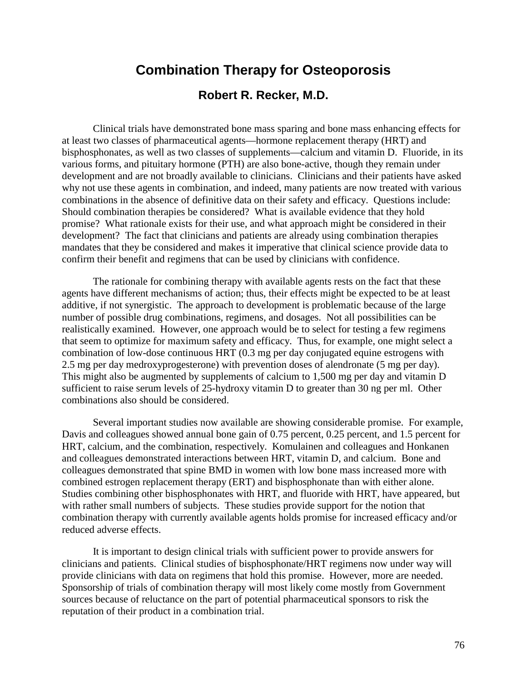# **Combination Therapy for Osteoporosis Robert R. Recker, M.D.**

Clinical trials have demonstrated bone mass sparing and bone mass enhancing effects for at least two classes of pharmaceutical agents—hormone replacement therapy (HRT) and bisphosphonates, as well as two classes of supplements—calcium and vitamin D. Fluoride, in its various forms, and pituitary hormone (PTH) are also bone-active, though they remain under development and are not broadly available to clinicians. Clinicians and their patients have asked why not use these agents in combination, and indeed, many patients are now treated with various combinations in the absence of definitive data on their safety and efficacy. Questions include: Should combination therapies be considered? What is available evidence that they hold promise? What rationale exists for their use, and what approach might be considered in their development? The fact that clinicians and patients are already using combination therapies mandates that they be considered and makes it imperative that clinical science provide data to confirm their benefit and regimens that can be used by clinicians with confidence.

The rationale for combining therapy with available agents rests on the fact that these agents have different mechanisms of action; thus, their effects might be expected to be at least additive, if not synergistic. The approach to development is problematic because of the large number of possible drug combinations, regimens, and dosages. Not all possibilities can be realistically examined. However, one approach would be to select for testing a few regimens that seem to optimize for maximum safety and efficacy. Thus, for example, one might select a combination of low-dose continuous HRT (0.3 mg per day conjugated equine estrogens with 2.5 mg per day medroxyprogesterone) with prevention doses of alendronate (5 mg per day). This might also be augmented by supplements of calcium to 1,500 mg per day and vitamin D sufficient to raise serum levels of 25-hydroxy vitamin D to greater than 30 ng per ml. Other combinations also should be considered.

Several important studies now available are showing considerable promise. For example, Davis and colleagues showed annual bone gain of 0.75 percent, 0.25 percent, and 1.5 percent for HRT, calcium, and the combination, respectively. Komulainen and colleagues and Honkanen and colleagues demonstrated interactions between HRT, vitamin D, and calcium. Bone and colleagues demonstrated that spine BMD in women with low bone mass increased more with combined estrogen replacement therapy (ERT) and bisphosphonate than with either alone. Studies combining other bisphosphonates with HRT, and fluoride with HRT, have appeared, but with rather small numbers of subjects. These studies provide support for the notion that combination therapy with currently available agents holds promise for increased efficacy and/or reduced adverse effects.

It is important to design clinical trials with sufficient power to provide answers for clinicians and patients. Clinical studies of bisphosphonate/HRT regimens now under way will provide clinicians with data on regimens that hold this promise. However, more are needed. Sponsorship of trials of combination therapy will most likely come mostly from Government sources because of reluctance on the part of potential pharmaceutical sponsors to risk the reputation of their product in a combination trial.